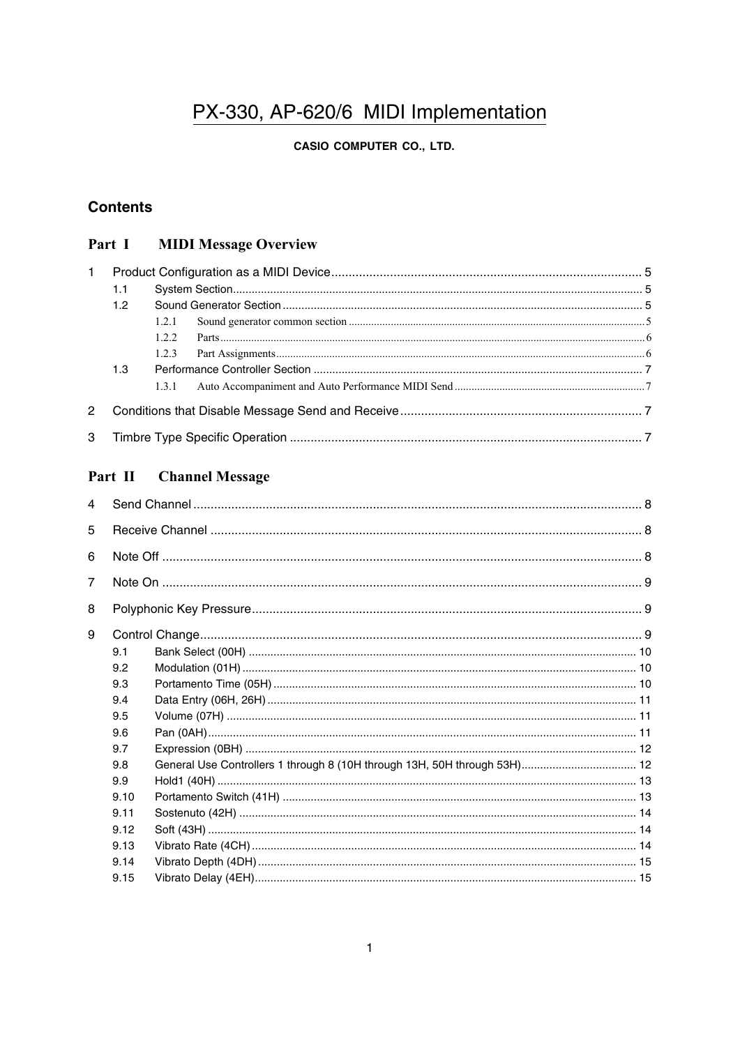## PX-330, AP-620/6 MIDI Implementation

## **CASIO COMPUTER CO., LTD.**

## **Contents**

#### **MIDI Message Overview** Part I

| $\mathbf{1}$ |     |       |  |  |  |
|--------------|-----|-------|--|--|--|
|              | 1.1 |       |  |  |  |
|              | 1.2 |       |  |  |  |
|              |     | 1.2.1 |  |  |  |
|              |     | 122   |  |  |  |
|              |     | 123   |  |  |  |
|              | 1.3 |       |  |  |  |
|              |     |       |  |  |  |
| 2            |     |       |  |  |  |
| 3            |     |       |  |  |  |

## Part II Channel Message

| 4              |      |                                                                           |  |  |  |  |
|----------------|------|---------------------------------------------------------------------------|--|--|--|--|
| 5              |      |                                                                           |  |  |  |  |
| 6              |      |                                                                           |  |  |  |  |
| $\overline{7}$ |      |                                                                           |  |  |  |  |
| 8              |      |                                                                           |  |  |  |  |
| 9              |      |                                                                           |  |  |  |  |
|                | 9.1  |                                                                           |  |  |  |  |
|                | 9.2  |                                                                           |  |  |  |  |
|                | 9.3  |                                                                           |  |  |  |  |
|                | 9.4  |                                                                           |  |  |  |  |
|                | 9.5  |                                                                           |  |  |  |  |
|                | 9.6  |                                                                           |  |  |  |  |
|                | 9.7  |                                                                           |  |  |  |  |
|                | 9.8  | General Use Controllers 1 through 8 (10H through 13H, 50H through 53H) 12 |  |  |  |  |
|                | 9.9  |                                                                           |  |  |  |  |
|                | 9.10 |                                                                           |  |  |  |  |
|                | 9.11 |                                                                           |  |  |  |  |
|                | 9.12 |                                                                           |  |  |  |  |
|                | 9.13 |                                                                           |  |  |  |  |
|                | 9.14 |                                                                           |  |  |  |  |
|                | 9.15 |                                                                           |  |  |  |  |
|                |      |                                                                           |  |  |  |  |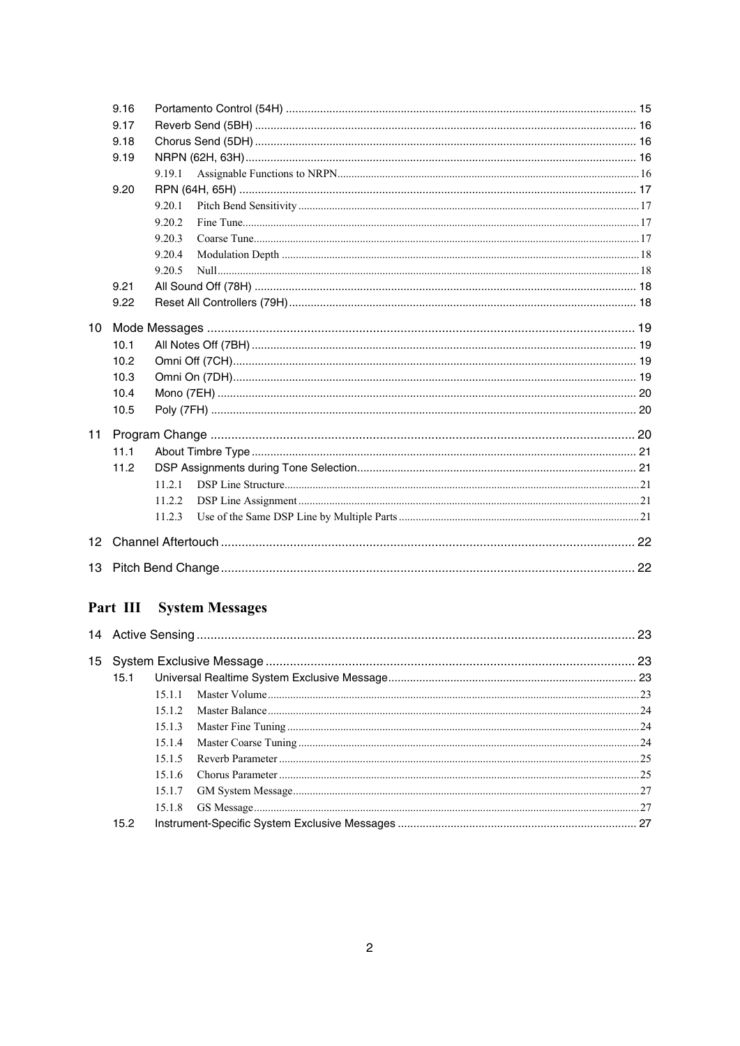|                 | 9.16 |        |  |  |  |  |
|-----------------|------|--------|--|--|--|--|
|                 | 9.17 |        |  |  |  |  |
|                 | 9.18 |        |  |  |  |  |
|                 | 9.19 |        |  |  |  |  |
|                 |      | 9.19.1 |  |  |  |  |
|                 | 9.20 |        |  |  |  |  |
|                 |      | 9.20.1 |  |  |  |  |
|                 |      | 9.20.2 |  |  |  |  |
|                 |      | 9.20.3 |  |  |  |  |
|                 |      | 9.20.4 |  |  |  |  |
|                 |      | 9.20.5 |  |  |  |  |
|                 | 9.21 |        |  |  |  |  |
|                 | 9.22 |        |  |  |  |  |
| 10 <sup>1</sup> |      |        |  |  |  |  |
|                 | 10.1 |        |  |  |  |  |
|                 | 10.2 |        |  |  |  |  |
|                 | 10.3 |        |  |  |  |  |
|                 | 10.4 |        |  |  |  |  |
|                 | 10.5 |        |  |  |  |  |
| 11              |      |        |  |  |  |  |
|                 | 11.1 |        |  |  |  |  |
|                 | 11.2 |        |  |  |  |  |
|                 |      | 1121   |  |  |  |  |
|                 |      | 11.2.2 |  |  |  |  |
|                 |      | 11.2.3 |  |  |  |  |
| 12 <sup>7</sup> |      |        |  |  |  |  |
|                 |      |        |  |  |  |  |
|                 |      |        |  |  |  |  |

## Part III System Messages

| 15.1 |        |  |  |  |  |
|------|--------|--|--|--|--|
|      | 15 1 1 |  |  |  |  |
|      | 15 1 2 |  |  |  |  |
|      | 15.1.3 |  |  |  |  |
|      | 15.1.4 |  |  |  |  |
|      | 1515   |  |  |  |  |
|      | 1516   |  |  |  |  |
|      | 15.1.7 |  |  |  |  |
|      |        |  |  |  |  |
| 15.2 |        |  |  |  |  |
|      |        |  |  |  |  |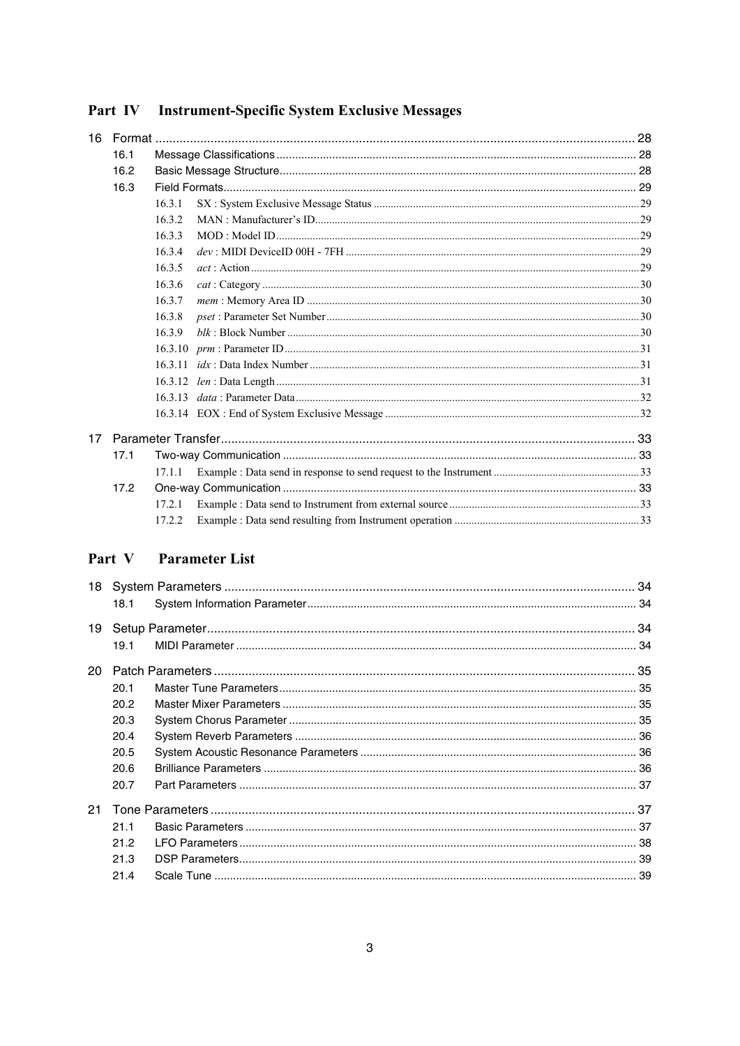| 16 |      |        |  |
|----|------|--------|--|
|    | 16.1 |        |  |
|    | 16.2 |        |  |
|    | 16.3 |        |  |
|    |      | 16.3.1 |  |
|    |      | 1632   |  |
|    |      | 16.3.3 |  |
|    |      | 16.3.4 |  |
|    |      | 16.3.5 |  |
|    |      | 16.3.6 |  |
|    |      | 16.3.7 |  |
|    |      | 16.3.8 |  |
|    |      | 16.3.9 |  |
|    |      |        |  |
|    |      |        |  |
|    |      |        |  |
|    |      |        |  |
|    |      |        |  |
| 17 |      |        |  |
|    | 17.1 |        |  |
|    |      | 17.1.1 |  |
|    | 17.2 |        |  |
|    |      | 17.2.1 |  |
|    |      | 17.2.2 |  |
|    |      |        |  |

## Part IV Instrument-Specific System Exclusive Messages

## Part V Parameter List

|    | 18.1 |  |  |  |  |
|----|------|--|--|--|--|
| 19 |      |  |  |  |  |
|    | 19.1 |  |  |  |  |
| 20 |      |  |  |  |  |
|    | 20.1 |  |  |  |  |
|    | 20.2 |  |  |  |  |
|    | 20.3 |  |  |  |  |
|    | 20.4 |  |  |  |  |
|    | 20.5 |  |  |  |  |
|    | 20.6 |  |  |  |  |
|    | 20.7 |  |  |  |  |
| 21 |      |  |  |  |  |
|    | 21.1 |  |  |  |  |
|    | 21.2 |  |  |  |  |
|    | 21.3 |  |  |  |  |
|    | 21.4 |  |  |  |  |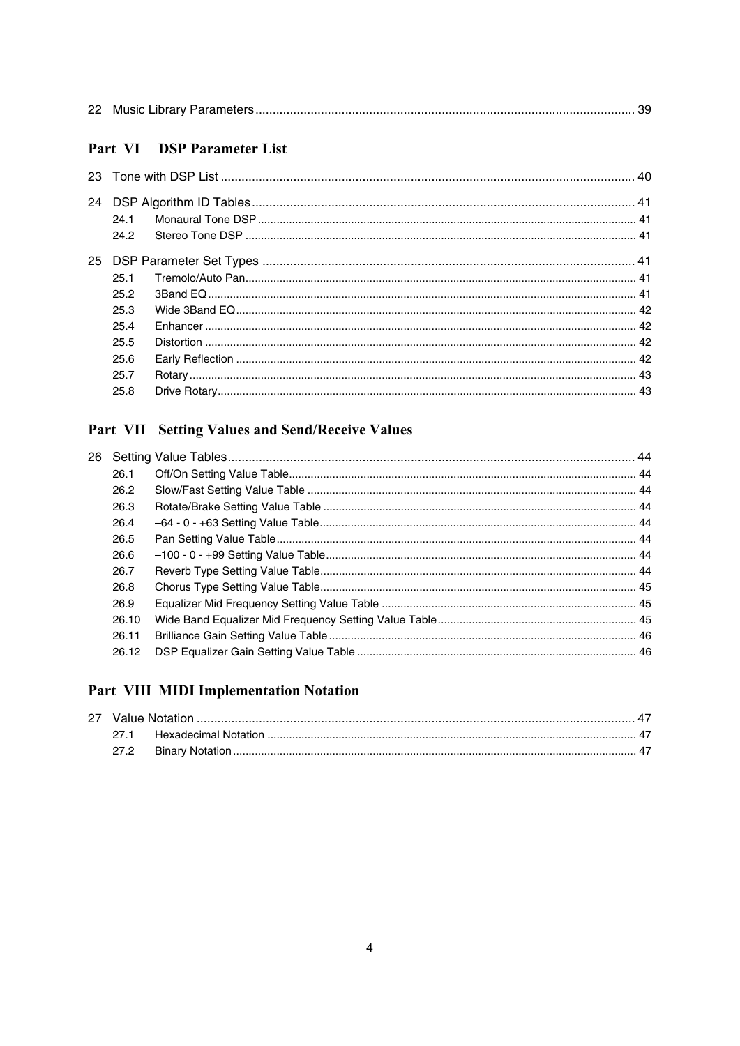|--|--|--|--|

## Part VI DSP Parameter List

| 24.1 |  |  |  |  |  |
|------|--|--|--|--|--|
| 24.2 |  |  |  |  |  |
|      |  |  |  |  |  |
| 25.1 |  |  |  |  |  |
| 25.2 |  |  |  |  |  |
| 25.3 |  |  |  |  |  |
| 25.4 |  |  |  |  |  |
| 25.5 |  |  |  |  |  |
| 25.6 |  |  |  |  |  |
| 25.7 |  |  |  |  |  |
| 25.8 |  |  |  |  |  |
|      |  |  |  |  |  |

## Part VII Setting Values and Send/Receive Values

| 26.1  |  |
|-------|--|
| 26.2  |  |
| 26.3  |  |
| 26.4  |  |
| 26.5  |  |
| 26.6  |  |
| 26.7  |  |
| 26.8  |  |
| 26.9  |  |
| 26.10 |  |
| 26.11 |  |
| 26.12 |  |
|       |  |

## Part VIII MIDI Implementation Notation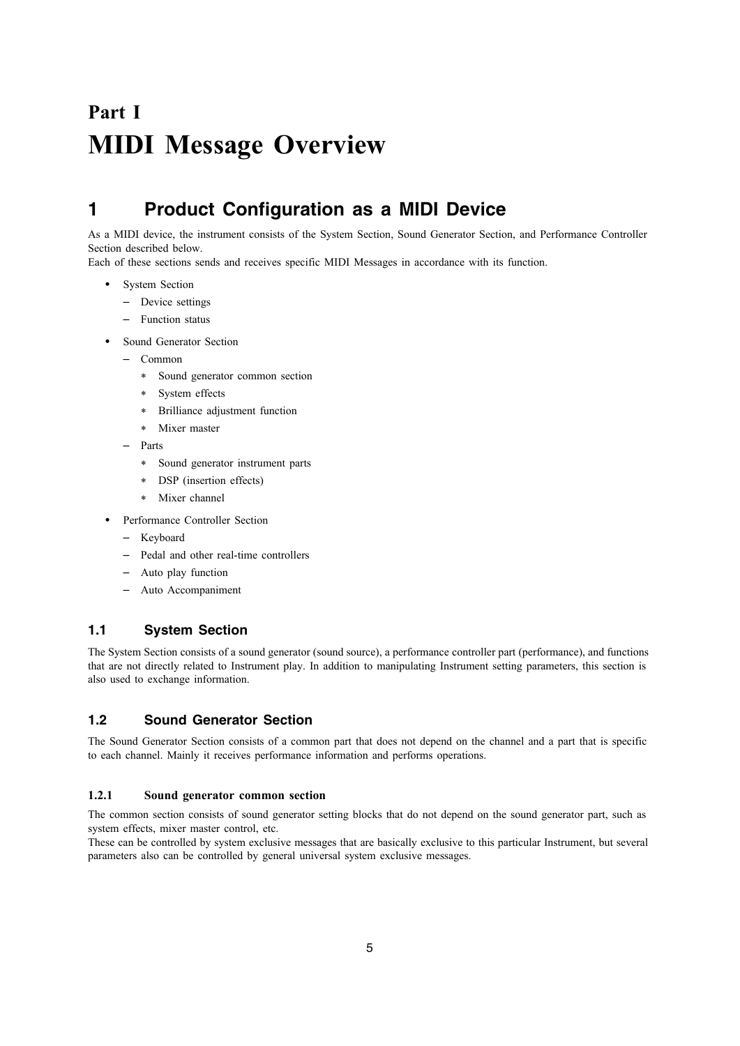# **Part I MIDI Message Overview**

## **1 Product Configuration as a MIDI Device**

As a MIDI device, the instrument consists of the System Section, Sound Generator Section, and Performance Controller Section described below.

Each of these sections sends and receives specific MIDI Messages in accordance with its function.

- System Section
	- Device settings
	- Function status
- Sound Generator Section
	- Common
		- Sound generator common section
		- System effects
		- Brilliance adjustment function
		- Mixer master
	- Parts
		- Sound generator instrument parts
		- DSP (insertion effects)
		- Mixer channel
	- Performance Controller Section
	- Keyboard
	- Pedal and other real-time controllers
	- Auto play function
	- Auto Accompaniment

### **1.1 System Section**

The System Section consists of a sound generator (sound source), a performance controller part (performance), and functions that are not directly related to Instrument play. In addition to manipulating Instrument setting parameters, this section is also used to exchange information.

## **1.2 Sound Generator Section**

The Sound Generator Section consists of a common part that does not depend on the channel and a part that is specific to each channel. Mainly it receives performance information and performs operations.

### **1.2.1 Sound generator common section**

The common section consists of sound generator setting blocks that do not depend on the sound generator part, such as system effects, mixer master control, etc.

These can be controlled by system exclusive messages that are basically exclusive to this particular Instrument, but several parameters also can be controlled by general universal system exclusive messages.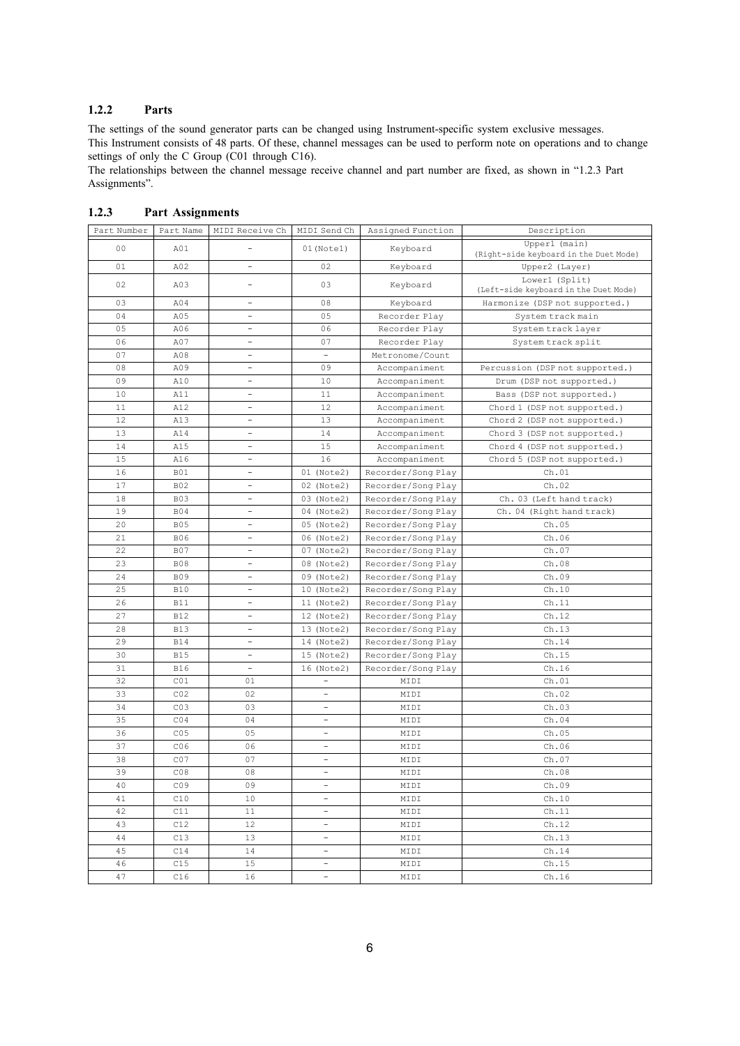### **1.2.2 Parts**

The settings of the sound generator parts can be changed using Instrument-specific system exclusive messages. This Instrument consists of 48 parts. Of these, channel messages can be used to perform note on operations and to change settings of only the C Group (C01 through C16).

The relationships between the channel message receive channel and part number are fixed, as shown in "1.2.3 Part Assignments".

| Part Number    | Part Name       | MIDI Receive Ch          | MIDI Send Ch             | Assigned Function  | Description                                             |
|----------------|-----------------|--------------------------|--------------------------|--------------------|---------------------------------------------------------|
| 0 <sup>0</sup> | A01             |                          | $01$ (Notel)             | Keyboard           | Upperl (main)<br>(Right-side keyboard in the Duet Mode) |
| 01             | A02             | $\overline{\phantom{a}}$ | 02                       | Keyboard           | Upper2 (Layer)                                          |
| 02             | A03             | $\overline{\phantom{a}}$ | 03                       | Keyboard           | Lowerl (Split)<br>(Left-side keyboard in the Duet Mode) |
| 03             | A04             | $\overline{\phantom{0}}$ | 08                       | Keyboard           | Harmonize (DSP not supported.)                          |
| 04             | A05             | $\overline{a}$           | 05                       | Recorder Play      | System track main                                       |
| 05             | A06             | -                        | 06                       | Recorder Play      | System track layer                                      |
| 06             | A07             | $\overline{\phantom{0}}$ | 07                       | Recorder Play      | System track split                                      |
| 07             | A08             | $\overline{\phantom{0}}$ | $\overline{\phantom{0}}$ | Metronome/Count    |                                                         |
| 08             | A09             | $\overline{\phantom{0}}$ | 09                       | Accompaniment      | Percussion (DSP not supported.)                         |
| 09             | A10             | -                        | 10                       | Accompaniment      | Drum (DSP not supported.)                               |
| 10             | A11             | $\overline{\phantom{0}}$ | 11                       | Accompaniment      | Bass (DSP not supported.)                               |
| 11             | A12             | -                        | 12                       | Accompaniment      | Chord 1 (DSP not supported.)                            |
| 12             | A13             | $\overline{a}$           | 13                       | Accompaniment      | Chord 2 (DSP not supported.)                            |
| 13             | A14             | $\overline{\phantom{a}}$ | 14                       | Accompaniment      | Chord 3 (DSP not supported.)                            |
| 14             | A15             | $\overline{\phantom{0}}$ | 15                       | Accompaniment      | Chord 4 (DSP not supported.)                            |
| 15             | A16             | $\overline{\phantom{0}}$ | 16                       | Accompaniment      | Chord 5 (DSP not supported.)                            |
| 16             | <b>B01</b>      | $\overline{\phantom{0}}$ | 01 (Note2)               | Recorder/Song Play | Ch.01                                                   |
| 17             | <b>B02</b>      | $\overline{\phantom{a}}$ | 02 (Note2)               | Recorder/Song Play | Ch.02                                                   |
| 18             | <b>B03</b>      | $\overline{\phantom{a}}$ | 03 (Note2)               | Recorder/Song Play | Ch. 03 (Left hand track)                                |
| 19             | <b>B04</b>      | $\overline{\phantom{0}}$ | 04 (Note2)               | Recorder/Song Play | Ch. 04 (Right hand track)                               |
| 20             | <b>B05</b>      | $\overline{\phantom{0}}$ | 05 (Note2)               | Recorder/Song Play | Ch.05                                                   |
| 21             | <b>B06</b>      | $\overline{\phantom{a}}$ | 06 (Note2)               | Recorder/Song Play | Ch.06                                                   |
| 22             | <b>B07</b>      | $\overline{a}$           | 07 (Note2)               | Recorder/Song Play | Ch.07                                                   |
| 23             | <b>B08</b>      | $\overline{\phantom{0}}$ | 08 (Note2)               | Recorder/Song Play | Ch.08                                                   |
| 24             | <b>B09</b>      | $\overline{\phantom{a}}$ | 09 (Note2)               | Recorder/Song Play | Ch.09                                                   |
| 25             | <b>B10</b>      | $\overline{\phantom{a}}$ | 10 (Note2)               | Recorder/Song Play | Ch.10                                                   |
| 26             | <b>B11</b>      | $\overline{\phantom{a}}$ | 11 (Note2)               | Recorder/Song Play | Ch.11                                                   |
| 27             | <b>B12</b>      | $\overline{\phantom{0}}$ | 12 (Note2)               | Recorder/Song Play | Ch.12                                                   |
| 28             | <b>B13</b>      | $\overline{\phantom{a}}$ | 13 (Note2)               | Recorder/Song Play | Ch.13                                                   |
| 29             | <b>B14</b>      | $\overline{\phantom{0}}$ | 14 (Note2)               | Recorder/Song Play | Ch.14                                                   |
| 30             | <b>B15</b>      | $\overline{\phantom{a}}$ | 15 (Note2)               | Recorder/Song Play | Ch.15                                                   |
| 31             | B16             | $\overline{\phantom{a}}$ | 16 (Note2)               | Recorder/Song Play | Ch.16                                                   |
| 32             | CO1             | 01                       | $\overline{\phantom{a}}$ | MIDI               | Ch.01                                                   |
| 33             | CO <sub>2</sub> | 02                       | $\qquad \qquad -$        | MIDI               | Ch.02                                                   |
| 34             | CO <sub>3</sub> | 03                       | $\overline{\phantom{a}}$ | MIDI               | Ch.03                                                   |
| 35             | CO <sub>4</sub> | 04                       | $\qquad \qquad -$        | MIDI               | Ch.04                                                   |
| 36             | CO <sub>5</sub> | 05                       | $\overline{\phantom{a}}$ | MIDI               | Ch.05                                                   |
| 37             | CO <sub>6</sub> | 06                       | $\overline{\phantom{a}}$ | MIDI               | Ch.06                                                   |
| 38             | CO7             | 07                       | $\overline{\phantom{a}}$ | MIDI               | Ch.07                                                   |
| 39             | CO8             | 08                       | $\overline{\phantom{a}}$ | MIDI               | Ch.08                                                   |
| 40             | CO <sub>9</sub> | 09                       | $\qquad \qquad -$        | MIDI               | Ch.09                                                   |
| 41             | C10             | 10                       | $\overline{\phantom{0}}$ | MIDI               | Ch.10                                                   |
| 42             | C11             | 11                       | $\overline{\phantom{a}}$ | MIDI               | Ch.11                                                   |
| 43             | C12             | 12                       | $\overline{\phantom{a}}$ | MIDI               | Ch.12                                                   |
| 44             | C13             | 13                       | $\overline{\phantom{a}}$ | MIDI               | Ch.13                                                   |
| 45             | C14             | 14                       | $\overline{\phantom{0}}$ | MIDI               | Ch.14                                                   |
| 46             | C15             | 15                       | $\overline{\phantom{a}}$ | MIDI               | Ch.15                                                   |
| 47             | C16             | 16                       | -                        | MIDI               | Ch.16                                                   |

### **1.2.3 Part Assignments**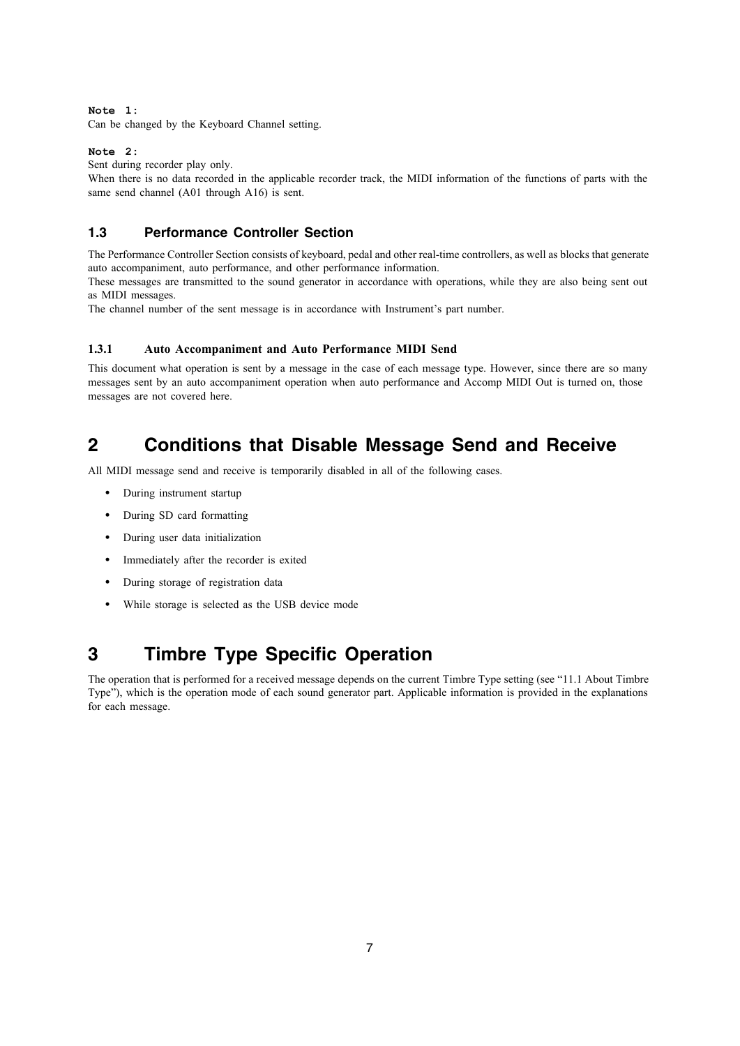**Note 1:**

Can be changed by the Keyboard Channel setting.

### **Note 2:**

Sent during recorder play only.

When there is no data recorded in the applicable recorder track, the MIDI information of the functions of parts with the same send channel (A01 through A16) is sent.

## **1.3 Performance Controller Section**

The Performance Controller Section consists of keyboard, pedal and other real-time controllers, as well as blocks that generate auto accompaniment, auto performance, and other performance information.

These messages are transmitted to the sound generator in accordance with operations, while they are also being sent out as MIDI messages.

The channel number of the sent message is in accordance with Instrument's part number.

### **1.3.1 Auto Accompaniment and Auto Performance MIDI Send**

This document what operation is sent by a message in the case of each message type. However, since there are so many messages sent by an auto accompaniment operation when auto performance and Accomp MIDI Out is turned on, those messages are not covered here.

## **2 Conditions that Disable Message Send and Receive**

All MIDI message send and receive is temporarily disabled in all of the following cases.

- During instrument startup
- During SD card formatting
- During user data initialization
- Immediately after the recorder is exited
- During storage of registration data
- While storage is selected as the USB device mode

## **3 Timbre Type Specific Operation**

The operation that is performed for a received message depends on the current Timbre Type setting (see "11.1 About Timbre Type"), which is the operation mode of each sound generator part. Applicable information is provided in the explanations for each message.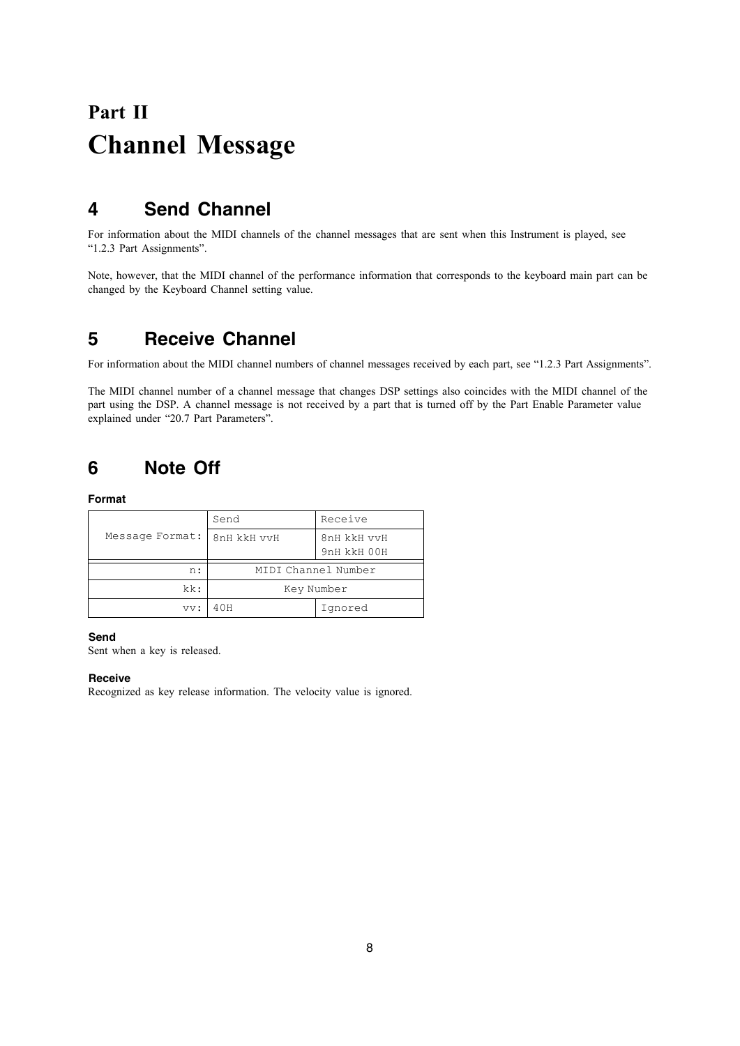# **Part II Channel Message**

## **4 Send Channel**

For information about the MIDI channels of the channel messages that are sent when this Instrument is played, see "1.2.3 Part Assignments".

Note, however, that the MIDI channel of the performance information that corresponds to the keyboard main part can be changed by the Keyboard Channel setting value.

## **5 Receive Channel**

For information about the MIDI channel numbers of channel messages received by each part, see "1.2.3 Part Assignments".

The MIDI channel number of a channel message that changes DSP settings also coincides with the MIDI channel of the part using the DSP. A channel message is not received by a part that is turned off by the Part Enable Parameter value explained under "20.7 Part Parameters".

## **6 Note Off**

**Format**

|                 | Send                | Receive                    |
|-----------------|---------------------|----------------------------|
| Message Format: | 8nH kkH vvH         | 8nH kkH vvH<br>9nH kkH 00H |
| n:              | MIDI Channel Number |                            |
| kk:             | Key Number          |                            |
| vv:             | 40H                 | Ignored                    |

**Send**

Sent when a key is released.

### **Receive**

Recognized as key release information. The velocity value is ignored.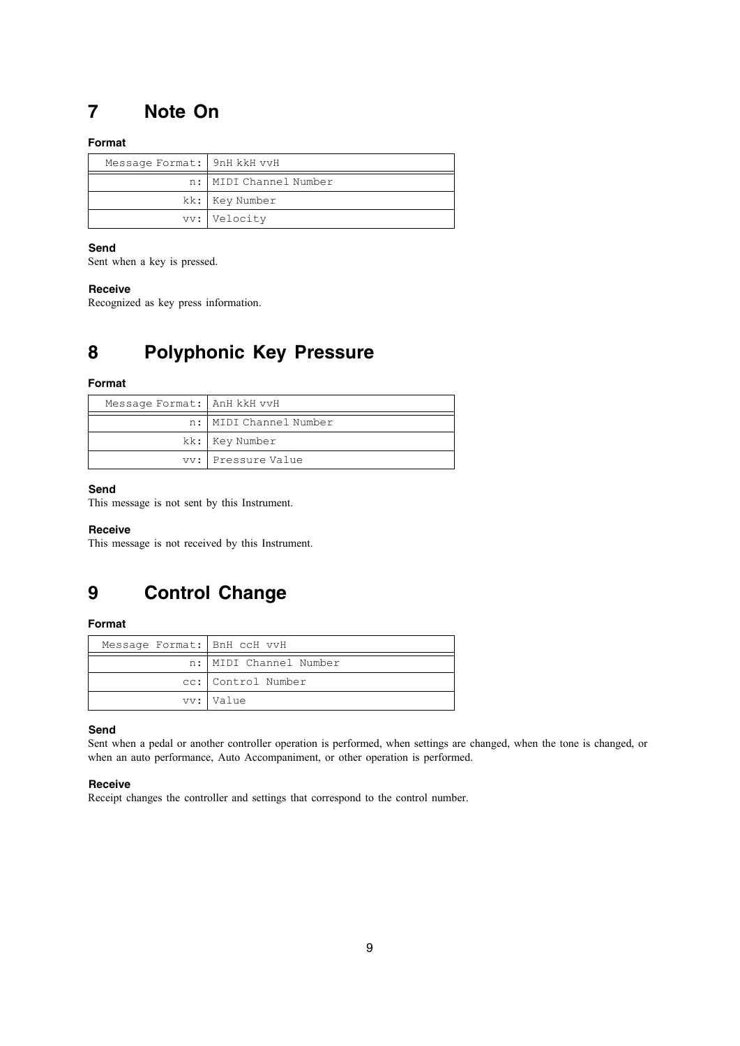## **7 Note On**

### **Format**

| Message Format: 9nH kkH vvH |                          |
|-----------------------------|--------------------------|
|                             | n:   MIDI Channel Number |
|                             | kk: Key Number           |
|                             | vv: Velocity             |

### **Send**

Sent when a key is pressed.

### **Receive**

Recognized as key press information.

## **8 Polyphonic Key Pressure**

### **Format**

| Message Format: AnH kkH vvH |                        |
|-----------------------------|------------------------|
|                             | n: MIDI Channel Number |
|                             | kk: Key Number         |
|                             | vv: Pressure Value     |

### **Send**

This message is not sent by this Instrument.

### **Receive**

This message is not received by this Instrument.

## **9 Control Change**

### **Format**

| Message Format: BnH ccH vvH |                          |
|-----------------------------|--------------------------|
|                             | n:   MIDI Channel Number |
|                             | cc: Control Number       |
|                             | vv: Value                |

### **Send**

Sent when a pedal or another controller operation is performed, when settings are changed, when the tone is changed, or when an auto performance, Auto Accompaniment, or other operation is performed.

### **Receive**

Receipt changes the controller and settings that correspond to the control number.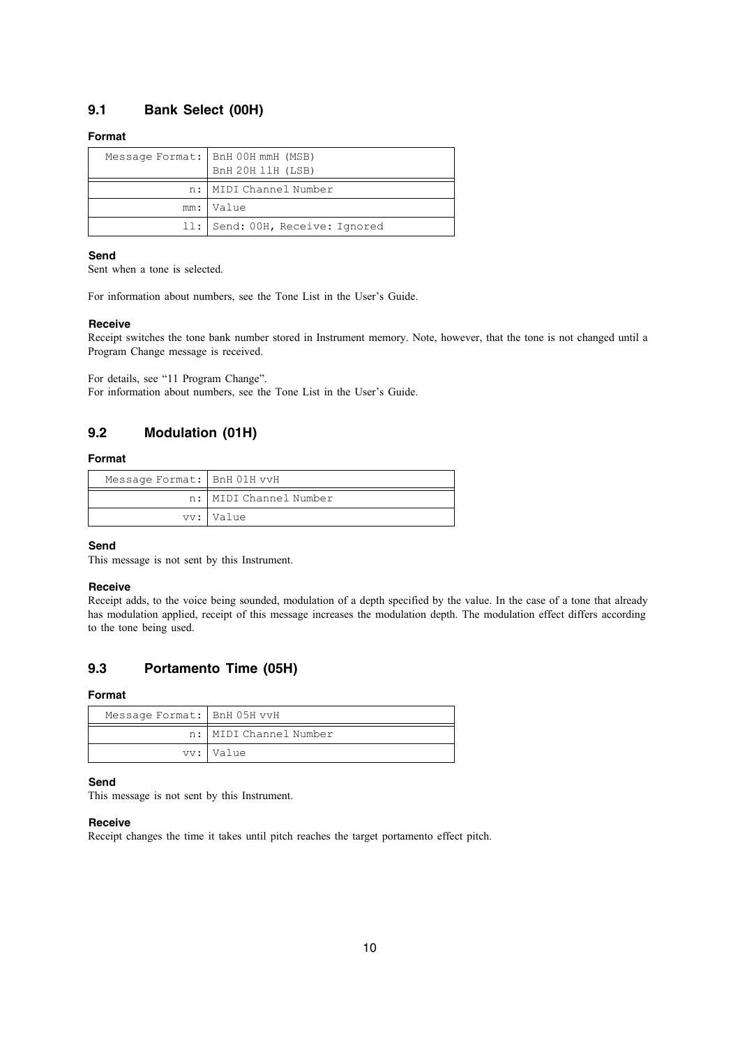## **9.1 Bank Select (00H)**

### **Format**

| Message Format:   BnH 00H mmH (MSB)<br>BnH 20H 11H (LSB) |
|----------------------------------------------------------|
| n:   MIDI Channel Number                                 |
| mm: Value                                                |
| 11: Send: 00H, Receive: Ignored                          |

### **Send**

Sent when a tone is selected.

For information about numbers, see the Tone List in the User's Guide.

### **Receive**

Receipt switches the tone bank number stored in Instrument memory. Note, however, that the tone is not changed until a Program Change message is received.

For details, see "11 Program Change". For information about numbers, see the Tone List in the User's Guide.

## **9.2 Modulation (01H)**

### **Format**

| Message Format: BnH 01H vvH |                        |
|-----------------------------|------------------------|
|                             | n: MIDI Channel Number |
|                             | vv: Value              |

### **Send**

This message is not sent by this Instrument.

### **Receive**

Receipt adds, to the voice being sounded, modulation of a depth specified by the value. In the case of a tone that already has modulation applied, receipt of this message increases the modulation depth. The modulation effect differs according to the tone being used.

## **9.3 Portamento Time (05H)**

### **Format**

| Message Format: BnH 05H vvH |                        |
|-----------------------------|------------------------|
|                             | n: MIDI Channel Number |
|                             | vv: Value              |

### **Send**

This message is not sent by this Instrument.

### **Receive**

Receipt changes the time it takes until pitch reaches the target portamento effect pitch.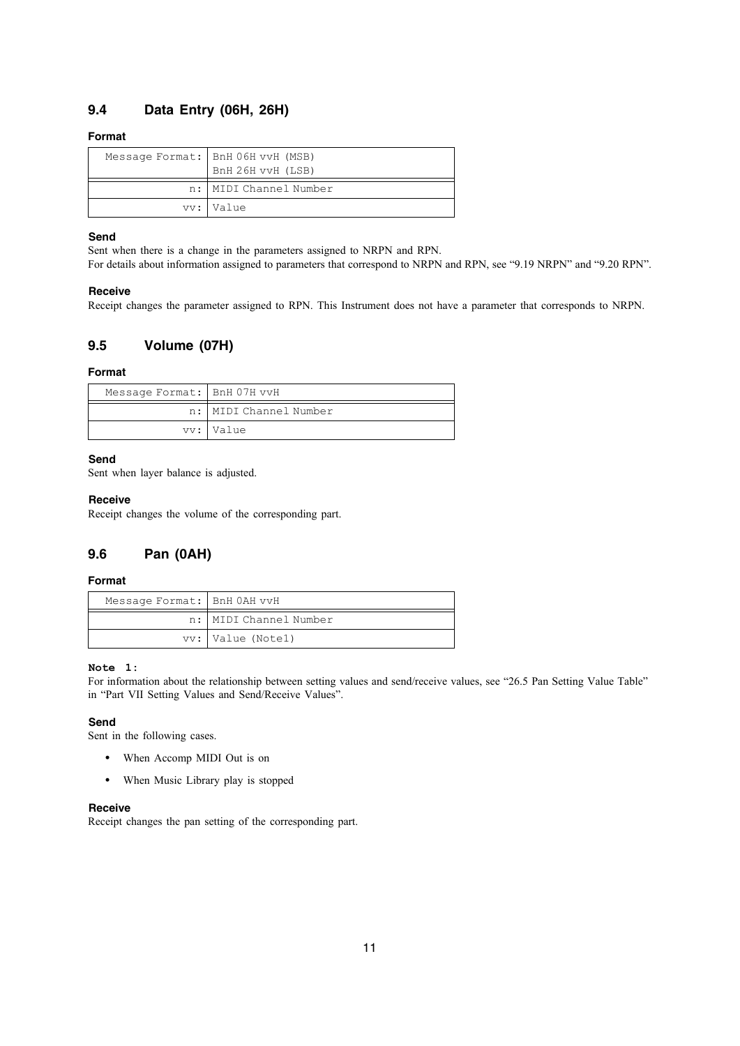## **9.4 Data Entry (06H, 26H)**

### **Format**

| Message Format:   BnH 06H vvH (MSB)<br>BnH 26H vvH (LSB) |
|----------------------------------------------------------|
| n:   MIDI Channel Number                                 |
| vv: Value                                                |

### **Send**

Sent when there is a change in the parameters assigned to NRPN and RPN.

For details about information assigned to parameters that correspond to NRPN and RPN, see "9.19 NRPN" and "9.20 RPN".

### **Receive**

Receipt changes the parameter assigned to RPN. This Instrument does not have a parameter that corresponds to NRPN.

## **9.5 Volume (07H)**

### **Format**

| Message Format: BnH 07H vvH |                        |
|-----------------------------|------------------------|
|                             | n: MIDI Channel Number |
|                             | vv: Value              |

### **Send**

Sent when layer balance is adjusted.

### **Receive**

Receipt changes the volume of the corresponding part.

## **9.6 Pan (0AH)**

### **Format**

| Message Format:   BnH 0AH vvH |                        |
|-------------------------------|------------------------|
|                               | n: MIDI Channel Number |
|                               | vv: Value (Notel)      |

### **Note 1:**

For information about the relationship between setting values and send/receive values, see "26.5 Pan Setting Value Table" in "Part VII Setting Values and Send/Receive Values".

### **Send**

Sent in the following cases.

- When Accomp MIDI Out is on
- When Music Library play is stopped

### **Receive**

Receipt changes the pan setting of the corresponding part.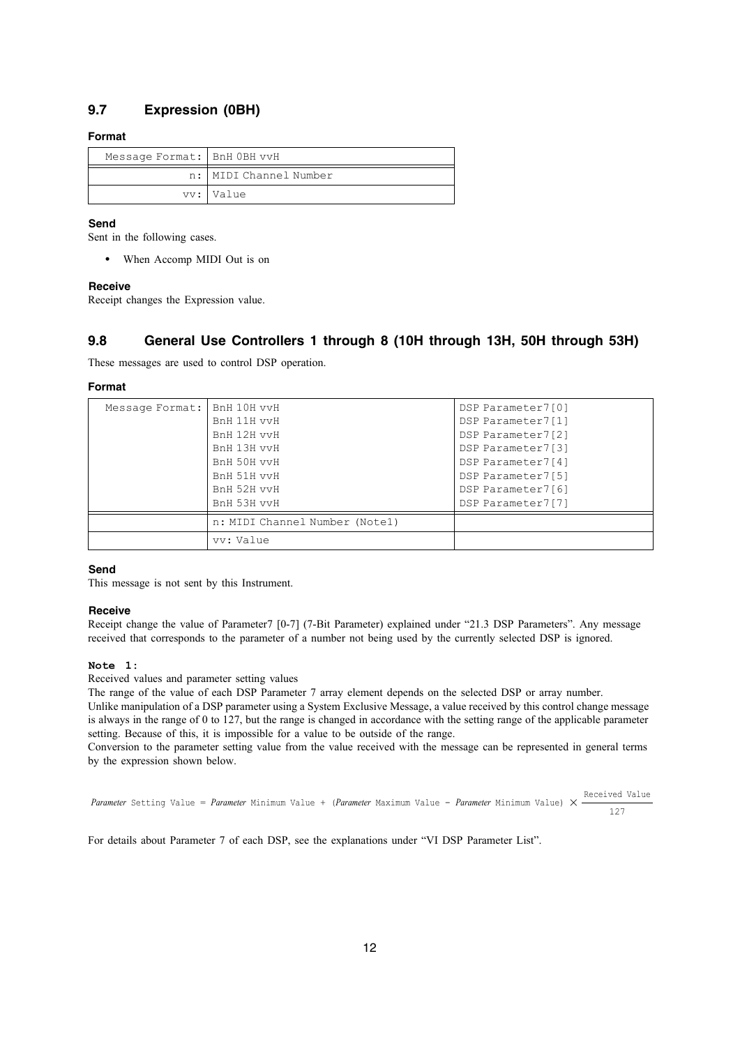## **9.7 Expression (0BH)**

### **Format**

| Message Format: BnH OBH vvH |                        |
|-----------------------------|------------------------|
|                             | n: MIDI Channel Number |
|                             | vv: Value              |

### **Send**

Sent in the following cases.

• When Accomp MIDI Out is on

### **Receive**

Receipt changes the Expression value.

## **9.8 General Use Controllers 1 through 8 (10H through 13H, 50H through 53H)**

These messages are used to control DSP operation.

### **Format**

| Message Format: | BnH 10H vvH                    | DSP Parameter7[0] |
|-----------------|--------------------------------|-------------------|
|                 | BnH 11H vvH                    | DSP Parameter7[1] |
|                 | BnH 12H vvH                    | DSP Parameter7[2] |
|                 | BnH 13H vvH                    | DSP Parameter7[3] |
|                 | BnH 50H vvH                    | DSP Parameter7[4] |
|                 | BnH 51H vvH                    | DSP Parameter7[5] |
|                 | BnH 52H vvH                    | DSP Parameter7[6] |
|                 | BnH 53H vvH                    | DSP Parameter7[7] |
|                 | n: MIDI Channel Number (Notel) |                   |
|                 | vv: Value                      |                   |

### **Send**

This message is not sent by this Instrument.

### **Receive**

Receipt change the value of Parameter7 [0-7] (7-Bit Parameter) explained under "21.3 DSP Parameters". Any message received that corresponds to the parameter of a number not being used by the currently selected DSP is ignored.

### **Note 1:**

Received values and parameter setting values

The range of the value of each DSP Parameter 7 array element depends on the selected DSP or array number. Unlike manipulation of a DSP parameter using a System Exclusive Message, a value received by this control change message is always in the range of 0 to 127, but the range is changed in accordance with the setting range of the applicable parameter setting. Because of this, it is impossible for a value to be outside of the range.

Conversion to the parameter setting value from the value received with the message can be represented in general terms by the expression shown below.

*Parameter* Setting Value = *Parameter* Minimum Value + (*Parameter* Maximum Value - *Parameter* Minimum Value) X Received Value 127

For details about Parameter 7 of each DSP, see the explanations under "VI DSP Parameter List".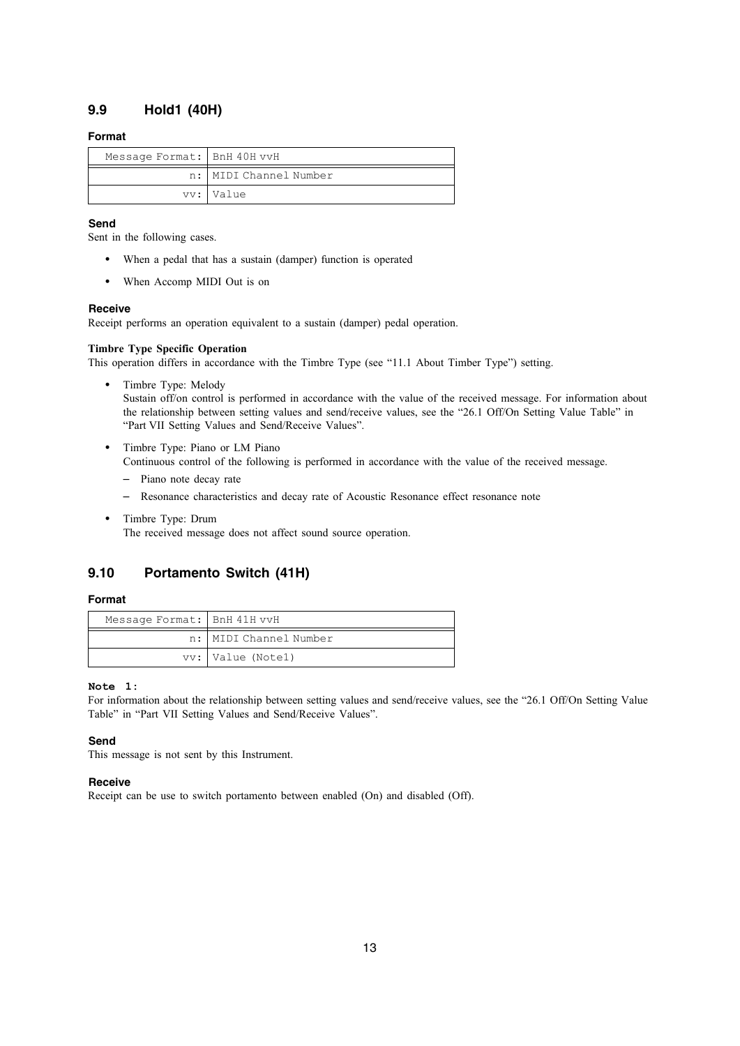## **9.9 Hold1 (40H)**

### **Format**

| Message Format:   BnH 40H vvH |                          |
|-------------------------------|--------------------------|
|                               | n:   MIDI Channel Number |
|                               | vv: Value                |

### **Send**

Sent in the following cases.

- When a pedal that has a sustain (damper) function is operated
- When Accomp MIDI Out is on

### **Receive**

Receipt performs an operation equivalent to a sustain (damper) pedal operation.

### **Timbre Type Specific Operation**

This operation differs in accordance with the Timbre Type (see "11.1 About Timber Type") setting.

- Timbre Type: Melody Sustain off/on control is performed in accordance with the value of the received message. For information about the relationship between setting values and send/receive values, see the "26.1 Off/On Setting Value Table" in "Part VII Setting Values and Send/Receive Values".
- Timbre Type: Piano or LM Piano

Continuous control of the following is performed in accordance with the value of the received message.

- Piano note decay rate
- Resonance characteristics and decay rate of Acoustic Resonance effect resonance note
- Timbre Type: Drum The received message does not affect sound source operation.

## **9.10 Portamento Switch (41H)**

### **Format**

| Message Format: BnH 41H vvH |                          |
|-----------------------------|--------------------------|
|                             | n:   MIDI Channel Number |
|                             | vv: Value (Notel)        |

### **Note 1:**

For information about the relationship between setting values and send/receive values, see the "26.1 Off/On Setting Value Table" in "Part VII Setting Values and Send/Receive Values".

### **Send**

This message is not sent by this Instrument.

### **Receive**

Receipt can be use to switch portamento between enabled (On) and disabled (Off).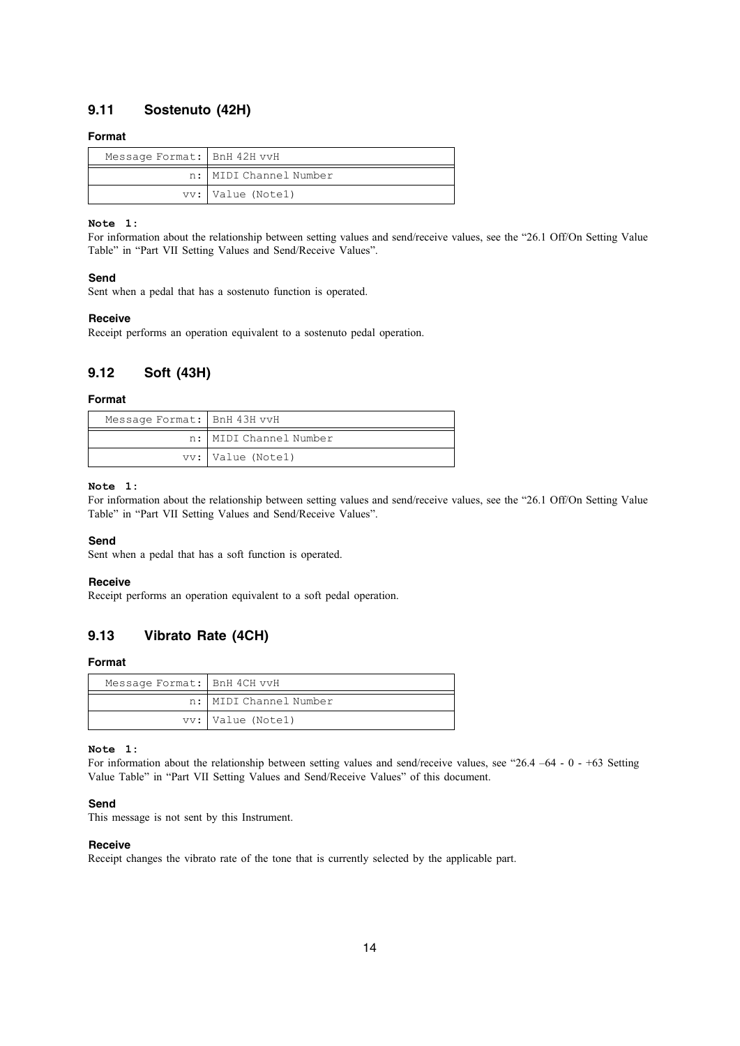## **9.11 Sostenuto (42H)**

### **Format**

| Message Format: BnH 42H vvH |                        |
|-----------------------------|------------------------|
|                             | n: MIDI Channel Number |
|                             | vy: Value (Notel)      |

### **Note 1:**

For information about the relationship between setting values and send/receive values, see the "26.1 Off/On Setting Value Table" in "Part VII Setting Values and Send/Receive Values".

### **Send**

Sent when a pedal that has a sostenuto function is operated.

### **Receive**

Receipt performs an operation equivalent to a sostenuto pedal operation.

### **9.12 Soft (43H)**

### **Format**

| Message Format:   BnH 43H vvH |                        |
|-------------------------------|------------------------|
|                               | n: MIDI Channel Number |
|                               | vv:   Value (Notel)    |

### **Note 1:**

For information about the relationship between setting values and send/receive values, see the "26.1 Off/On Setting Value Table" in "Part VII Setting Values and Send/Receive Values".

### **Send**

Sent when a pedal that has a soft function is operated.

#### **Receive**

Receipt performs an operation equivalent to a soft pedal operation.

## **9.13 Vibrato Rate (4CH)**

### **Format**

| Message Format: BnH 4CH vvH |                          |
|-----------------------------|--------------------------|
|                             | n:   MIDI Channel Number |
|                             | vv: Value (Notel)        |

#### **Note 1:**

For information about the relationship between setting values and send/receive values, see "26.4 –64 - 0 - +63 Setting Value Table" in "Part VII Setting Values and Send/Receive Values" of this document.

### **Send**

This message is not sent by this Instrument.

### **Receive**

Receipt changes the vibrato rate of the tone that is currently selected by the applicable part.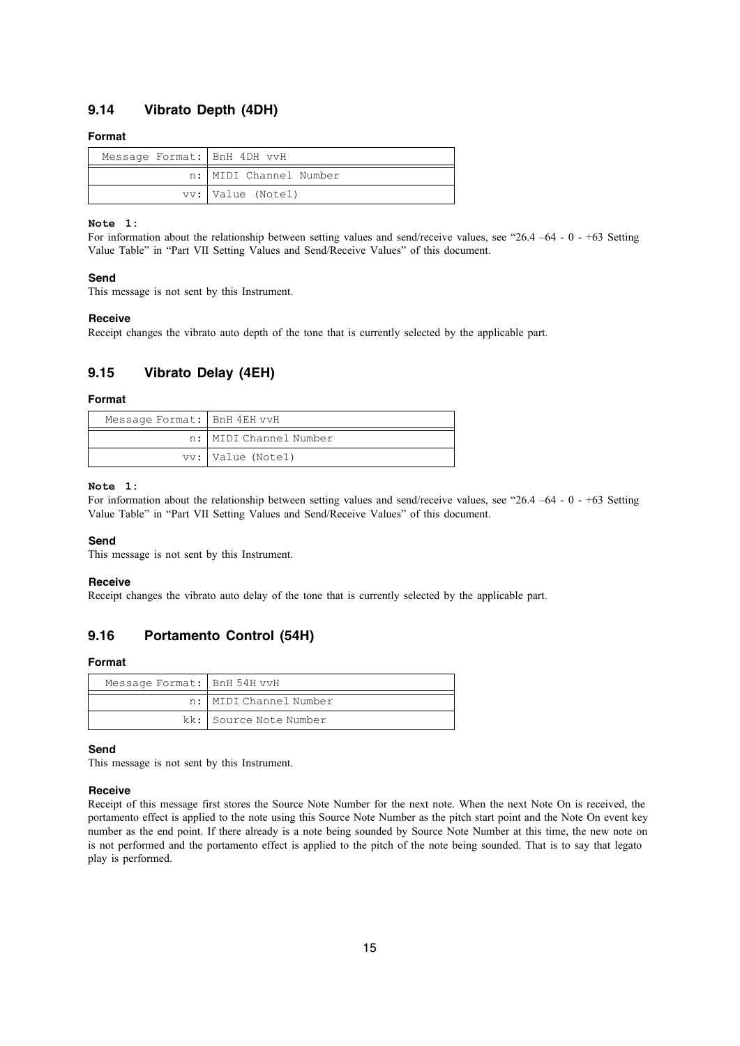## **9.14 Vibrato Depth (4DH)**

### **Format**

| Message Format: BnH 4DH vvH |                          |
|-----------------------------|--------------------------|
|                             | n:   MIDI Channel Number |
|                             | vv: Value (Notel)        |

#### **Note 1:**

For information about the relationship between setting values and send/receive values, see "26.4 –64 - 0 - +63 Setting Value Table" in "Part VII Setting Values and Send/Receive Values" of this document.

### **Send**

This message is not sent by this Instrument.

#### **Receive**

Receipt changes the vibrato auto depth of the tone that is currently selected by the applicable part.

## **9.15 Vibrato Delay (4EH)**

### **Format**

| Message Format: BnH 4EH vvH |                        |
|-----------------------------|------------------------|
|                             | n: MIDI Channel Number |
|                             | vv: Value (Notel)      |

### **Note 1:**

For information about the relationship between setting values and send/receive values, see "26.4 –64 - 0 - +63 Setting Value Table" in "Part VII Setting Values and Send/Receive Values" of this document.

### **Send**

This message is not sent by this Instrument.

### **Receive**

Receipt changes the vibrato auto delay of the tone that is currently selected by the applicable part.

## **9.16 Portamento Control (54H)**

#### **Format**

| Message Format:   BnH 54H vvH |                          |
|-------------------------------|--------------------------|
|                               | n:   MIDI Channel Number |
|                               | kk: Source Note Number   |

### **Send**

This message is not sent by this Instrument.

### **Receive**

Receipt of this message first stores the Source Note Number for the next note. When the next Note On is received, the portamento effect is applied to the note using this Source Note Number as the pitch start point and the Note On event key number as the end point. If there already is a note being sounded by Source Note Number at this time, the new note on is not performed and the portamento effect is applied to the pitch of the note being sounded. That is to say that legato play is performed.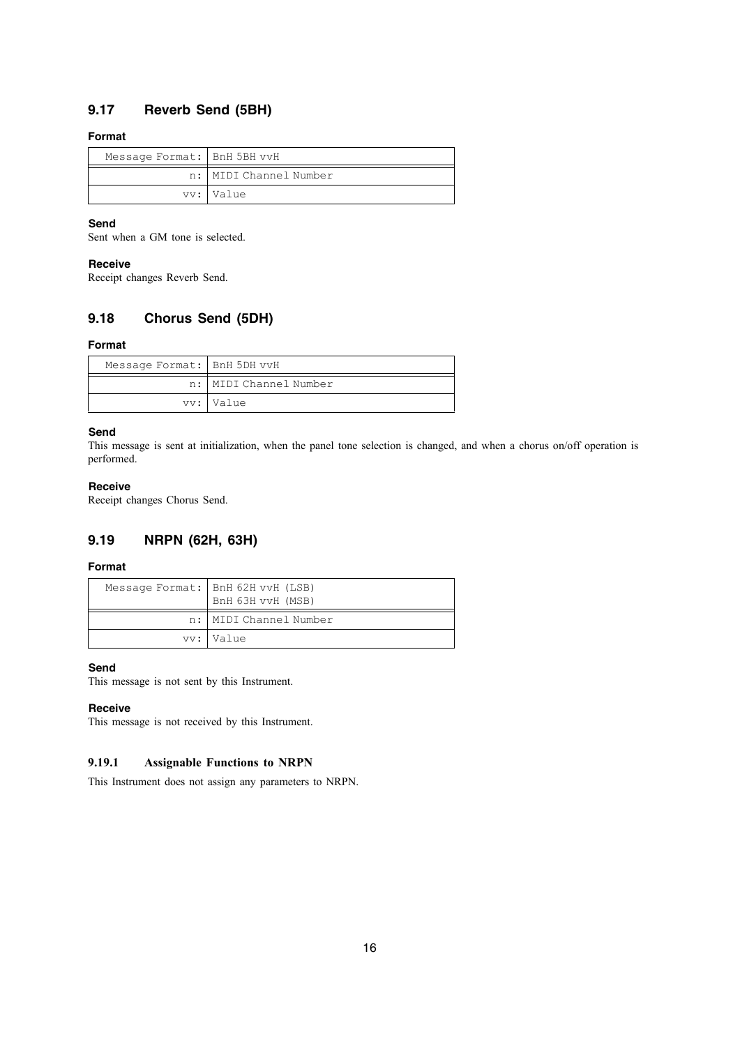## **9.17 Reverb Send (5BH)**

### **Format**

| Message Format: BnH 5BH vvH |                        |
|-----------------------------|------------------------|
|                             | n: MIDI Channel Number |
|                             | vv: Value              |

### **Send**

Sent when a GM tone is selected.

### **Receive**

Receipt changes Reverb Send.

## **9.18 Chorus Send (5DH)**

### **Format**

| Message Format: BnH 5DH vvH |                          |
|-----------------------------|--------------------------|
|                             | n:   MIDI Channel Number |
|                             | vv: Value                |

### **Send**

This message is sent at initialization, when the panel tone selection is changed, and when a chorus on/off operation is performed.

### **Receive**

Receipt changes Chorus Send.

## **9.19 NRPN (62H, 63H)**

### **Format**

| Message Format:   BnH 62H vvH (LSB)<br>BnH 63H vvH (MSB) |
|----------------------------------------------------------|
| n: MIDI Channel Number                                   |
| vv: Value                                                |

### **Send**

This message is not sent by this Instrument.

### **Receive**

This message is not received by this Instrument.

### **9.19.1 Assignable Functions to NRPN**

This Instrument does not assign any parameters to NRPN.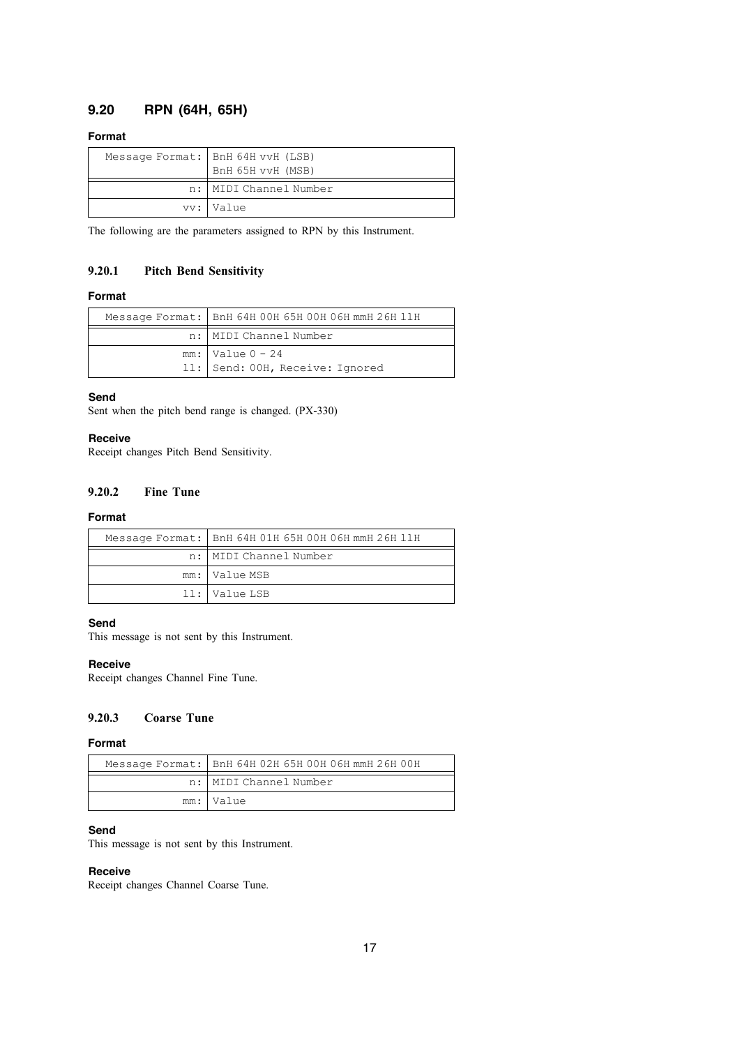## **9.20 RPN (64H, 65H)**

### **Format**

| Message Format:   BnH 64H vvH (LSB)<br>BnH 65H vvH (MSB) |
|----------------------------------------------------------|
| n:   MIDI Channel Number                                 |
| vv:   Value                                              |

The following are the parameters assigned to RPN by this Instrument.

### **9.20.1 Pitch Bend Sensitivity**

### **Format**

| Message Format:   BnH 64H 00H 65H 00H 06H mmH 26H 11H   |
|---------------------------------------------------------|
| n:   MIDI Channel Number                                |
| $mm:$ Value $0 - 24$<br>11: Send: 00H, Receive: Ignored |

### **Send**

Sent when the pitch bend range is changed. (PX-330)

### **Receive**

Receipt changes Pitch Bend Sensitivity.

### **9.20.2 Fine Tune**

### **Format**

| Message Format:   BnH 64H 01H 65H 00H 06H mmH 26H 11H |
|-------------------------------------------------------|
| n:   MIDI Channel Number                              |
| mm: Value MSB                                         |
| 11: Value LSB                                         |

## **Send**

This message is not sent by this Instrument.

### **Receive**

Receipt changes Channel Fine Tune.

### **9.20.3 Coarse Tune**

### **Format**

| Message Format:   BnH 64H 02H 65H 00H 06H mmH 26H 00H |
|-------------------------------------------------------|
| n: MIDI Channel Number                                |
| mm: Value                                             |

## **Send**

This message is not sent by this Instrument.

### **Receive**

Receipt changes Channel Coarse Tune.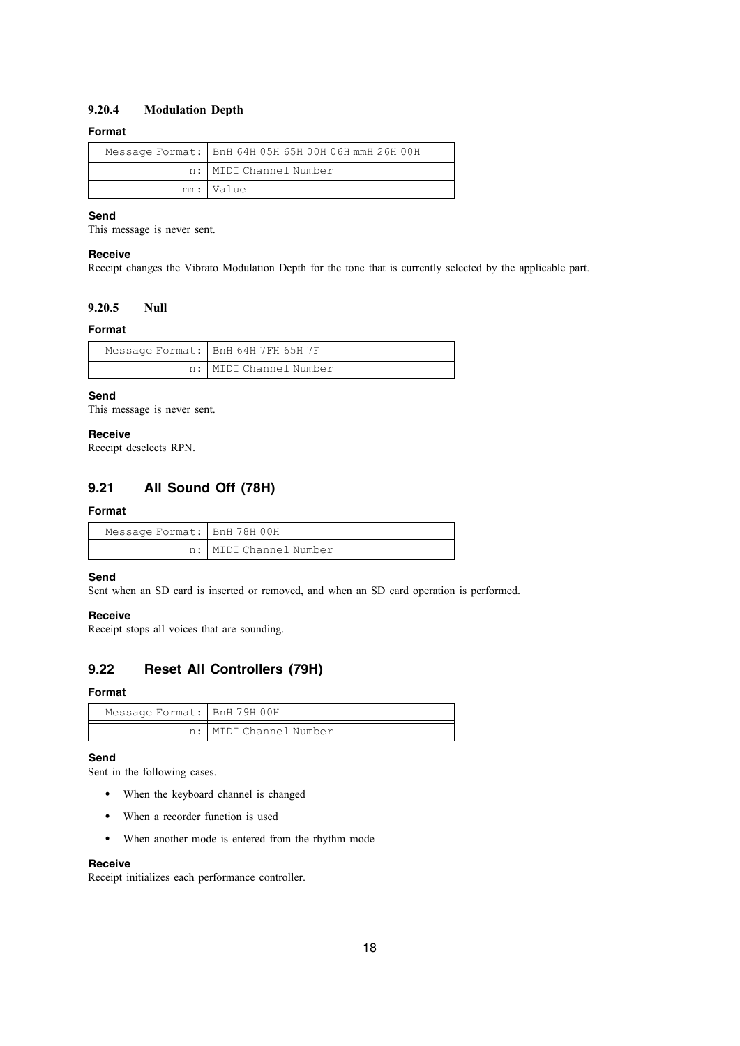### **9.20.4 Modulation Depth**

### **Format**

| Message Format:   BnH 64H 05H 65H 00H 06H mmH 26H 00H |
|-------------------------------------------------------|
| n: MIDI Channel Number                                |
| mm: Value                                             |

### **Send**

This message is never sent.

### **Receive**

Receipt changes the Vibrato Modulation Depth for the tone that is currently selected by the applicable part.

### **9.20.5 Null**

### **Format**

| Message Format:   BnH 64H 7FH 65H 7F |
|--------------------------------------|
| n:   MIDI Channel Number             |

### **Send**

This message is never sent.

### **Receive**

Receipt deselects RPN.

## **9.21 All Sound Off (78H)**

### **Format**

| Message Format: BnH 78H 00H |                        |
|-----------------------------|------------------------|
|                             | n: MIDI Channel Number |

### **Send**

Sent when an SD card is inserted or removed, and when an SD card operation is performed.

### **Receive**

Receipt stops all voices that are sounding.

## **9.22 Reset All Controllers (79H)**

### **Format**

| Message Format: BnH 79H 00H |                        |
|-----------------------------|------------------------|
|                             | n: MIDI Channel Number |

### **Send**

Sent in the following cases.

- When the keyboard channel is changed
- When a recorder function is used
- When another mode is entered from the rhythm mode

### **Receive**

Receipt initializes each performance controller.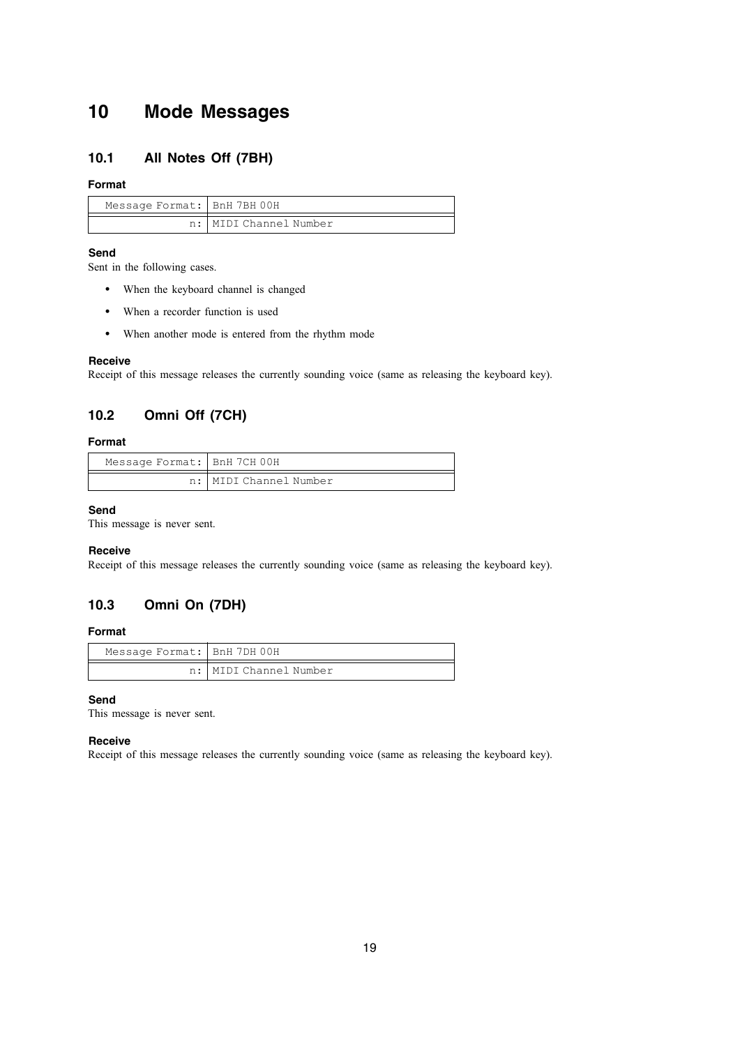## **10 Mode Messages**

## **10.1 All Notes Off (7BH)**

### **Format**

| Message Format: BnH 7BH 00H |                        |
|-----------------------------|------------------------|
|                             | n: MIDI Channel Number |

### **Send**

Sent in the following cases.

- When the keyboard channel is changed
- When a recorder function is used
- When another mode is entered from the rhythm mode

### **Receive**

Receipt of this message releases the currently sounding voice (same as releasing the keyboard key).

## **10.2 Omni Off (7CH)**

### **Format**

| Message Format: BnH 7CH 00H |                        |
|-----------------------------|------------------------|
|                             | n: MIDI Channel Number |

### **Send**

This message is never sent.

### **Receive**

Receipt of this message releases the currently sounding voice (same as releasing the keyboard key).

## **10.3 Omni On (7DH)**

### **Format**

| Message Format: BnH 7DH 00H |                        |
|-----------------------------|------------------------|
|                             | n: MIDI Channel Number |

### **Send**

This message is never sent.

### **Receive**

Receipt of this message releases the currently sounding voice (same as releasing the keyboard key).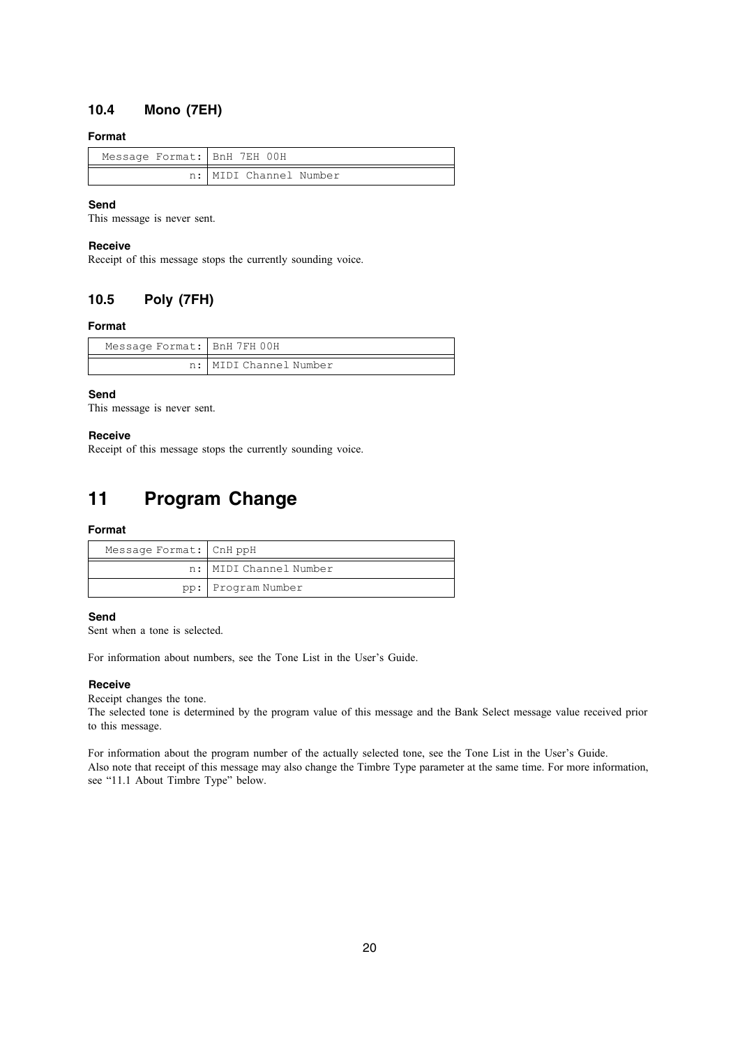## **10.4 Mono (7EH)**

### **Format**

| Message Format: BnH 7EH 00H |                        |
|-----------------------------|------------------------|
|                             | n: MIDI Channel Number |

### **Send**

This message is never sent.

### **Receive**

Receipt of this message stops the currently sounding voice.

## **10.5 Poly (7FH)**

### **Format**

| Message Format: BnH 7FH 00H |                          |
|-----------------------------|--------------------------|
|                             | n:   MIDI Channel Number |

### **Send**

This message is never sent.

### **Receive**

Receipt of this message stops the currently sounding voice.

## **11 Program Change**

### **Format**

| Message Format: CnH ppH |                        |
|-------------------------|------------------------|
|                         | n: MIDI Channel Number |
|                         | pp: Program Number     |

### **Send**

Sent when a tone is selected.

For information about numbers, see the Tone List in the User's Guide.

### **Receive**

Receipt changes the tone.

The selected tone is determined by the program value of this message and the Bank Select message value received prior to this message.

For information about the program number of the actually selected tone, see the Tone List in the User's Guide. Also note that receipt of this message may also change the Timbre Type parameter at the same time. For more information, see "11.1 About Timbre Type" below.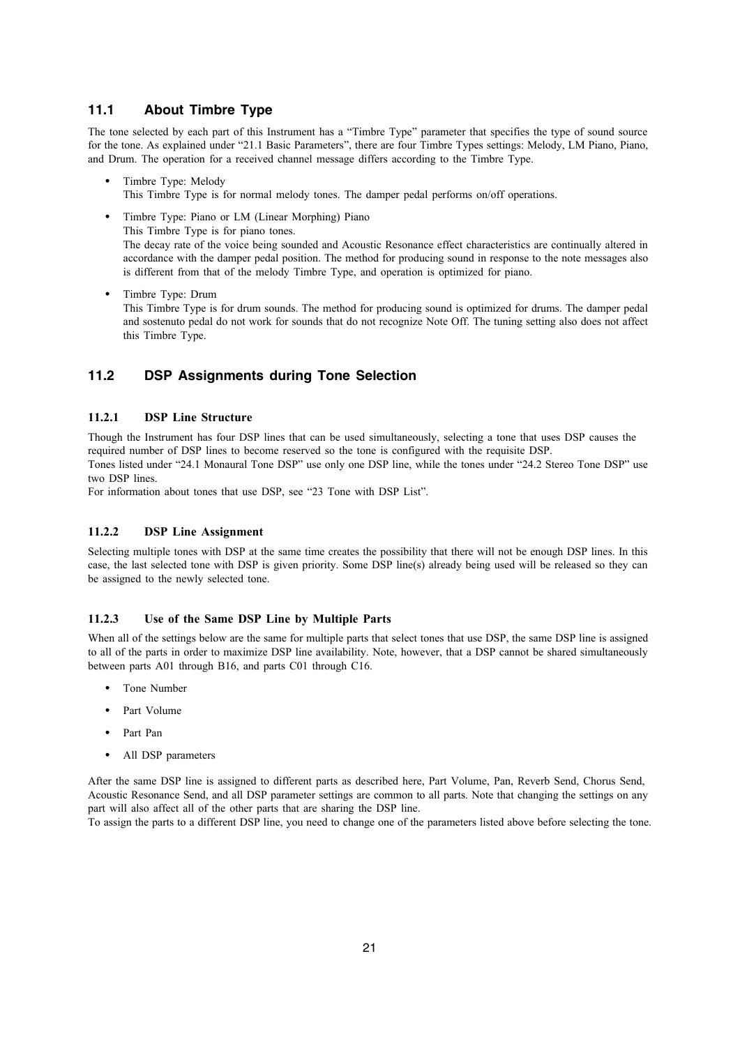### **11.1 About Timbre Type**

The tone selected by each part of this Instrument has a "Timbre Type" parameter that specifies the type of sound source for the tone. As explained under "21.1 Basic Parameters", there are four Timbre Types settings: Melody, LM Piano, Piano, and Drum. The operation for a received channel message differs according to the Timbre Type.

- Timbre Type: Melody This Timbre Type is for normal melody tones. The damper pedal performs on/off operations.
- Timbre Type: Piano or LM (Linear Morphing) Piano This Timbre Type is for piano tones. The decay rate of the voice being sounded and Acoustic Resonance effect characteristics are continually altered in accordance with the damper pedal position. The method for producing sound in response to the note messages also is different from that of the melody Timbre Type, and operation is optimized for piano.
- Timbre Type: Drum This Timbre Type is for drum sounds. The method for producing sound is optimized for drums. The damper pedal and sostenuto pedal do not work for sounds that do not recognize Note Off. The tuning setting also does not affect this Timbre Type.

## **11.2 DSP Assignments during Tone Selection**

### **11.2.1 DSP Line Structure**

Though the Instrument has four DSP lines that can be used simultaneously, selecting a tone that uses DSP causes the required number of DSP lines to become reserved so the tone is configured with the requisite DSP. Tones listed under "24.1 Monaural Tone DSP" use only one DSP line, while the tones under "24.2 Stereo Tone DSP" use two DSP lines.

For information about tones that use DSP, see "23 Tone with DSP List".

### **11.2.2 DSP Line Assignment**

Selecting multiple tones with DSP at the same time creates the possibility that there will not be enough DSP lines. In this case, the last selected tone with DSP is given priority. Some DSP line(s) already being used will be released so they can be assigned to the newly selected tone.

### **11.2.3 Use of the Same DSP Line by Multiple Parts**

When all of the settings below are the same for multiple parts that select tones that use DSP, the same DSP line is assigned to all of the parts in order to maximize DSP line availability. Note, however, that a DSP cannot be shared simultaneously between parts A01 through B16, and parts C01 through C16.

- Tone Number
- Part Volume
- Part Pan
- All DSP parameters

After the same DSP line is assigned to different parts as described here, Part Volume, Pan, Reverb Send, Chorus Send, Acoustic Resonance Send, and all DSP parameter settings are common to all parts. Note that changing the settings on any part will also affect all of the other parts that are sharing the DSP line.

To assign the parts to a different DSP line, you need to change one of the parameters listed above before selecting the tone.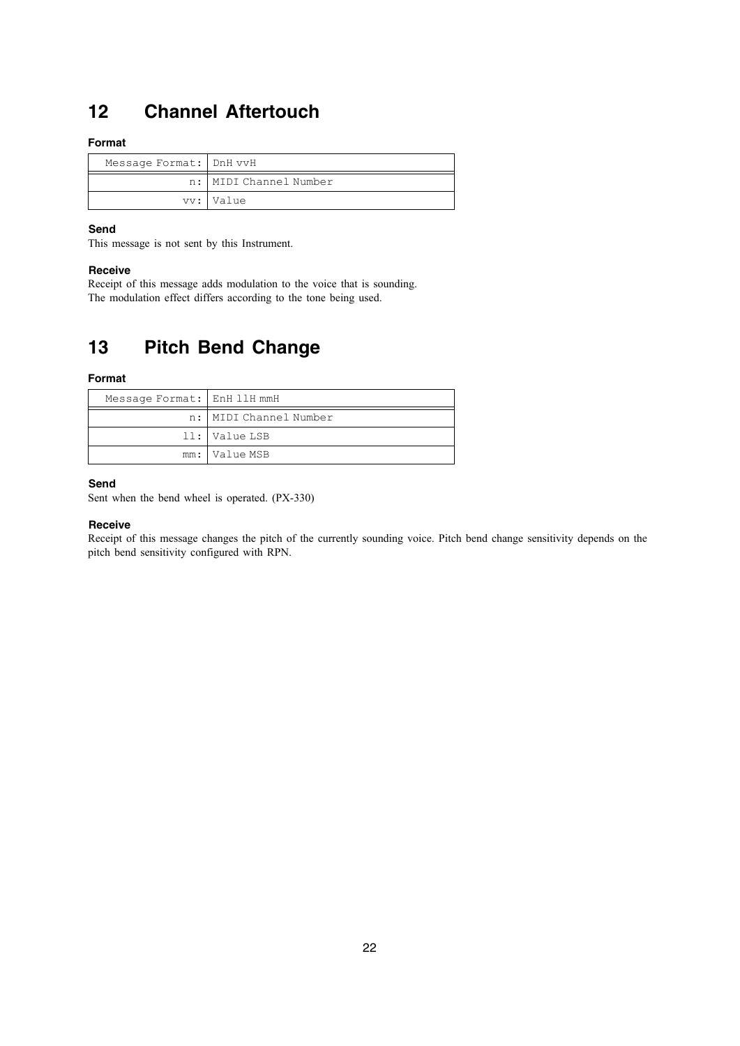## **12 Channel Aftertouch**

### **Format**

| Message Format:   DnH vvH |                        |
|---------------------------|------------------------|
|                           | n: MIDI Channel Number |
|                           | vv: Value              |

### **Send**

This message is not sent by this Instrument.

### **Receive**

Receipt of this message adds modulation to the voice that is sounding. The modulation effect differs according to the tone being used.

## **13 Pitch Bend Change**

### **Format**

| Message Format: EnH 11H mmH |                          |
|-----------------------------|--------------------------|
|                             | n:   MIDI Channel Number |
|                             | 11: Value LSB            |
|                             | mm:   Value MSB          |

### **Send**

Sent when the bend wheel is operated. (PX-330)

### **Receive**

Receipt of this message changes the pitch of the currently sounding voice. Pitch bend change sensitivity depends on the pitch bend sensitivity configured with RPN.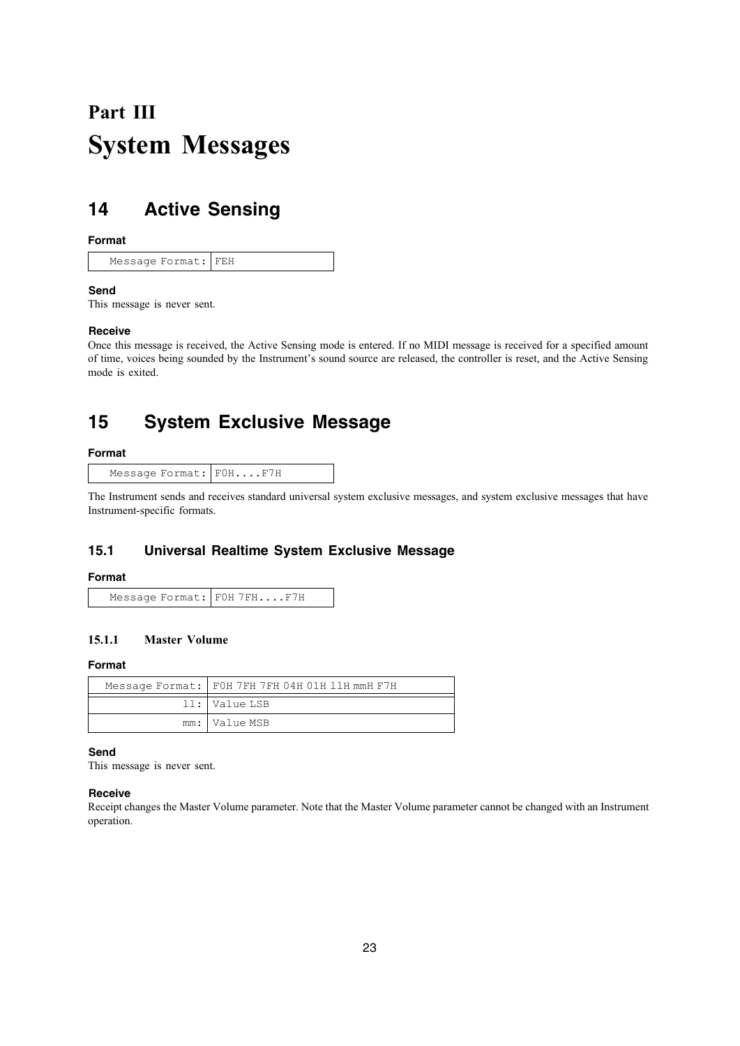# **Part III System Messages**

## **14 Active Sensing**

### **Format**

Message Format: FEH

### **Send**

This message is never sent.

### **Receive**

Once this message is received, the Active Sensing mode is entered. If no MIDI message is received for a specified amount of time, voices being sounded by the Instrument's sound source are released, the controller is reset, and the Active Sensing mode is exited.

## **15 System Exclusive Message**

### **Format**

| Message Format: FOHF7H |
|------------------------|
|------------------------|

The Instrument sends and receives standard universal system exclusive messages, and system exclusive messages that have Instrument-specific formats.

## **15.1 Universal Realtime System Exclusive Message**

### **Format**

| Message Format: FOH 7FHF7H |
|----------------------------|
|----------------------------|

## **15.1.1 Master Volume**

### **Format**

| Message Format:   FOH 7FH 7FH 04H 01H 11H mmH F7H |
|---------------------------------------------------|
| ll:   Value LSB                                   |
| mm: Value MSB                                     |

**Send**

This message is never sent.

### **Receive**

Receipt changes the Master Volume parameter. Note that the Master Volume parameter cannot be changed with an Instrument operation.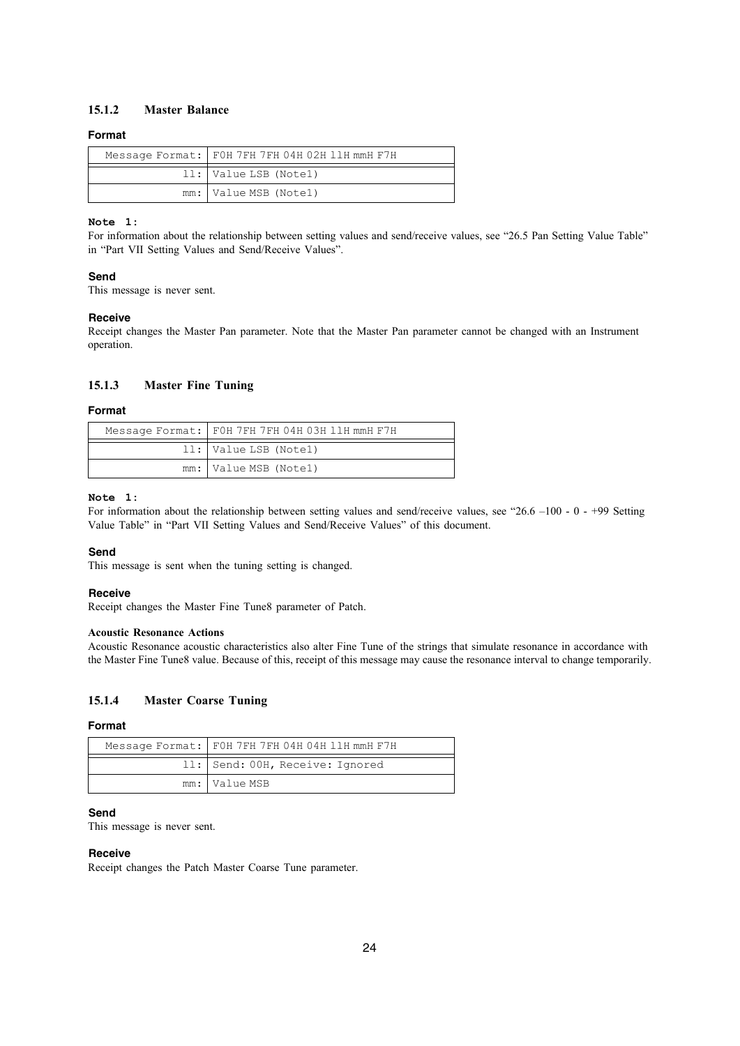### **15.1.2 Master Balance**

### **Format**

| Message Format:   FOH 7FH 7FH 04H 02H 11H mmH F7H |
|---------------------------------------------------|
| 11: Value LSB (Note1)                             |
| mm: Value MSB (Notel)                             |

### **Note 1:**

For information about the relationship between setting values and send/receive values, see "26.5 Pan Setting Value Table" in "Part VII Setting Values and Send/Receive Values".

### **Send**

This message is never sent.

### **Receive**

Receipt changes the Master Pan parameter. Note that the Master Pan parameter cannot be changed with an Instrument operation.

### **15.1.3 Master Fine Tuning**

### **Format**

| Message Format: FOH 7FH 7FH 04H 03H 11H mmH F7H |
|-------------------------------------------------|
| 11: Value LSB (Note1)                           |
| mm: Value MSB (Notel)                           |

### **Note 1:**

For information about the relationship between setting values and send/receive values, see "26.6 –100 - 0 - +99 Setting Value Table" in "Part VII Setting Values and Send/Receive Values" of this document.

### **Send**

This message is sent when the tuning setting is changed.

### **Receive**

Receipt changes the Master Fine Tune8 parameter of Patch.

### **Acoustic Resonance Actions**

Acoustic Resonance acoustic characteristics also alter Fine Tune of the strings that simulate resonance in accordance with the Master Fine Tune8 value. Because of this, receipt of this message may cause the resonance interval to change temporarily.

### **15.1.4 Master Coarse Tuning**

### **Format**

| Message Format: FOH 7FH 7FH 04H 04H 11H mmH F7H |
|-------------------------------------------------|
| 11: Send: 00H, Receive: Ignored                 |
| mm: Value MSB                                   |

### **Send**

This message is never sent.

#### **Receive**

Receipt changes the Patch Master Coarse Tune parameter.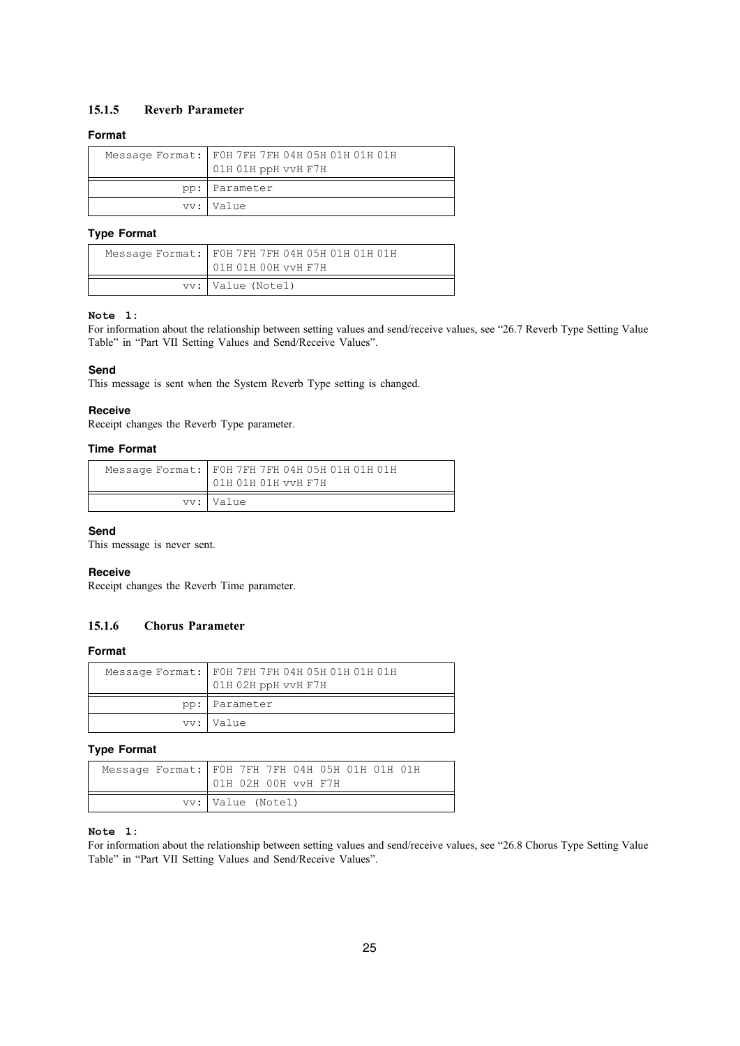### **15.1.5 Reverb Parameter**

### **Format**

| Message Format:   FOH 7FH 7FH 04H 05H 01H 01H 01H<br>01H 01H ppH vvH F7H |
|--------------------------------------------------------------------------|
| pp: Parameter                                                            |
| vv: Value                                                                |

### **Type Format**

| Message Format:   FOH 7FH 7FH 04H 05H 01H 01H 01H<br>01H 01H 00H vvH F7H |
|--------------------------------------------------------------------------|
| vv:   Value (Notel)                                                      |

### **Note 1:**

For information about the relationship between setting values and send/receive values, see "26.7 Reverb Type Setting Value Table" in "Part VII Setting Values and Send/Receive Values".

### **Send**

This message is sent when the System Reverb Type setting is changed.

### **Receive**

Receipt changes the Reverb Type parameter.

### **Time Format**

| Message Format:   FOH 7FH 7FH 04H 05H 01H 01H 01H<br>01H 01H 01H vvH F7H |
|--------------------------------------------------------------------------|
| vy: Value                                                                |

### **Send**

This message is never sent.

### **Receive**

Receipt changes the Reverb Time parameter.

### **15.1.6 Chorus Parameter**

### **Format**

| Message Format:   FOH 7FH 7FH 04H 05H 01H 01H 01H<br>01H 02H ppH vvH F7H |
|--------------------------------------------------------------------------|
| pp: Parameter                                                            |
| vv:   Value                                                              |

### **Type Format**

| Message Format: FOH 7FH 7FH 04H 05H 01H 01H 01H<br>01H 02H 00H vvH F7H |
|------------------------------------------------------------------------|
| vv: Value (Notel)                                                      |

### **Note 1:**

For information about the relationship between setting values and send/receive values, see "26.8 Chorus Type Setting Value Table" in "Part VII Setting Values and Send/Receive Values".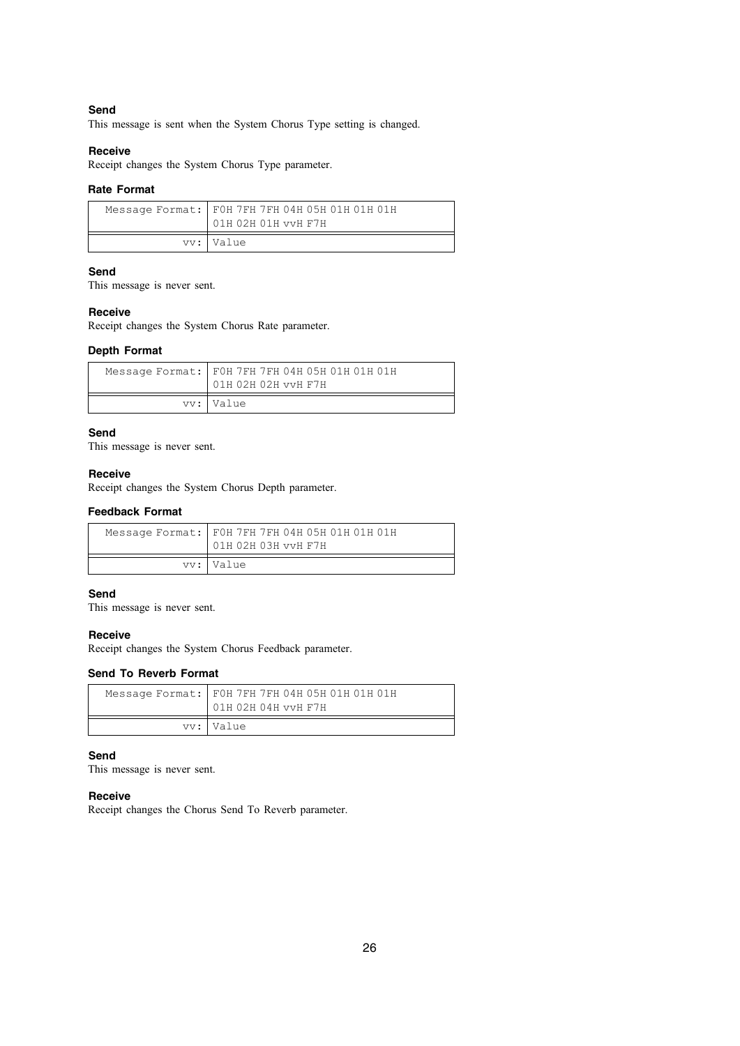### **Send**

This message is sent when the System Chorus Type setting is changed.

### **Receive**

Receipt changes the System Chorus Type parameter.

### **Rate Format**

| Message Format:   FOH 7FH 7FH 04H 05H 01H 01H 01H<br>01H 02H 01H vvH F7H |
|--------------------------------------------------------------------------|
| vv: Value                                                                |

### **Send**

This message is never sent.

#### **Receive**

Receipt changes the System Chorus Rate parameter.

### **Depth Format**

| Message Format:   FOH 7FH 7FH 04H 05H 01H 01H 01H<br>01H 02H 02H vvH F7H |
|--------------------------------------------------------------------------|
| vv: Value                                                                |

### **Send**

This message is never sent.

#### **Receive**

Receipt changes the System Chorus Depth parameter.

### **Feedback Format**

| Message Format:   FOH 7FH 7FH 04H 05H 01H 01H 01H<br>01H 02H 03H vvH F7H |
|--------------------------------------------------------------------------|
| vv: Value                                                                |

### **Send**

This message is never sent.

### **Receive**

Receipt changes the System Chorus Feedback parameter.

### **Send To Reverb Format**

| Message Format:   FOH 7FH 7FH 04H 05H 01H 01H 01H<br>01H 02H 04H vvH F7H |
|--------------------------------------------------------------------------|
| vv: Value                                                                |

### **Send**

This message is never sent.

### **Receive**

Receipt changes the Chorus Send To Reverb parameter.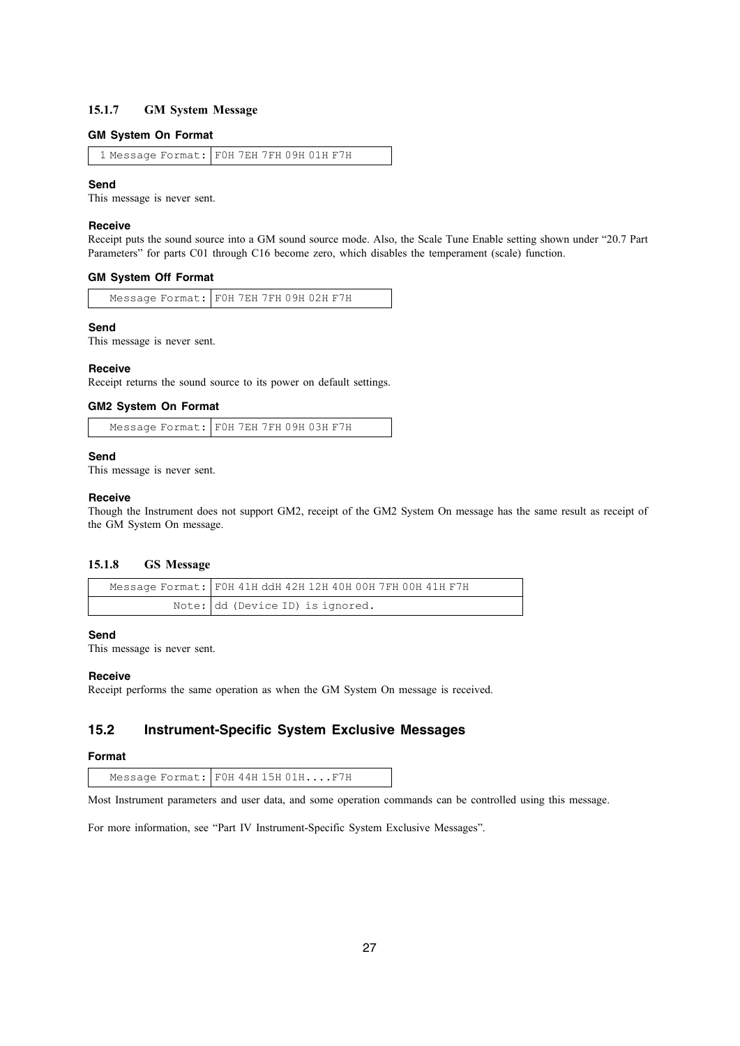### **15.1.7 GM System Message**

### **GM System On Format**

```
1 Message Format: F0H 7EH 7FH 09H 01H F7H
```
### **Send**

This message is never sent.

#### **Receive**

Receipt puts the sound source into a GM sound source mode. Also, the Scale Tune Enable setting shown under "20.7 Part Parameters" for parts C01 through C16 become zero, which disables the temperament (scale) function.

### **GM System Off Format**

Message Format: F0H 7EH 7FH 09H 02H F7H

### **Send**

This message is never sent.

#### **Receive**

Receipt returns the sound source to its power on default settings.

### **GM2 System On Format**

Message Format: F0H 7EH 7FH 09H 03H F7H

### **Send**

This message is never sent.

### **Receive**

Though the Instrument does not support GM2, receipt of the GM2 System On message has the same result as receipt of the GM System On message.

### **15.1.8 GS Message**

| Message Format: F0H 41H ddH 42H 12H 40H 00H 7FH 00H 41H F7H |
|-------------------------------------------------------------|
| Note: dd (Device ID) is ignored.                            |

### **Send**

This message is never sent.

### **Receive**

Receipt performs the same operation as when the GM System On message is received.

## **15.2 Instrument-Specific System Exclusive Messages**

#### **Format**

Message Format: FOH 44H 15H 01H....F7H

Most Instrument parameters and user data, and some operation commands can be controlled using this message.

For more information, see "Part IV Instrument-Specific System Exclusive Messages".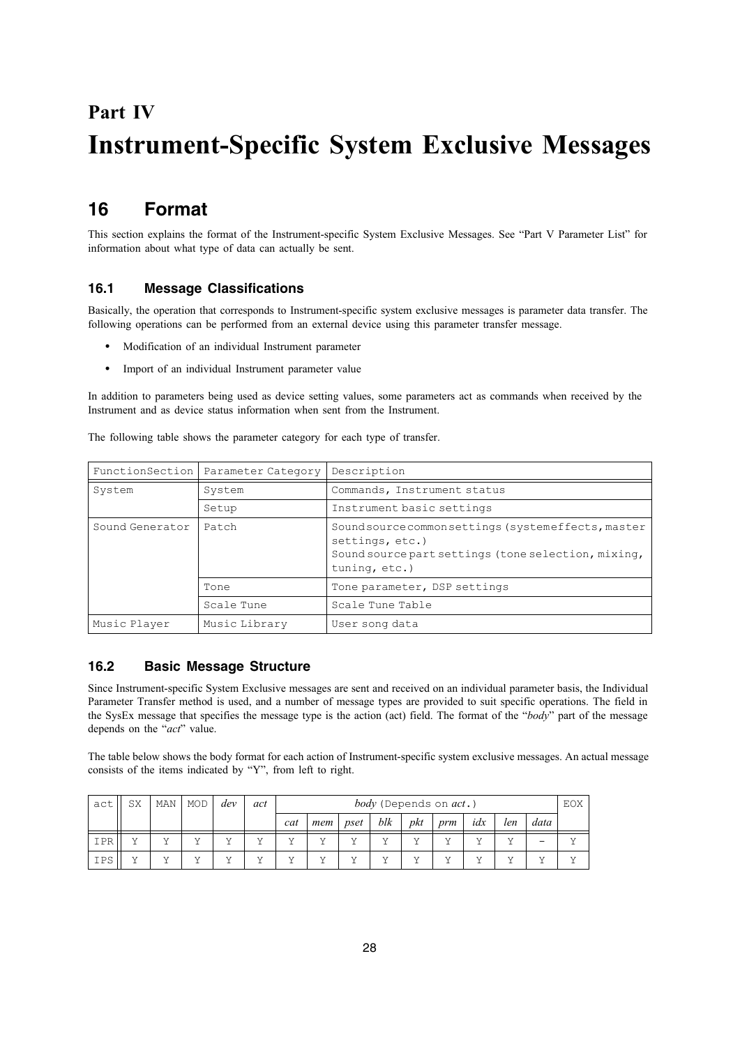# **Part IV Instrument-Specific System Exclusive Messages**

## **16 Format**

This section explains the format of the Instrument-specific System Exclusive Messages. See "Part V Parameter List" for information about what type of data can actually be sent.

## **16.1 Message Classifications**

Basically, the operation that corresponds to Instrument-specific system exclusive messages is parameter data transfer. The following operations can be performed from an external device using this parameter transfer message.

- Modification of an individual Instrument parameter
- Import of an individual Instrument parameter value

In addition to parameters being used as device setting values, some parameters act as commands when received by the Instrument and as device status information when sent from the Instrument.

The following table shows the parameter category for each type of transfer.

|                 | FunctionSection   Parameter Category | Description                                                                                                                                    |  |  |  |  |
|-----------------|--------------------------------------|------------------------------------------------------------------------------------------------------------------------------------------------|--|--|--|--|
| System          | System                               | Commands, Instrument status                                                                                                                    |  |  |  |  |
|                 | Setup                                | Instrument basic settings                                                                                                                      |  |  |  |  |
| Sound Generator | Patch                                | Sound source common settings (systemeffects, master<br>settings, etc.)<br>Sound source part settings (tone selection, mixing,<br>tuning, etc.) |  |  |  |  |
|                 | Tone                                 | Tone parameter, DSP settings                                                                                                                   |  |  |  |  |
|                 | Scale Tune                           | Scale Tune Table                                                                                                                               |  |  |  |  |
| Music Player    | Music Library                        | User song data                                                                                                                                 |  |  |  |  |

## **16.2 Basic Message Structure**

Since Instrument-specific System Exclusive messages are sent and received on an individual parameter basis, the Individual Parameter Transfer method is used, and a number of message types are provided to suit specific operations. The field in the SysEx message that specifies the message type is the action (act) field. The format of the "*body*" part of the message depends on the "*act*" value.

The table below shows the body format for each action of Instrument-specific system exclusive messages. An actual message consists of the items indicated by "Y", from left to right.

| act | SX | MAN | <b>MOD</b> | dev | act |          |     |      |        |           | <i>body</i> (Depends on <i>act</i> .) |     |     |      | EOX      |
|-----|----|-----|------------|-----|-----|----------|-----|------|--------|-----------|---------------------------------------|-----|-----|------|----------|
|     |    |     |            |     |     | cat      | mem | pset | blk    | pkt       | prm                                   | idx | len | data |          |
| IPR |    | . . | . .        | . . |     | <b>T</b> | 37  | . .  | $\tau$ | T         |                                       | 37  |     | -    |          |
| IPS | 37 |     | ۳.۶        | . . |     | <b>T</b> | 37  | . .  | 37     | <b>TT</b> | . .                                   | 37  |     | 37   | <b>T</b> |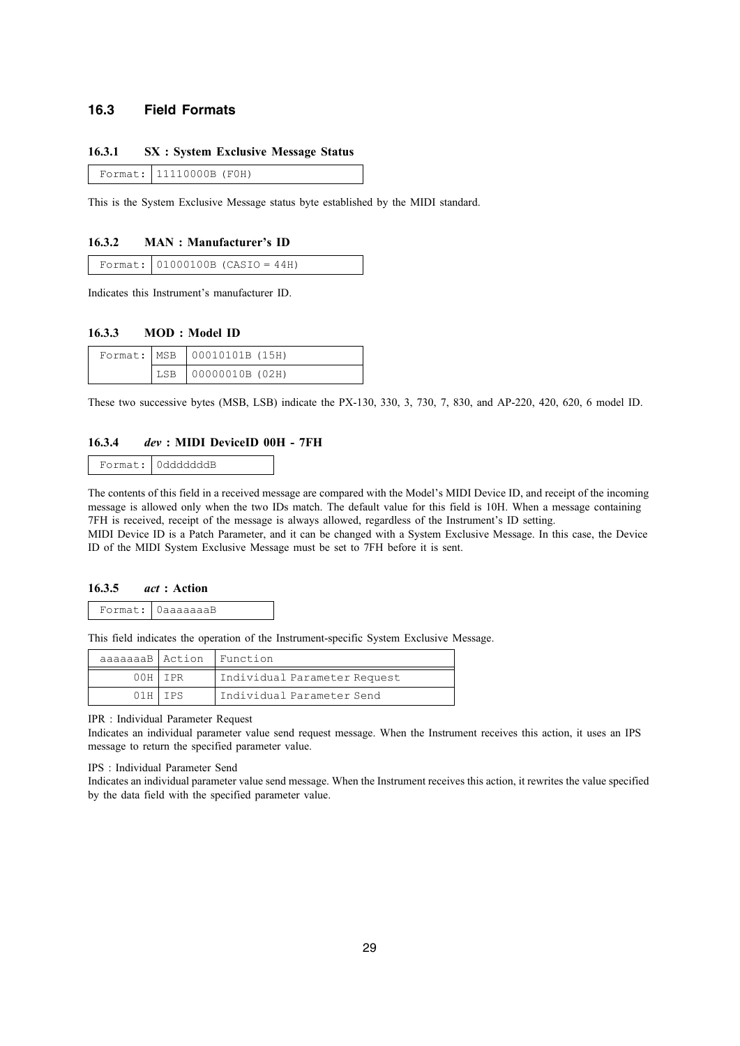### **16.3 Field Formats**

### **16.3.1 SX : System Exclusive Message Status**

Format: 11110000B (F0H)

This is the System Exclusive Message status byte established by the MIDI standard.

### **16.3.2 MAN : Manufacturer's ID**

|  |  | Format: $01000100B$ (CASIO = 44H) |  |
|--|--|-----------------------------------|--|
|--|--|-----------------------------------|--|

Indicates this Instrument's manufacturer ID.

### **16.3.3 MOD : Model ID**

|  | Format:   MSB   00010101B (15H) |
|--|---------------------------------|
|  | LSB 00000010B (02H)             |

These two successive bytes (MSB, LSB) indicate the PX-130, 330, 3, 730, 7, 830, and AP-220, 420, 620, 6 model ID.

### **16.3.4** *dev* **: MIDI DeviceID 00H - 7FH**

```
Format: 0dddddddB
```
The contents of this field in a received message are compared with the Model's MIDI Device ID, and receipt of the incoming message is allowed only when the two IDs match. The default value for this field is 10H. When a message containing 7FH is received, receipt of the message is always allowed, regardless of the Instrument's ID setting. MIDI Device ID is a Patch Parameter, and it can be changed with a System Exclusive Message. In this case, the Device ID of the MIDI System Exclusive Message must be set to 7FH before it is sent.

#### **16.3.5** *act* **: Action**

|  | Format:   OaaaaaaaB |
|--|---------------------|
|--|---------------------|

This field indicates the operation of the Instrument-specific System Exclusive Message.

|     |         | aaaaaaaB Action Function     |
|-----|---------|------------------------------|
| 00H | I PR    | Individual Parameter Request |
|     | 01H IPS | Individual Parameter Send    |

IPR : Individual Parameter Request

Indicates an individual parameter value send request message. When the Instrument receives this action, it uses an IPS message to return the specified parameter value.

IPS : Individual Parameter Send

Indicates an individual parameter value send message. When the Instrument receives this action, it rewrites the value specified by the data field with the specified parameter value.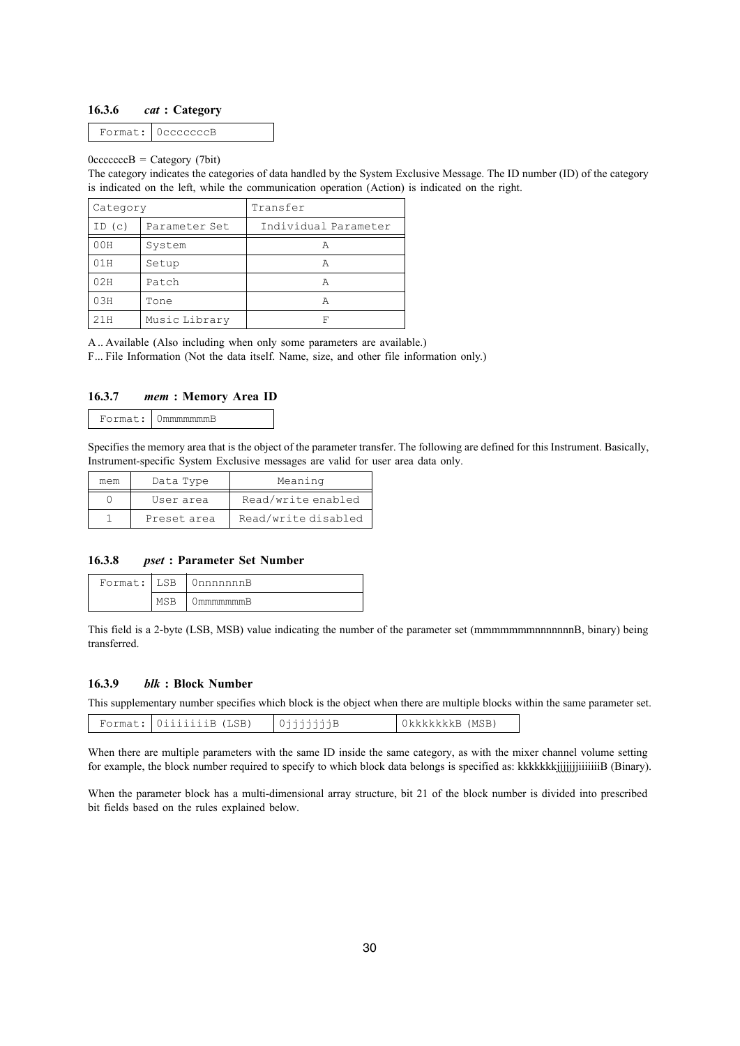### **16.3.6** *cat* **: Category**

Format: 0cccccccB

### $0cccccccB = CategorV$  (7bit)

The category indicates the categories of data handled by the System Exclusive Message. The ID number (ID) of the category is indicated on the left, while the communication operation (Action) is indicated on the right.

| Category    |               | Transfer             |
|-------------|---------------|----------------------|
| ID(C)       | Parameter Set | Individual Parameter |
| 00H         | System        | А                    |
| 01H         | Setup         | А                    |
| 02H         | Patch         | А                    |
| 03H<br>Tone |               | А                    |
| 21H         | Music Library | F                    |

A .. Available (Also including when only some parameters are available.)

F... File Information (Not the data itself. Name, size, and other file information only.)

### **16.3.7** *mem* **: Memory Area ID**

|  | Format: OmmmmmmmB |
|--|-------------------|
|--|-------------------|

Specifies the memory area that is the object of the parameter transfer. The following are defined for this Instrument. Basically, Instrument-specific System Exclusive messages are valid for user area data only.

| mem | Data Type   | Meaning             |  |  |
|-----|-------------|---------------------|--|--|
|     | User area   | Read/write enabled  |  |  |
|     | Preset area | Read/write disabled |  |  |

### **16.3.8** *pset* **: Parameter Set Number**

|     | Format: LSB 0nnnnnnnR |
|-----|-----------------------|
| MSR | mmmmmmmR              |

This field is a 2-byte (LSB, MSB) value indicating the number of the parameter set (mmmmmmmnnnnnnnB, binary) being transferred.

### **16.3.9** *blk* **: Block Number**

This supplementary number specifies which block is the object when there are multiple blocks within the same parameter set.

|  |  | OiiiiiiiB (LSB) |  | (MSB<br>JkkkkkkkR 1 |
|--|--|-----------------|--|---------------------|
|--|--|-----------------|--|---------------------|

When there are multiple parameters with the same ID inside the same category, as with the mixer channel volume setting for example, the block number required to specify to which block data belongs is specified as: kkkkkkkijjjjjjiiiiiiiiB (Binary).

When the parameter block has a multi-dimensional array structure, bit 21 of the block number is divided into prescribed bit fields based on the rules explained below.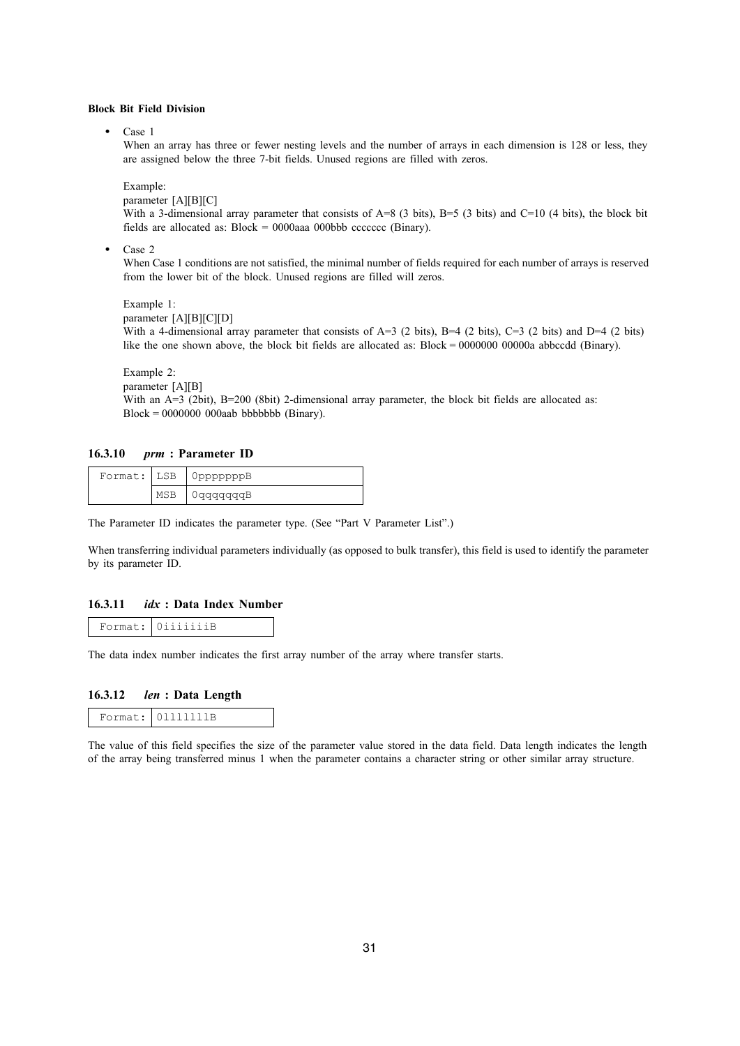### **Block Bit Field Division**

• Case 1

When an array has three or fewer nesting levels and the number of arrays in each dimension is 128 or less, they are assigned below the three 7-bit fields. Unused regions are filled with zeros.

Example:

parameter [A][B][C]

With a 3-dimensional array parameter that consists of A=8 (3 bits), B=5 (3 bits) and C=10 (4 bits), the block bit fields are allocated as:  $Block = 0000$ aaa 000bbb ccccccc (Binary).

Case 2

When Case 1 conditions are not satisfied, the minimal number of fields required for each number of arrays is reserved from the lower bit of the block. Unused regions are filled will zeros.

Example 1: parameter [A][B][C][D] With a 4-dimensional array parameter that consists of A=3 (2 bits), B=4 (2 bits), C=3 (2 bits) and D=4 (2 bits) like the one shown above, the block bit fields are allocated as: Block = 0000000 00000a abbccdd (Binary).

Example 2:

parameter [A][B]

With an A=3 (2bit), B=200 (8bit) 2-dimensional array parameter, the block bit fields are allocated as: Block = 0000000 000aab bbbbbbb (Binary).

### **16.3.10** *prm* **: Parameter ID**

|     | Format: LSB OpppppppB                                   |
|-----|---------------------------------------------------------|
| MSP | $\sim$ $\sim$ $\sim$ $\sim$ $\sim$ $\sim$ $\sim$ $\sim$ |

The Parameter ID indicates the parameter type. (See "Part V Parameter List".)

When transferring individual parameters individually (as opposed to bulk transfer), this field is used to identify the parameter by its parameter ID.

### **16.3.11** *idx* **: Data Index Number**

| _____ | Format: I Oiiiiiii |
|-------|--------------------|
|-------|--------------------|

The data index number indicates the first array number of the array where transfer starts.

### **16.3.12** *len* **: Data Length**

|  | Format: 01111111B |
|--|-------------------|
|--|-------------------|

The value of this field specifies the size of the parameter value stored in the data field. Data length indicates the length of the array being transferred minus 1 when the parameter contains a character string or other similar array structure.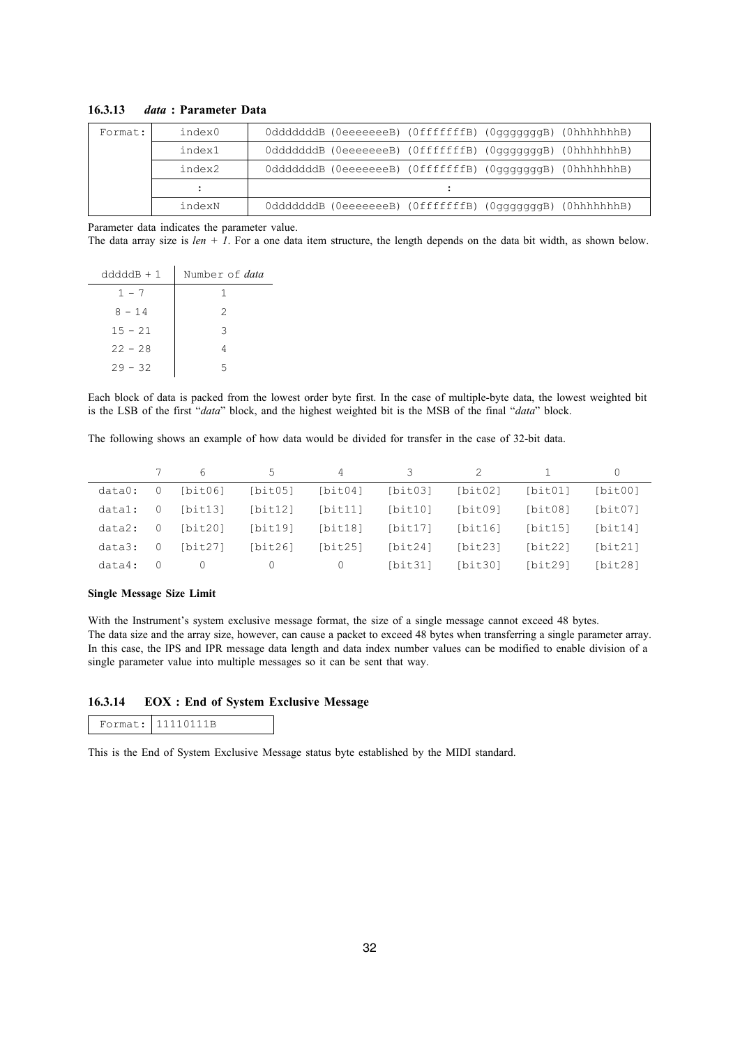| Format: | index0 | 0dddddddB (0eeeeeeeB) (0fffffffB) (0gggggggB) (0hhhhhhhB) |
|---------|--------|-----------------------------------------------------------|
|         | index1 | 0dddddddB (0eeeeeeeB) (0fffffffB) (0gggggggB) (0hhhhhhhB) |
|         | index2 | 0dddddddB (0eeeeeeeB) (0fffffffB) (0gggggggB) (0hhhhhhhB) |
|         |        |                                                           |
|         | indexN | OdddddddB (OeeeeeeeB) (OfffffffB) (OgggggggB) (OhhhhhhhB) |

### **16.3.13** *data* **: Parameter Data**

Parameter data indicates the parameter value.

The data array size is *len + 1*. For a one data item structure, the length depends on the data bit width, as shown below.

| $d d d d B + 1$ | Number of data |
|-----------------|----------------|
| $1 - 7$         |                |
| $8 - 14$        | 2              |
| $15 - 21$       | २              |
| $22 - 28$       |                |
| $29 - 32$       | 5              |

Each block of data is packed from the lowest order byte first. In the case of multiple-byte data, the lowest weighted bit is the LSB of the first "*data*" block, and the highest weighted bit is the MSB of the final "*data*" block.

The following shows an example of how data would be divided for transfer in the case of 32-bit data.

|        |          | 6        | 5.       | 4        | 3.              | 2       |         | $\Omega$ |
|--------|----------|----------|----------|----------|-----------------|---------|---------|----------|
| data0: | $\Omega$ | [bit06]  | [bit05]  |          | [bit04] [bit03] | [bit02] | [bit01] | [bit00]  |
| datal: | $\Omega$ | [bit13]  | [bit12]  | [bit11]  | [bit10]         | [bit09] | [bit08] | [bit07]  |
| data2: | - 0      | [bit20]  | [bit19]  | [bit18]  | [bit17]         | [bit16] | [bit15] | [bit14]  |
| data3: | $\Omega$ | [bit27]  | [bit26]  | [bit25]  | [bit24]         | [bit23] | [bit22] | [bit21]  |
| data4: |          | $\Omega$ | $\left($ | $\Omega$ | [bit31]         | [bit30] | [bit29] | [bit28]  |

### **Single Message Size Limit**

With the Instrument's system exclusive message format, the size of a single message cannot exceed 48 bytes. The data size and the array size, however, can cause a packet to exceed 48 bytes when transferring a single parameter array. In this case, the IPS and IPR message data length and data index number values can be modified to enable division of a single parameter value into multiple messages so it can be sent that way.

### **16.3.14 EOX : End of System Exclusive Message**

| ermat: IP<br>$\cdots$ | 1110111n |
|-----------------------|----------|
|-----------------------|----------|

This is the End of System Exclusive Message status byte established by the MIDI standard.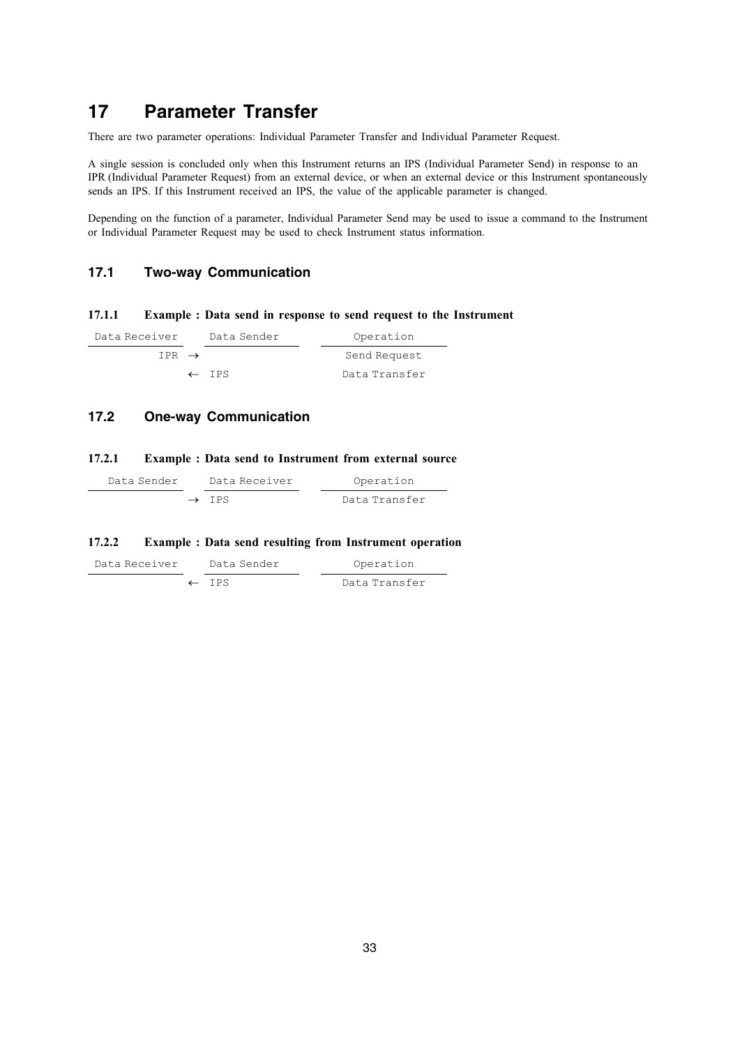## **17 Parameter Transfer**

There are two parameter operations: Individual Parameter Transfer and Individual Parameter Request.

A single session is concluded only when this Instrument returns an IPS (Individual Parameter Send) in response to an IPR (Individual Parameter Request) from an external device, or when an external device or this Instrument spontaneously sends an IPS. If this Instrument received an IPS, the value of the applicable parameter is changed.

Depending on the function of a parameter, Individual Parameter Send may be used to issue a command to the Instrument or Individual Parameter Request may be used to check Instrument status information.

### **17.1 Two-way Communication**

### **17.1.1 Example : Data send in response to send request to the Instrument**

| Data Receiver     | Data Sender      | Operation     |  |
|-------------------|------------------|---------------|--|
| TPR $\rightarrow$ |                  | Send Request  |  |
|                   | $\leftarrow$ TPS | Data Transfer |  |

## **17.2 One-way Communication**

### **17.2.1 Example : Data send to Instrument from external source**

| Data Sender | Data Receiver     | Operation     |
|-------------|-------------------|---------------|
|             | $\rightarrow$ TPS | Data Transfer |

### **17.2.2 Example : Data send resulting from Instrument operation**

| Data Receiver | Data Sender      | Operation     |
|---------------|------------------|---------------|
|               | $\leftarrow$ TPS | Data Transfer |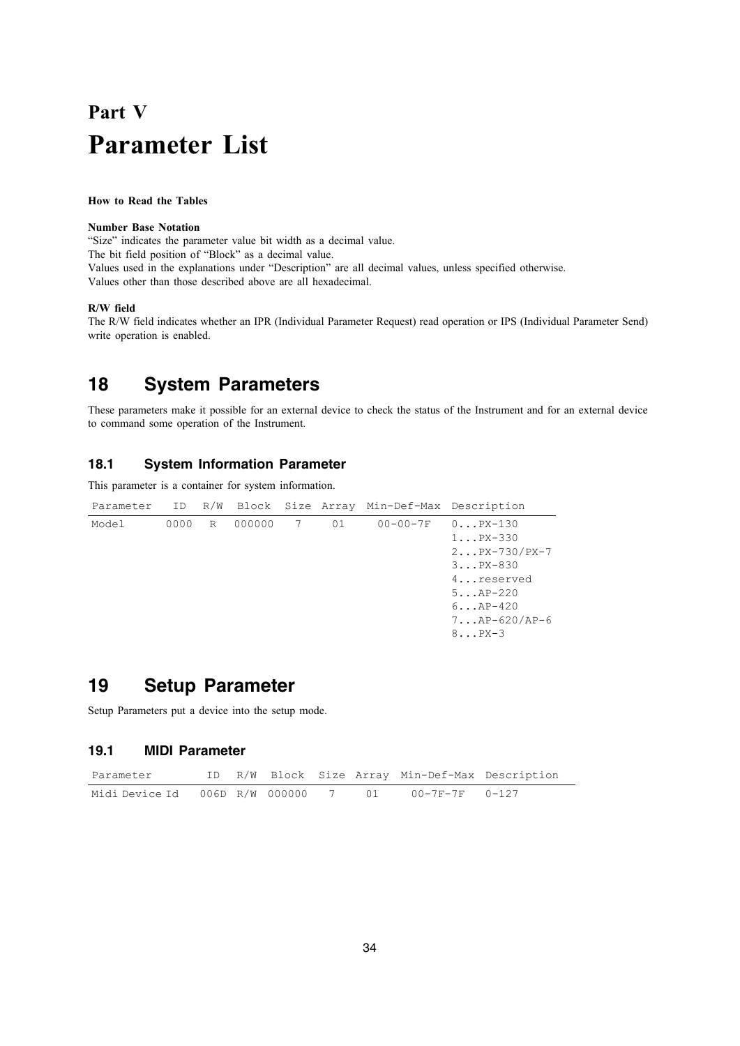# **Part V Parameter List**

### **How to Read the Tables**

### **Number Base Notation**

"Size" indicates the parameter value bit width as a decimal value. The bit field position of "Block" as a decimal value. Values used in the explanations under "Description" are all decimal values, unless specified otherwise. Values other than those described above are all hexadecimal.

### **R/W field**

The R/W field indicates whether an IPR (Individual Parameter Request) read operation or IPS (Individual Parameter Send) write operation is enabled.

## **18 System Parameters**

These parameters make it possible for an external device to check the status of the Instrument and for an external device to command some operation of the Instrument.

### **18.1 System Information Parameter**

This parameter is a container for system information.

| Parameter ID |      |   |          |    | R/W Block Size Array Min-Def-Max Description |                    |
|--------------|------|---|----------|----|----------------------------------------------|--------------------|
| Model        | 0000 | R | 000000 7 | 01 | 00-00-7F                                     | $0 \ldots$ PX-130  |
|              |      |   |          |    |                                              | $1PX-330$          |
|              |      |   |          |    |                                              | $2PX-730/PX-7$     |
|              |      |   |          |    |                                              | $3PX-830$          |
|              |      |   |          |    |                                              | 4reserved          |
|              |      |   |          |    |                                              | $5AP-220$          |
|              |      |   |          |    |                                              | $6. \ .$ $AP-420$  |
|              |      |   |          |    |                                              | $7.$ $AP-620/AP-6$ |
|              |      |   |          |    |                                              | $8 \ldots$ PX-3    |
|              |      |   |          |    |                                              |                    |

## **19 Setup Parameter**

Setup Parameters put a device into the setup mode.

### **19.1 MIDI Parameter**

| Parameter                                          |  |  |  | ID R/W Block Size Array Min-Def-Max Description |
|----------------------------------------------------|--|--|--|-------------------------------------------------|
| Midi Device Id 006D R/W 000000 7 01 00-7F-7F 0-127 |  |  |  |                                                 |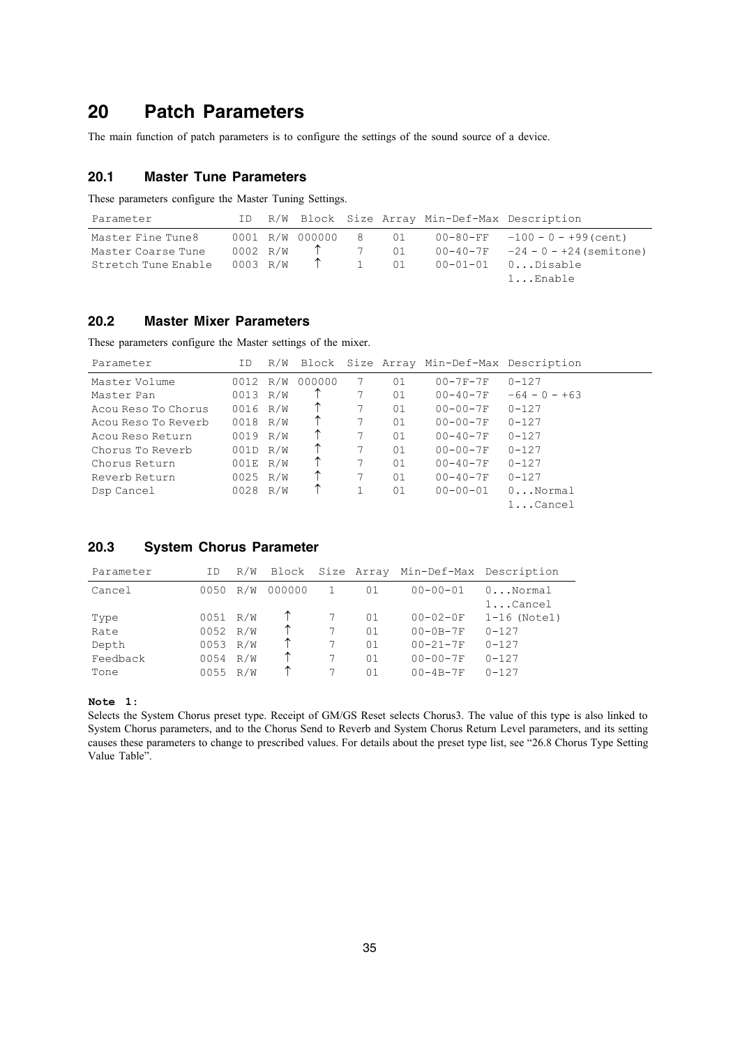## **20 Patch Parameters**

The main function of patch parameters is to configure the settings of the sound source of a device.

## **20.1 Master Tune Parameters**

These parameters configure the Master Tuning Settings.

| Parameter           |          |                 |      | ID R/W Block Size Array Min-Def-Max Description |                                     |
|---------------------|----------|-----------------|------|-------------------------------------------------|-------------------------------------|
| Master Fine Tune8   |          | 0001 R/W 000000 | 8 01 |                                                 | $00-80-FF -100 - 0 - +99$ (cent)    |
| Master Coarse Tune  | 0002 R/W |                 | 7 01 |                                                 | $00-40-7F -24 - 0 - +24$ (semitone) |
| Stretch Tune Enable | 0003 R/W |                 | 1 01 |                                                 | $00-01-01$ $0$ Disable              |
|                     |          |                 |      |                                                 | $1.$ . $Enable$                     |

## **20.2 Master Mixer Parameters**

These parameters configure the Master settings of the mixer.

| Parameter           | ΙD       | R/W |            |   |    | Block Size Array Min-Def-Max Description |                   |
|---------------------|----------|-----|------------|---|----|------------------------------------------|-------------------|
| Master Volume       | 0012 R/W |     | 000000     | 7 | 01 | $00 - 7F - 7F$                           | $0 - 127$         |
| Master Pan          | 0013 R/W |     |            |   | 01 | $00 - 40 - 7F$                           | $-64 - 0 - +63$   |
| Acou Reso To Chorus | 0016 R/W |     | ↑          | 7 | 01 | $00 - 00 - 7F$                           | $0 - 127$         |
| Acou Reso To Reverb | 0018 R/W |     |            | 7 | 01 | $00 - 00 - 7F$                           | $0 - 127$         |
| Acou Reso Return    | 0019 R/W |     | $\uparrow$ |   | 01 | $00 - 40 - 7F$                           | $0 - 127$         |
| Chorus To Reverb    | 001D R/W |     | $\uparrow$ | 7 | 01 | $00 - 00 - 7F$                           | $0 - 127$         |
| Chorus Return       | 001E R/W |     | ↑          | 7 | 01 | $00 - 40 - 7F$                           | $0 - 127$         |
| Reverb Return       | 0025 R/W |     |            | 7 | 01 | $00 - 40 - 7F$                           | $0 - 127$         |
| Dsp Cancel          | 0028 R/W |     |            |   | 01 | $00 - 00 - 01$                           | $0 \ldots$ Normal |
|                     |          |     |            |   |    |                                          | $1.$ $Cancel$     |

### **20.3 System Chorus Parameter**

| Parameter | ΙD       | R/W |        |    | Block Size Array Min-Def-Max Description |                |
|-----------|----------|-----|--------|----|------------------------------------------|----------------|
| Cancel    | 0050     | R/W | 000000 | 01 | $00 - 00 - 01$                           | $0$ Normal     |
|           |          |     |        |    |                                          | $1$ Cancel     |
| Type      | 0051 R/W |     |        | 01 | $00 - 02 - 0F$                           | $1-16$ (Notel) |
| Rate      | 0052     | R/W |        | 01 | $00-0B-7F$                               | $0 - 127$      |
| Depth     | 0053     | R/W |        | 01 | $00 - 21 - 7F$                           | $0 - 127$      |
| Feedback  | 0054     | R/W | ↑      | 01 | $00 - 00 - 7F$                           | $0 - 127$      |
| Tone      | 0055     | R/W |        | 01 | $00 - 4B - 7F$                           | $0 - 127$      |

### **Note 1:**

Selects the System Chorus preset type. Receipt of GM/GS Reset selects Chorus3. The value of this type is also linked to System Chorus parameters, and to the Chorus Send to Reverb and System Chorus Return Level parameters, and its setting causes these parameters to change to prescribed values. For details about the preset type list, see "26.8 Chorus Type Setting Value Table".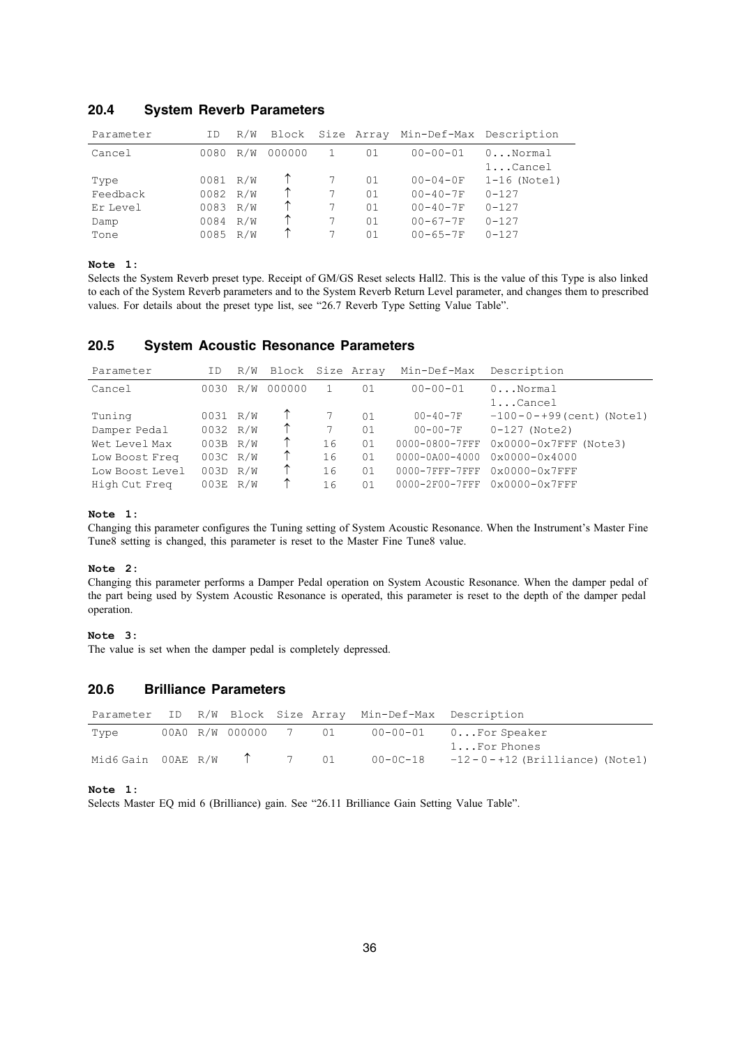| Parameter | ΙD       | R/W |        |    | Block Size Array Min-Def-Max Description |                                 |
|-----------|----------|-----|--------|----|------------------------------------------|---------------------------------|
| Cancel    | 0080     | R/W | 000000 | 01 | $00 - 00 - 01$                           | $0 \ldots$ Normal<br>$1$ Cancel |
| Type      | 0081 R/W |     |        | 01 | $00 - 04 - 0F$                           | $1-16$ (Notel)                  |
| Feedback  | 0082     | R/W |        | 01 | $00 - 40 - 7F$                           | $0 - 127$                       |
| Er Level  | 0083     | R/W |        | 01 | $00 - 40 - 7F$                           | $0 - 127$                       |
| Damp      | 0084     | R/W |        | 01 | $00 - 67 - 7F$                           | $0 - 127$                       |
| Tone      | 0085     | R/W |        | 01 | $00 - 65 - 7F$                           | $0 - 127$                       |

### **20.4 System Reverb Parameters**

### **Note 1:**

Selects the System Reverb preset type. Receipt of GM/GS Reset selects Hall2. This is the value of this Type is also linked to each of the System Reverb parameters and to the System Reverb Return Level parameter, and changes them to prescribed values. For details about the preset type list, see "26.7 Reverb Type Setting Value Table".

### **20.5 System Acoustic Resonance Parameters**

| Parameter       | ΙD         |     | R/W Block Size Array |    |    | Min-Def-Max          | Description                  |
|-----------------|------------|-----|----------------------|----|----|----------------------|------------------------------|
| Cancel          | 0030       | R/W | 000000               |    | 01 | $00 - 00 - 01$       | $0$ Normal                   |
|                 |            |     |                      |    |    |                      | $1$ Cancel                   |
| Tuning          | 0031 R/W   |     |                      |    | 01 | $00 - 40 - 7F$       | $-100-0-+99$ (cent) (Notel)  |
| Damper Pedal    | 0032 R/W   |     | $\uparrow$           |    | 01 | $00 - 00 - 7F$       | $0-127$ (Note2)              |
| Wet Level Max   | $003B$ R/W |     | ↑                    | 16 | 01 | 0000-0800-7FFF       | $0x0000 - 0x7$ FFF (Note3)   |
| Low Boost Freq  | 003C R/W   |     | ↑                    | 16 | 01 | $0000 - 0A00 - 4000$ | 0x0000-0x4000                |
| Low Boost Level | 003D R/W   |     | ↑                    | 16 | 01 | $0000 - 7$ FFF-7FFF  | $0x0000-0x7FFF$              |
| High Cut Freg   | $003E$ R/W |     | ↑                    | 16 | 01 |                      | 0000-2F00-7FFF 0x0000-0x7FFF |

### **Note 1:**

Changing this parameter configures the Tuning setting of System Acoustic Resonance. When the Instrument's Master Fine Tune8 setting is changed, this parameter is reset to the Master Fine Tune8 value.

### **Note 2:**

Changing this parameter performs a Damper Pedal operation on System Acoustic Resonance. When the damper pedal of the part being used by System Acoustic Resonance is operated, this parameter is reset to the depth of the damper pedal operation.

### **Note 3:**

The value is set when the damper pedal is completely depressed.

## **20.6 Brilliance Parameters**

|                                    |  |  | Parameter ID R/W Block Size Array Min-Def-Max Description |                                             |
|------------------------------------|--|--|-----------------------------------------------------------|---------------------------------------------|
| Type                               |  |  |                                                           | 00A0 R/W 000000 7 01 00-00-01 0For Speaker  |
|                                    |  |  |                                                           | $1 \ldots$ For Phones                       |
| Mid6 Gain 00AE R/W $\uparrow$ 7 01 |  |  |                                                           | $00-0C-18$ $-12-0-+12$ (Brilliance) (Notel) |

**Note 1:**

Selects Master EQ mid 6 (Brilliance) gain. See "26.11 Brilliance Gain Setting Value Table".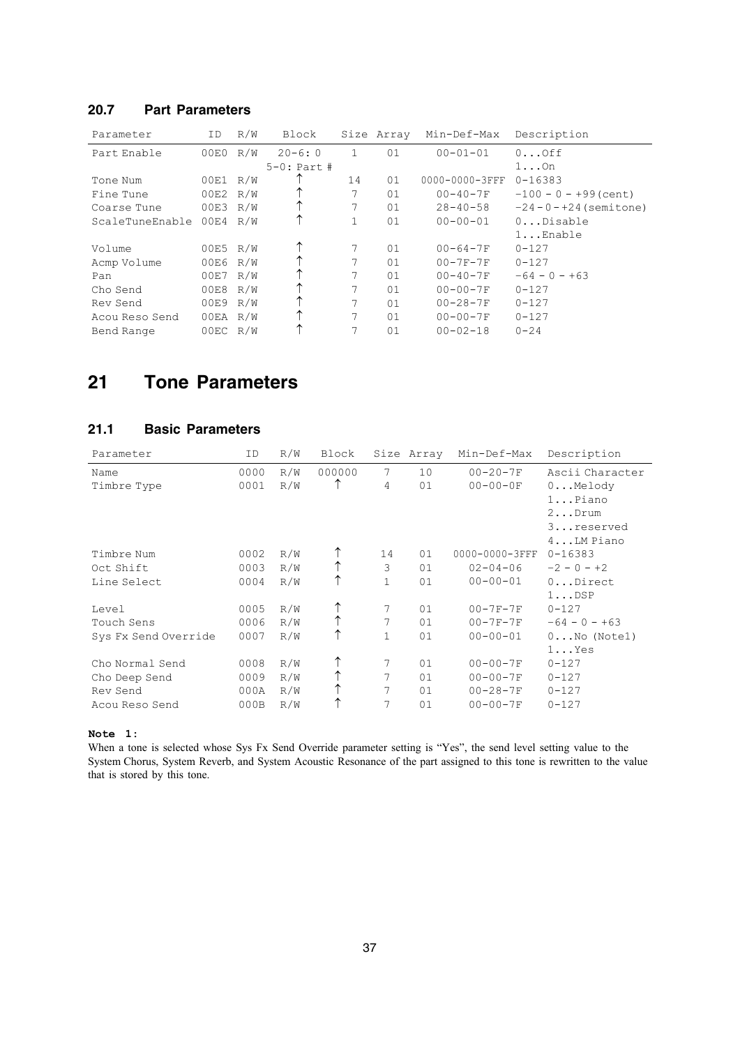## **20.7 Part Parameters**

| Parameter       | ID       | R/W | Block            |    | Size Array | Min-Def-Max    | Description                |
|-----------------|----------|-----|------------------|----|------------|----------------|----------------------------|
| Part Enable     | 00E0 R/W |     | $20 - 6:0$       |    | 01         | $00 - 01 - 01$ | 0.000                      |
|                 |          |     | $5 - 0$ : Part # |    |            |                | $1 \ldots$ On              |
| Tone Num        | 00E1     | R/W |                  | 14 | 01         | 0000-0000-3FFF | $0 - 16383$                |
| Fine Tune       | 00E2 R/W |     |                  |    | 01         | $00 - 40 - 7F$ | $-100 - 0 - +99$ (cent)    |
| Coarse Tune     | 00E3 R/W |     |                  |    | 01         | $28 - 40 - 58$ | $-24 - 0 - +24$ (semitone) |
| ScaleTuneEnable | 00E4 R/W |     |                  |    | 01         | $00 - 00 - 01$ | 0Disable                   |
|                 |          |     |                  |    |            |                | $1.$ . $Enable$            |
| Volume          | 00E5 R/W |     |                  |    | 01         | $00 - 64 - 7F$ | $0 - 127$                  |
| Acmp Volume     | 00E6 R/W |     |                  | 7  | 01         | $00 - 7F - 7F$ | $0 - 127$                  |
| Pan             | 00E7 R/W |     |                  |    | 01         | $00 - 40 - 7F$ | $-64 - 0 - +63$            |
| Cho Send        | 00E8 R/W |     |                  |    | 01         | $00 - 00 - 7F$ | $0 - 127$                  |
| Rev Send        | 00E9 R/W |     |                  |    | 01         | $00 - 28 - 7F$ | $0 - 127$                  |
| Acou Reso Send  | 00EA R/W |     |                  | 7  | 01         | $00 - 00 - 7F$ | $0 - 127$                  |
| Bend Range      | 00EC R/W |     |                  | 7  | 01         | $00 - 02 - 18$ | $0 - 24$                   |

## **21 Tone Parameters**

## **21.1 Basic Parameters**

| Parameter            | ID   | R/W | Block  |              | Size Array | Min-Def-Max    | Description           |
|----------------------|------|-----|--------|--------------|------------|----------------|-----------------------|
| Name                 | 0000 | R/W | 000000 | 7            | 10         | $00 - 20 - 7F$ | Ascii Character       |
| Timbre Type          | 0001 | R/W |        | 4            | 01         | $00 - 00 - 0F$ | $0$ Melody            |
|                      |      |     |        |              |            |                | $1.$ . Piano          |
|                      |      |     |        |              |            |                | $2$ Drum              |
|                      |      |     |        |              |            |                | 3reserved             |
|                      |      |     |        |              |            |                | $4LM$ Piano           |
| Timbre Num           | 0002 | R/W |        | 14           | 01         | 0000-0000-3FFF | $0 - 16383$           |
| Oct Shift            | 0003 | R/W |        | 3            | 01         | $02 - 04 - 06$ | $-2 - 0 - +2$         |
| Line Select          | 0004 | R/W | ↑      | $\mathbf{1}$ | 01         | $00 - 00 - 01$ | $0$ Direct            |
|                      |      |     |        |              |            |                | $1 \ldots$ DSP        |
| Level                | 0005 | R/W |        | 7            | 01         | $00 - 7F - 7F$ | $0 - 127$             |
| Touch Sens           | 0006 | R/W |        | 7            | 01         | $00 - 7F - 7F$ | $-64 - 0 - +63$       |
| Sys Fx Send Override | 0007 | R/W | ↑      | 1            | 01         | $00 - 00 - 01$ | $0 \ldots$ No (Notel) |
|                      |      |     |        |              |            |                | $1 \ldots Y$ es       |
| Cho Normal Send      | 0008 | R/W |        | 7            | 01         | $00 - 00 - 7F$ | $0 - 127$             |
| Cho Deep Send        | 0009 | R/W | ↑      | 7            | 01         | $00 - 00 - 7F$ | $0 - 127$             |
| Rev Send             | 000A | R/W |        | 7            | 01         | $00 - 28 - 7F$ | $0 - 127$             |
| Acou Reso Send       | 000B | R/W |        | 7            | 01         | $00 - 00 - 7F$ | $0 - 127$             |

**Note 1:**

When a tone is selected whose Sys Fx Send Override parameter setting is "Yes", the send level setting value to the System Chorus, System Reverb, and System Acoustic Resonance of the part assigned to this tone is rewritten to the value that is stored by this tone.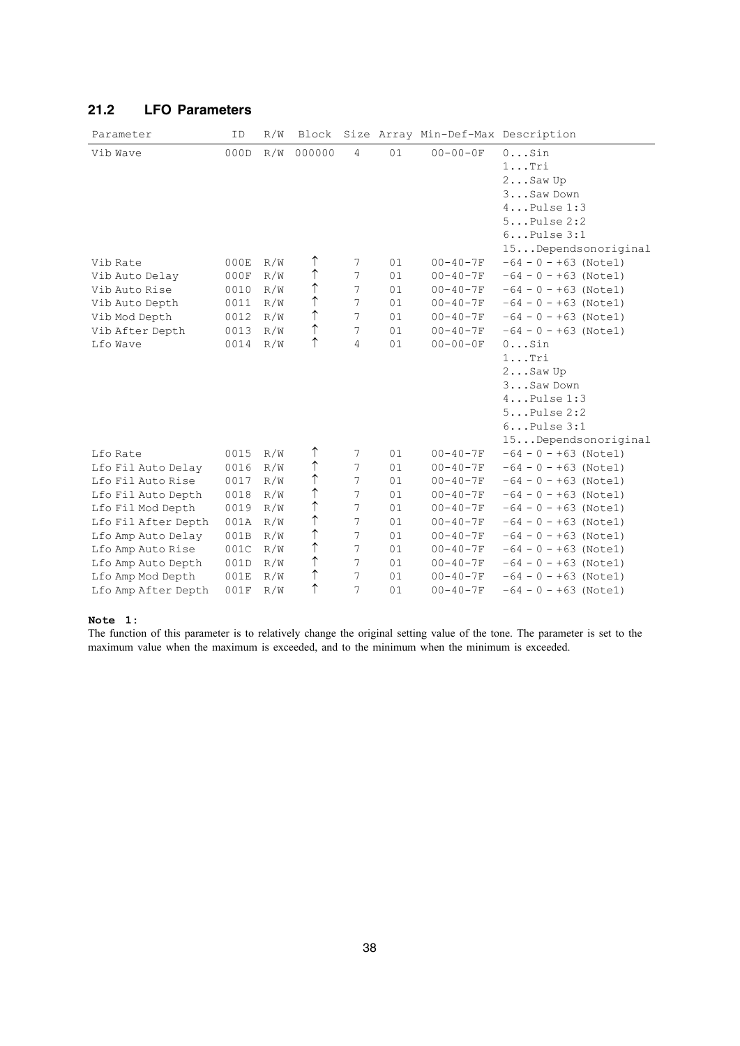| Parameter           | ID   | R/W | Block      |                |    | Size Array Min-Def-Max Description |                                                                                                                                      |
|---------------------|------|-----|------------|----------------|----|------------------------------------|--------------------------------------------------------------------------------------------------------------------------------------|
| Vib Wave            | 000D | R/W | 000000     | $\overline{4}$ | 01 | $00 - 00 - 0F$                     | $0$ Sin<br>$1 \ldots$ Tri<br>$2$ Saw Up<br>3Saw Down<br>$4$ Pulse $1:3$<br>$5$ Pulse $2:2$<br>$6$ Pulse $3:1$<br>15Dependsonoriginal |
| Vib Rate            | 000E | R/W | ↑          | 7              | 01 | $00 - 40 - 7F$                     | $-64 - 0 - +63$ (Notel)                                                                                                              |
| Vib Auto Delay      | 000F | R/W | ↑          | 7              | 01 | $00 - 40 - 7F$                     | $-64 - 0 - +63$ (Notel)                                                                                                              |
| Vib Auto Rise       | 0010 | R/W | ↑          | 7              | 01 | $00 - 40 - 7F$                     | $-64 - 0 - +63$ (Notel)                                                                                                              |
| Vib Auto Depth      | 0011 | R/W | ↑          | 7              | 01 | $00 - 40 - 7F$                     | $-64 - 0 - +63$ (Notel)                                                                                                              |
| Vib Mod Depth       | 0012 | R/W | $\uparrow$ | 7              | 01 | $00 - 40 - 7F$                     | $-64 - 0 - +63$ (Notel)                                                                                                              |
| Vib After Depth     | 0013 | R/W | ↑          | 7              | 01 | $00 - 40 - 7F$                     | $-64 - 0 - +63$ (Notel)                                                                                                              |
| Lfo Wave            | 0014 | R/W | ↑          | 4              | 01 | $00 - 00 - 0F$                     | $0$ Sin                                                                                                                              |
|                     |      |     |            |                |    |                                    | $1 \ldots$ Tri<br>$2$ Saw Up<br>3Saw Down<br>$4$ Pulse $1:3$<br>$5$ Pulse $2:2$<br>$6$ Pulse $3:1$<br>15Dependsonoriginal            |
| Lfo Rate            | 0015 | R/W | ↑          | 7              | 01 | $00 - 40 - 7F$                     | $-64 - 0 - +63$ (Notel)                                                                                                              |
| Lfo Fil Auto Delay  | 0016 | R/W | ↑          | 7              | 01 | $00 - 40 - 7F$                     | $-64 - 0 - +63$ (Notel)                                                                                                              |
| Lfo Fil Auto Rise   | 0017 | R/W | ↑          | 7              | 01 | $00 - 40 - 7F$                     | $-64 - 0 - +63$ (Notel)                                                                                                              |
| Lfo Fil Auto Depth  | 0018 | R/W | ↑          | 7              | 01 | $00 - 40 - 7F$                     | $-64 - 0 - +63$ (Notel)                                                                                                              |
| Lfo Fil Mod Depth   | 0019 | R/W | ↑          | 7              | 01 | $00 - 40 - 7F$                     | $-64 - 0 - +63$ (Notel)                                                                                                              |
| Lfo Fil After Depth | 001A | R/W | ↑          | 7              | 01 | $00 - 40 - 7F$                     | $-64 - 0 - +63$ (Notel)                                                                                                              |
| Lfo Amp Auto Delay  | 001B | R/W | ↑          | 7              | 01 | $00 - 40 - 7F$                     | $-64 - 0 - +63$ (Notel)                                                                                                              |
| Lfo Amp Auto Rise   | 001C | R/W | ↑          | 7              | 01 | $00 - 40 - 7F$                     | $-64 - 0 - +63$ (Notel)                                                                                                              |
| Lfo Amp Auto Depth  | 001D | R/W | $\uparrow$ | 7              | 01 | $00 - 40 - 7F$                     | $-64 - 0 - +63$ (Notel)                                                                                                              |
| Lfo Amp Mod Depth   | 001E | R/W | ↑          | 7              | 01 | $00 - 40 - 7F$                     | $-64 - 0 - +63$ (Notel)                                                                                                              |
| Lfo Amp After Depth | 001F | R/W | ↑          | 7              | 01 | $00 - 40 - 7F$                     | $-64 - 0 - +63$ (Notel)                                                                                                              |

## **21.2 LFO Parameters**

### **Note 1:**

The function of this parameter is to relatively change the original setting value of the tone. The parameter is set to the maximum value when the maximum is exceeded, and to the minimum when the minimum is exceeded.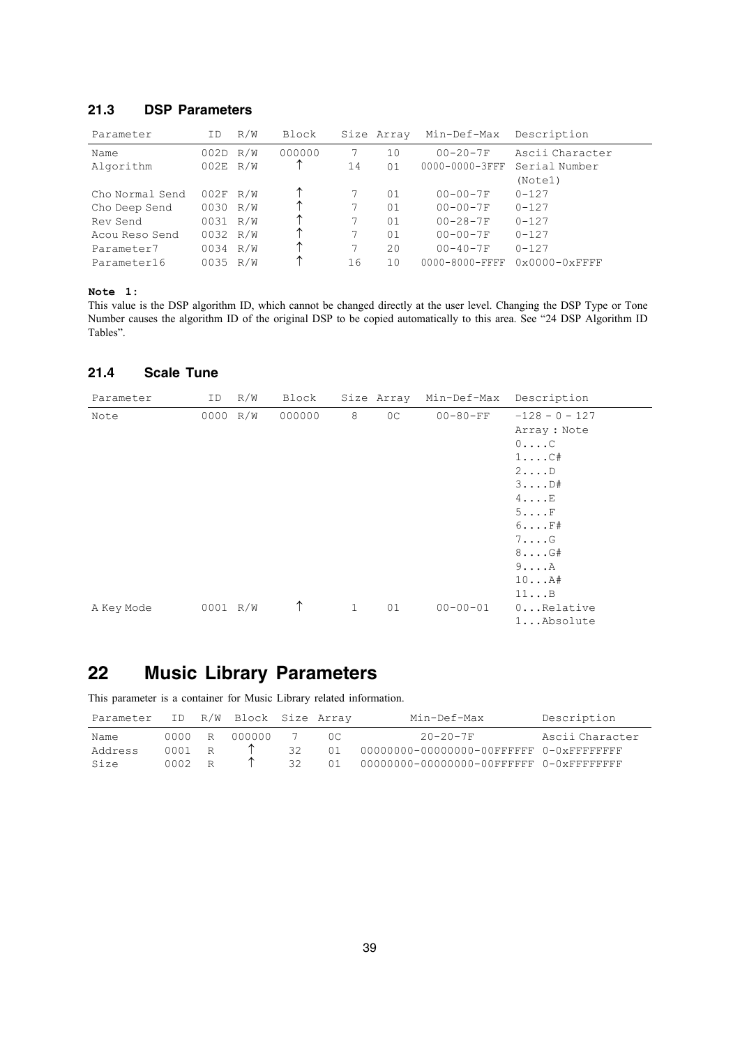## **21.3 DSP Parameters**

| Parameter       | ΙD         | R/W | Block  |    | Size Array | Min-Def-Max          | Description                     |
|-----------------|------------|-----|--------|----|------------|----------------------|---------------------------------|
| Name            | 002D R/W   |     | 000000 |    | 10         | $00 - 20 - 7F$       | Ascii Character                 |
| Algorithm       | $002E$ R/W |     |        | 14 | 01         | 0000-0000-3FFF       | Serial Number                   |
|                 |            |     |        |    |            |                      | (Note1)                         |
| Cho Normal Send | $002F$ R/W |     | ↑      |    | 01         | $00 - 00 - 7F$       | $0 - 127$                       |
| Cho Deep Send   | 0030 R/W   |     |        |    | 01         | $00 - 00 - 7F$       | $0 - 127$                       |
| Rev Send        | 0031 R/W   |     | ↑      |    | 01         | $00 - 28 - 7F$       | $0 - 127$                       |
| Acou Reso Send  | 0032 R/W   |     | ᠰ      |    | 01         | $00 - 00 - 7F$       | $0 - 127$                       |
| Parameter7      | 0034 R/W   |     | ᠰ      |    | 20         | $00 - 40 - 7F$       | $0 - 127$                       |
| Parameter16     | 0035 R/W   |     | ᠰ      | 16 | 10         | $0000 - 8000 - FFFF$ | $0 \times 0000 - 0 \times$ FFFF |

### **Note 1:**

This value is the DSP algorithm ID, which cannot be changed directly at the user level. Changing the DSP Type or Tone Number causes the algorithm ID of the original DSP to be copied automatically to this area. See "24 DSP Algorithm ID Tables".

## **21.4 Scale Tune**

| Parameter  | ID       | R/W | Block  |              | Size Array     | Min-Def-Max    | Description                                                                                                                                                                                                        |
|------------|----------|-----|--------|--------------|----------------|----------------|--------------------------------------------------------------------------------------------------------------------------------------------------------------------------------------------------------------------|
| Note       | 0000 R/W |     | 000000 | 8            | 0 <sup>C</sup> | $00 - 80 - FF$ | $-128 - 0 - 127$<br>Array: Note<br>$0 \ldots C$<br>$1 \ldots C#$<br>$2 \ldots D$<br>$3 \ldots D#$<br>$4 \ldots E$<br>5F<br>$6 \ldots$ $\mathrm{F#}$<br>$7. \ldots G$<br>$8 \ldots G#$<br>$9 \ldots A$<br>$10$ $A#$ |
| A Key Mode | 0001 R/W |     | ↑      | $\mathbf{1}$ | 01             | $00 - 00 - 01$ | 11B<br>$0$ Relative<br>1Absolute                                                                                                                                                                                   |

## **22 Music Library Parameters**

This parameter is a container for Music Library related information.

| Parameter | ID          |   | R/W Block Size Array |     |     | Min-Def-Max                                                 | Description     |
|-----------|-------------|---|----------------------|-----|-----|-------------------------------------------------------------|-----------------|
| Name      | . 0000      | R | 000000               |     | 0C. | $20 - 20 - 7F$                                              | Ascii Character |
| Address   | $0001 \t R$ |   |                      | 32  | 01  | 00000000-00000000-00FFFFFF 0-0xFFFFFFFF                     |                 |
| Size      | $0002$ R    |   |                      | 32. | 01  | $00000000 - 00000000 - 00$ FFFFFFF $0 - 0 \times$ FFFFFFFFF |                 |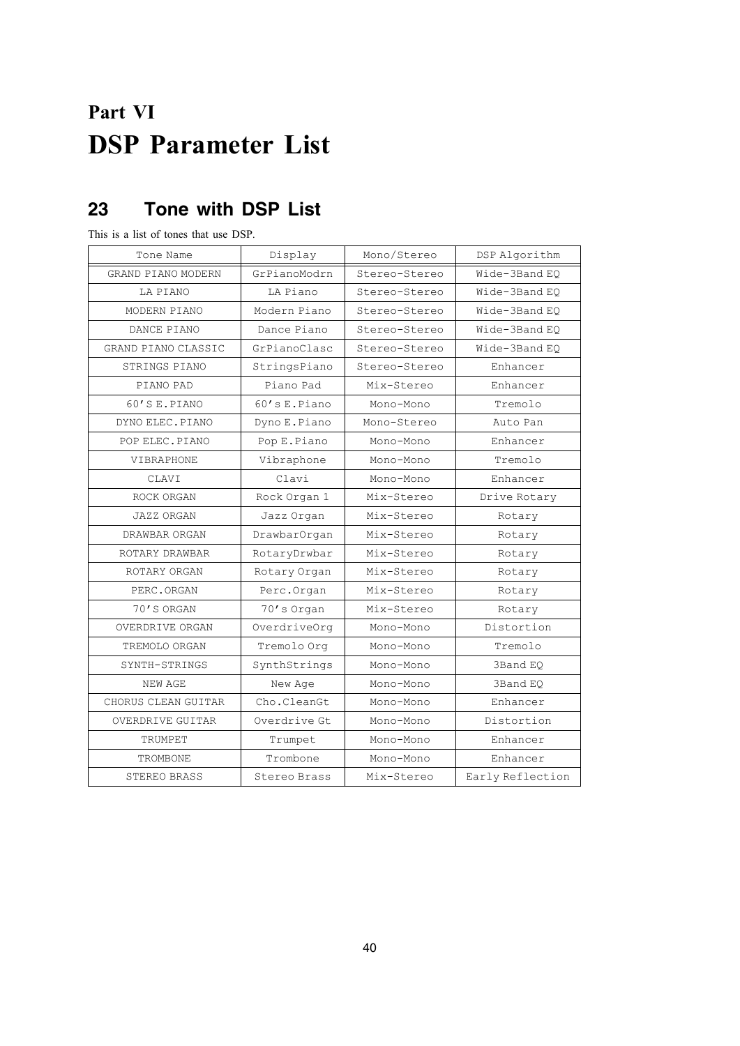# **Part VI DSP Parameter List**

## **23 Tone with DSP List**

This is a list of tones that use DSP.

| Tone Name              | Display          | Mono/Stereo   | DSP Algorithm    |
|------------------------|------------------|---------------|------------------|
| GRAND PIANO MODERN     | GrPianoModrn     | Stereo-Stereo | Wide-3Band EO    |
| LA PIANO               | LA Piano         | Stereo-Stereo | Wide-3Band EO    |
| MODERN PIANO           | Modern Piano     | Stereo-Stereo | Wide-3Band EO    |
| DANCE PIANO            | Dance Piano      | Stereo-Stereo | Wide-3Band EO    |
| GRAND PIANO CLASSIC    | GrPianoClasc     | Stereo-Stereo | Wide-3Band EO    |
| STRINGS PIANO          | StringsPiano     | Stereo-Stereo | Enhancer         |
| PIANO PAD              | Piano Pad        | Mix-Stereo    | Enhancer         |
| 60'S E.PIANO           | $60$ 's E. Piano | Mono-Mono     | Tremolo          |
| DYNO ELEC. PIANO       | Dyno E.Piano     | Mono-Stereo   | Auto Pan         |
| POP ELEC. PIANO        | Pop E. Piano     | Mono-Mono     | Enhancer         |
| VIBRAPHONE             | Vibraphone       | Mono-Mono     | Tremolo          |
| CLAVI                  | Clavi            | Mono-Mono     | Enhancer         |
| ROCK ORGAN             | Rock Organ 1     | Mix-Stereo    | Drive Rotary     |
| <b>JAZZ ORGAN</b>      | Jazz Organ       | Mix-Stereo    | Rotary           |
| DRAWBAR ORGAN          | DrawbarOrgan     | Mix-Stereo    | Rotary           |
| ROTARY DRAWBAR         | RotaryDrwbar     | Mix-Stereo    | Rotary           |
| ROTARY ORGAN           | Rotary Organ     | Mix-Stereo    | Rotary           |
| PERC.ORGAN             | Perc.Organ       | Mix-Stereo    | Rotary           |
| 70'S ORGAN             | 70's Organ       | Mix-Stereo    | Rotary           |
| <b>OVERDRIVE ORGAN</b> | OverdriveOrg     | Mono-Mono     | Distortion       |
| TREMOLO ORGAN          | Tremolo Orq      | Mono-Mono     | Tremolo          |
| SYNTH-STRINGS          | SynthStrings     | Mono-Mono     | 3Band EO         |
| NEW AGE                | New Age          | Mono-Mono     | 3Band EO         |
| CHORUS CLEAN GUITAR    | Cho.CleanGt      | Mono-Mono     | Enhancer         |
| OVERDRIVE GUITAR       | Overdrive Gt     | Mono-Mono     | Distortion       |
| TRUMPET                | Trumpet          | Mono-Mono     | Enhancer         |
| TROMBONE               | Trombone         | Mono-Mono     | Enhancer         |
| STEREO BRASS           | Stereo Brass     | Mix-Stereo    | Early Reflection |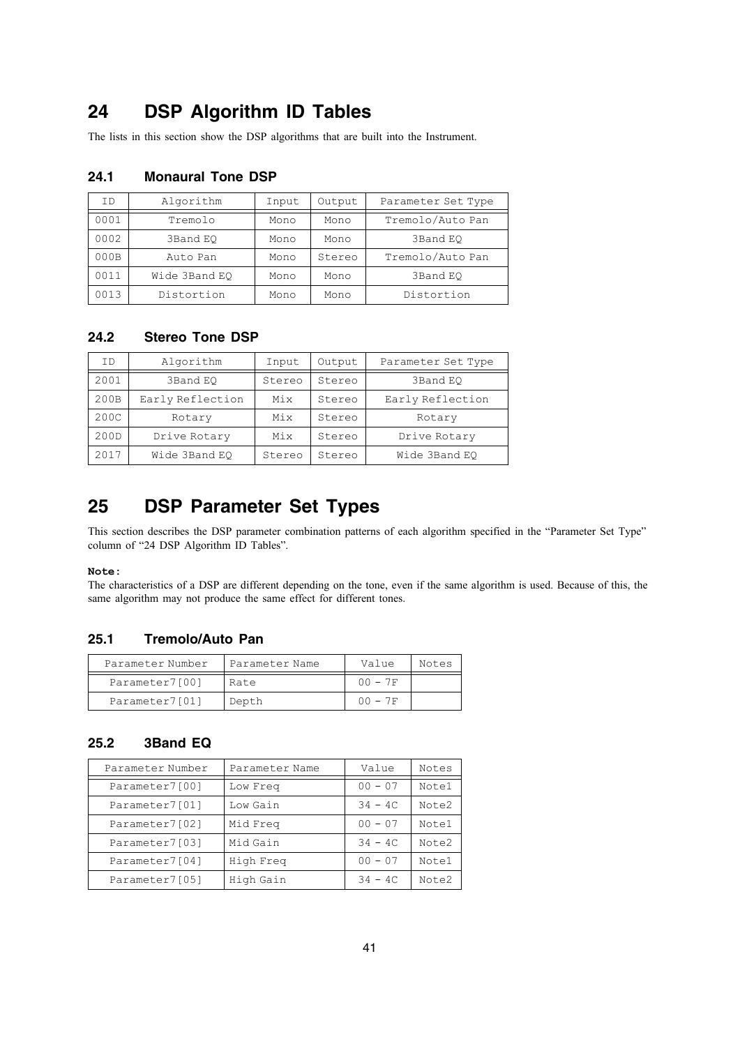## **24 DSP Algorithm ID Tables**

The lists in this section show the DSP algorithms that are built into the Instrument.

## **24.1 Monaural Tone DSP**

| ΙD   | Algorithm     | Input | Output | Parameter Set Type |
|------|---------------|-------|--------|--------------------|
| 0001 | Tremolo       | Mono  | Mono   | Tremolo/Auto Pan   |
| 0002 | 3Band EO      | Mono  | Mono   | 3Band EO           |
| 000B | Auto Pan      | Mono  | Stereo | Tremolo/Auto Pan   |
| 0011 | Wide 3Band EO | Mono  | Mono   | 3Band EO           |
| 0013 | Distortion    | Mono  | Mono   | Distortion         |

## **24.2 Stereo Tone DSP**

| ΤD   | Algorithm        | Input  | Output | Parameter Set Type |
|------|------------------|--------|--------|--------------------|
| 2001 | 3Band EO         | Stereo | Stereo | 3Band EO           |
| 200B | Early Reflection | Mix    | Stereo | Early Reflection   |
| 200C | Rotary           | Mix    | Stereo | Rotary             |
| 200D | Drive Rotary     | Mix    | Stereo | Drive Rotary       |
| 2017 | Wide 3Band EO    | Stereo | Stereo | Wide 3Band EO      |

## **25 DSP Parameter Set Types**

This section describes the DSP parameter combination patterns of each algorithm specified in the "Parameter Set Type" column of "24 DSP Algorithm ID Tables".

### **Note:**

The characteristics of a DSP are different depending on the tone, even if the same algorithm is used. Because of this, the same algorithm may not produce the same effect for different tones.

## **25.1 Tremolo/Auto Pan**

| Parameter Number | Parameter Name | Value     | Notes |
|------------------|----------------|-----------|-------|
| Parameter7[00]   | Rate           | $00 - 7F$ |       |
| Parameter7[01]   | Depth          | $00 - 7F$ |       |

## **25.2 3Band EQ**

| Parameter Number | Parameter Name | Value     | Notes |
|------------------|----------------|-----------|-------|
| Parameter7[00]   | Low Freq       | $00 - 07$ | Note1 |
| Parameter7[01]   | Low Gain       | $34 - 4C$ | Note2 |
| Parameter7[02]   | Mid Freq       | $00 - 07$ | Note1 |
| Parameter7[03]   | Mid Gain       | $34 - 4C$ | Note2 |
| Parameter7[04]   | High Freg      | $00 - 07$ | Note1 |
| Parameter7[05]   | High Gain      | $34 - 4C$ | Note2 |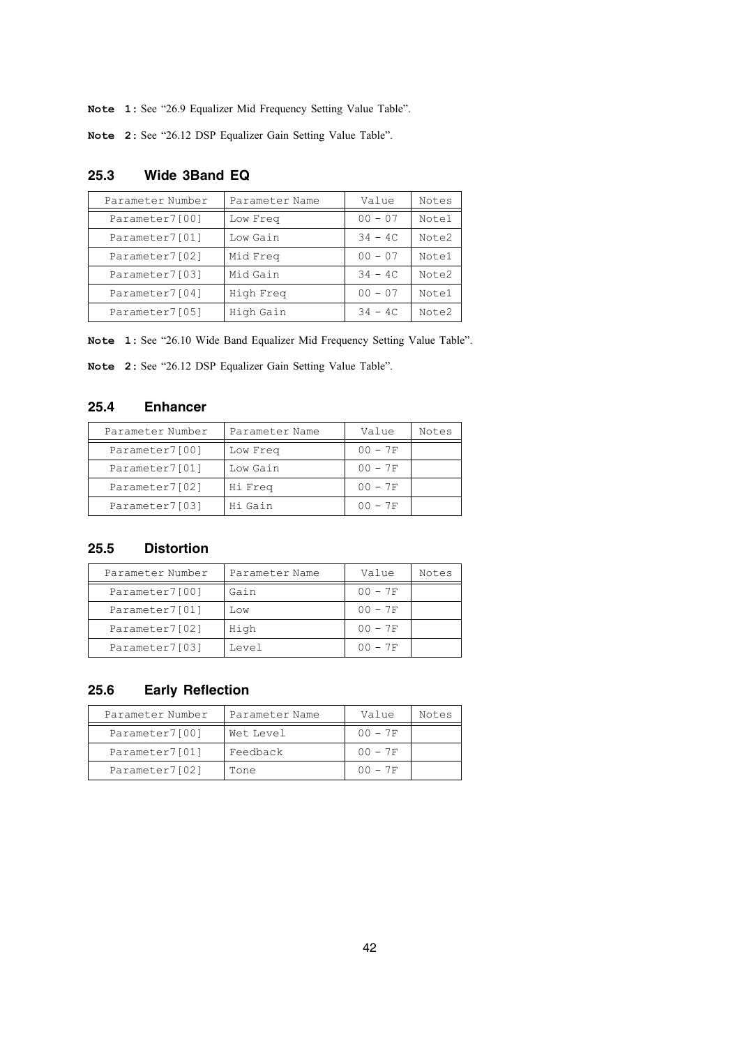**Note 1:** See "26.9 Equalizer Mid Frequency Setting Value Table".

**Note 2:** See "26.12 DSP Equalizer Gain Setting Value Table".

| Parameter Number | Parameter Name | Value     | Notes |
|------------------|----------------|-----------|-------|
| Parameter7[00]   | Low Freq       | $00 - 07$ | Notel |
| Parameter7[01]   | Low Gain       | $34 - 4C$ | Note2 |
| Parameter7[02]   | Mid Freq       | $00 - 07$ | Notel |
| Parameter7[03]   | Mid Gain       | $34 - 4C$ | Note2 |
| Parameter7[04]   | High Freq      | $00 - 07$ | Notel |
| Parameter7[05]   | High Gain      | $34 - 4C$ | Note2 |

## **25.3 Wide 3Band EQ**

**Note 1:** See "26.10 Wide Band Equalizer Mid Frequency Setting Value Table".

**Note 2:** See "26.12 DSP Equalizer Gain Setting Value Table".

## **25.4 Enhancer**

| Parameter Number | Parameter Name | Value     | Notes |
|------------------|----------------|-----------|-------|
| Parameter7[00]   | Low Freq       | $00 - 7F$ |       |
| Parameter7[01]   | Low Gain       | $00 - 7F$ |       |
| Parameter7[02]   | Hi Freq        | $00 - 7F$ |       |
| Parameter7[03]   | Hi Gain        | $00 - 7F$ |       |

## **25.5 Distortion**

| Parameter Number | Parameter Name | Value     | Notes |
|------------------|----------------|-----------|-------|
| Parameter7[00]   | Gain           | $00 - 7F$ |       |
| Parameter7[01]   | Low            | $00 - 7F$ |       |
| Parameter7[02]   | High           | $00 - 7F$ |       |
| Parameter7[03]   | Level          | $00 - 7F$ |       |

## **25.6 Early Reflection**

| Parameter Number | Parameter Name | Value     | Notes |
|------------------|----------------|-----------|-------|
| Parameter7[00]   | Wet Level      | $00 - 7F$ |       |
| Parameter7[01]   | Feedback       | $00 - 7F$ |       |
| Parameter7[02]   | Tone           | $00 - 7F$ |       |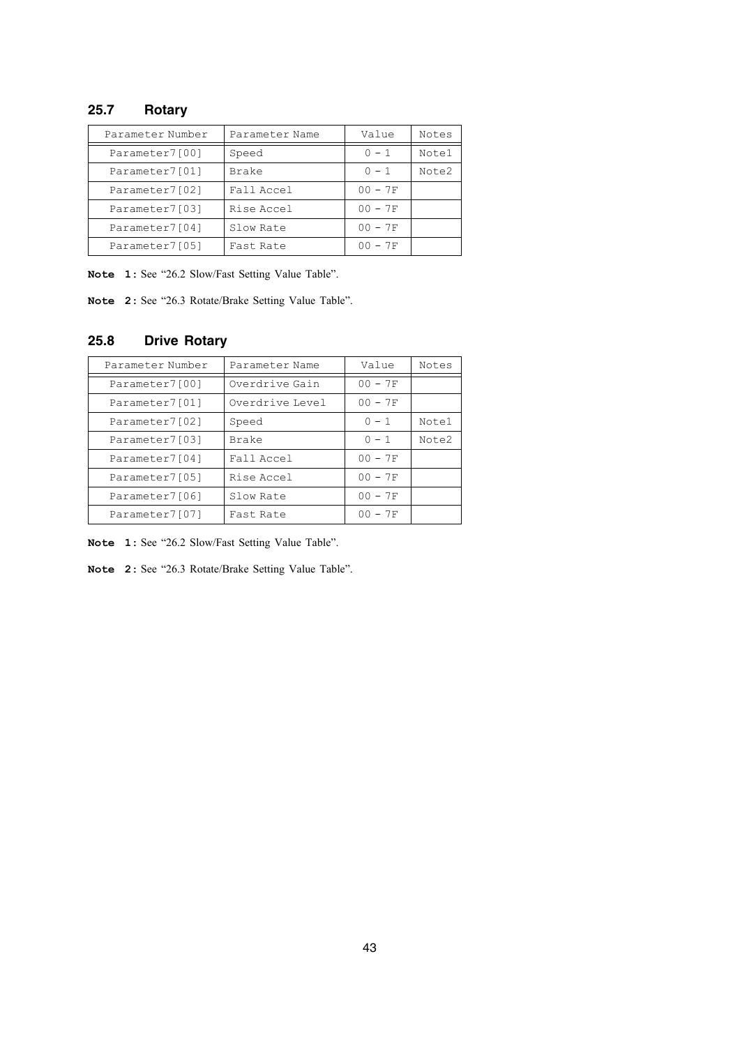## **25.7 Rotary**

| Parameter Number | Parameter Name | Value     | Notes |
|------------------|----------------|-----------|-------|
| Parameter7[00]   | Speed          | $0 - 1$   | Note1 |
| Parameter7[01]   | Brake          | $0 - 1$   | Note2 |
| Parameter7[02]   | Fall Accel     | $00 - 7F$ |       |
| Parameter7[03]   | Rise Accel     | $00 - 7F$ |       |
| Parameter7[04]   | Slow Rate      | $00 - 7F$ |       |
| Parameter7[05]   | Fast Rate      | $00 - 7F$ |       |

**Note 1:** See "26.2 Slow/Fast Setting Value Table".

**Note 2:** See "26.3 Rotate/Brake Setting Value Table".

## **25.8 Drive Rotary**

| Parameter Number | Parameter Name  | Value     | Notes |
|------------------|-----------------|-----------|-------|
| Parameter7[00]   | Overdrive Gain  | $00 - 7F$ |       |
| Parameter7[01]   | Overdrive Level | $00 - 7F$ |       |
| Parameter7[02]   | Speed           | $0 - 1$   | Note1 |
| Parameter7[03]   | Brake           | $0 - 1$   | Note2 |
| Parameter7[04]   | Fall Accel      | $00 - 7F$ |       |
| Parameter7[05]   | Rise Accel      | $00 - 7F$ |       |
| Parameter7[06]   | Slow Rate       | $00 - 7F$ |       |
| Parameter7[07]   | Fast Rate       | $00 - 7F$ |       |

**Note 1:** See "26.2 Slow/Fast Setting Value Table".

**Note 2:** See "26.3 Rotate/Brake Setting Value Table".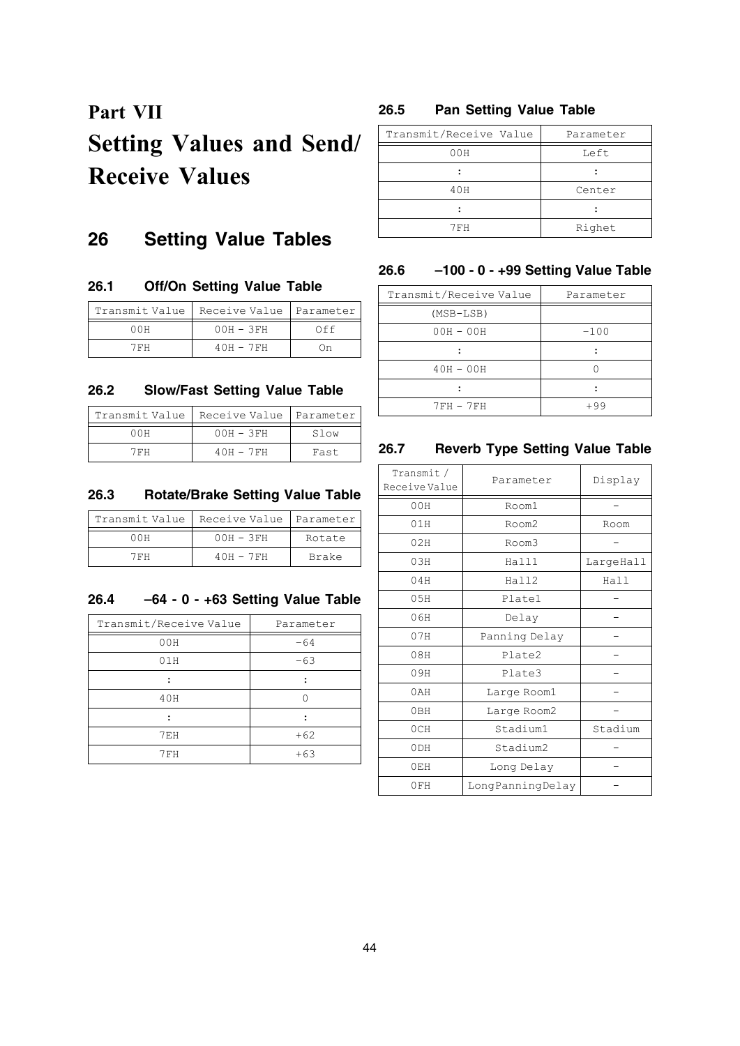# **Part VII Setting Values and Send/ Receive Values**

## **26 Setting Value Tables**

## **26.1 Off/On Setting Value Table**

| Transmit Value | Receive Value | Parameter |
|----------------|---------------|-----------|
| 00H            | $00H - 3FH$   | NFF       |
| 7 F H          | $40H - 7FH$   | ำท        |

## **26.2 Slow/Fast Setting Value Table**

|       | Transmit Value   Receive Value   Parameter |      |
|-------|--------------------------------------------|------|
| 00H   | $00H - 3FH$                                | Slow |
| 7 F H | $40H - 7FH$                                | Fast |

## **26.3 Rotate/Brake Setting Value Table**

| Transmit Value | Receive Value | <i>I</i> Parameter |
|----------------|---------------|--------------------|
| 00 H           | $00H - 3FH$   | Rotate             |
| 7 F H          | $40H - 7FH$   | Brake              |

### **26.4 –64 - 0 - +63 Setting Value Table**

| Transmit/Receive Value | Parameter |
|------------------------|-----------|
| 00H                    | $-64$     |
| 01H                    | $-63$     |
|                        |           |
| 40H                    |           |
|                        |           |
| 7EH                    | $+62$     |
| 7FH                    | $+63$     |

## **26.5 Pan Setting Value Table**

| Transmit/Receive Value | Parameter |  |
|------------------------|-----------|--|
| 00H                    | Left      |  |
|                        |           |  |
| 40H                    | Center    |  |
|                        |           |  |
| 7FH                    | Righet    |  |

## **26.6 –100 - 0 - +99 Setting Value Table**

| Transmit/Receive Value | Parameter |
|------------------------|-----------|
| $(MSB-LSB)$            |           |
| $00H - 00H$            | $-100$    |
|                        |           |
| $40H - 00H$            |           |
|                        |           |
| $7FH - 7FH$            | +99       |

## **26.7 Reverb Type Setting Value Table**

| Transmit/<br>Receive Value | Parameter        | Display   |
|----------------------------|------------------|-----------|
| 00H                        | Room1            |           |
| 01H                        | Room2            | Room      |
| 02H                        | Room3            |           |
| 03H                        | Hall1            | LargeHall |
| 04H                        | Ha112            | Hall      |
| 05H                        | Plate1           |           |
| 06H                        | Delay            |           |
| 07H                        | Panning Delay    |           |
| 08H                        | Plate2           |           |
| 09H                        | Plate3           |           |
| 0AH                        | Large Room1      |           |
| 0 <sub>BH</sub>            | Large Room2      |           |
| 0CH                        | Stadium1         | Stadium   |
| 0 <sub>DH</sub>            | Stadium2         |           |
| 0EH                        | Long Delay       |           |
| 0FH                        | LongPanningDelay |           |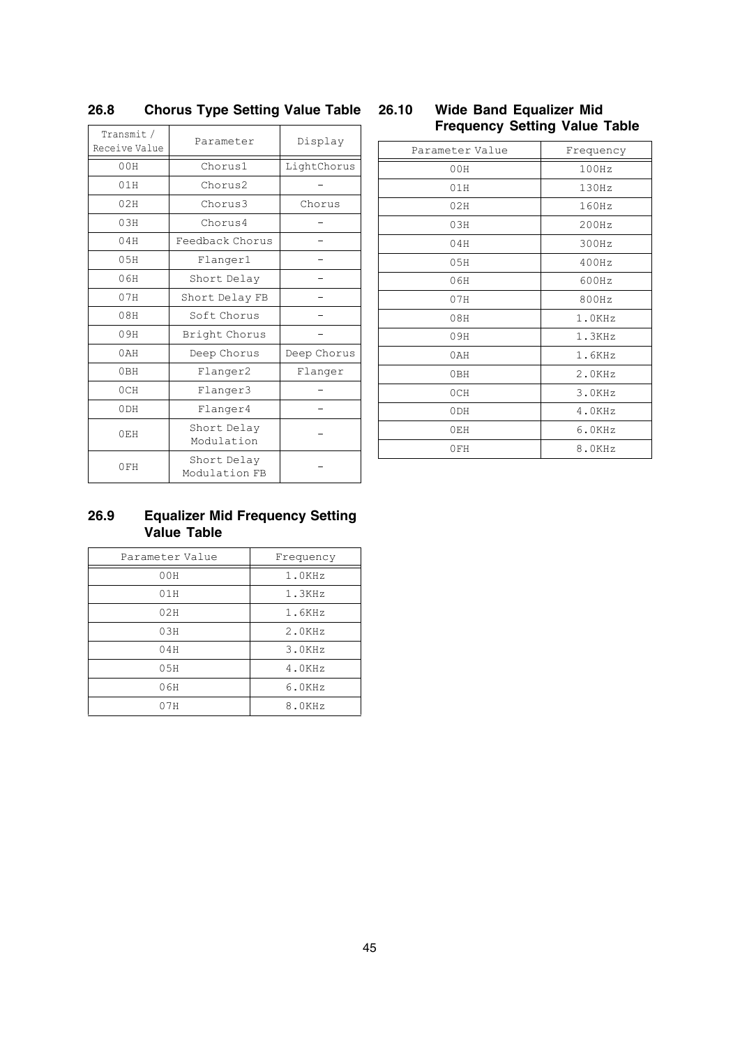| Transmit/       | Parameter                    |             |                 | <b>Frequency Setting Value Table</b> |
|-----------------|------------------------------|-------------|-----------------|--------------------------------------|
| Receive Value   |                              | Display     | Parameter Value | Frequency                            |
| 00H             | Chorus1                      | LightChorus | 00H             | 100Hz                                |
| 01H             | Chorus2                      |             | 01H             | 130Hz                                |
| 02H             | Chorus3                      | Chorus      | 02H             | 160Hz                                |
| 03H             | Chorus4                      |             | 03H             | 200Hz                                |
| 04H             | Feedback Chorus              |             | 04H             | 300Hz                                |
| 05H             | Flanger1                     |             | 05H             | 400Hz                                |
| 06H             | Short Delay                  | $\equiv$    | 06H             | 600Hz                                |
| 07H             | Short Delay FB               |             | 07H             | 800Hz                                |
| 08H             | Soft Chorus                  |             | 08H             | 1.0KHz                               |
| 09H             | Bright Chorus                |             | 09H             | 1.3KHz                               |
| 0AH             | Deep Chorus                  | Deep Chorus | 0AH             | 1.6KHz                               |
| 0 <sub>BH</sub> | Flanger2                     | Flanger     | 0BH             | 2.0KHz                               |
| OCH             | Flanger3                     |             | OCH             | 3.0KHz                               |
| 0 <sub>DH</sub> | Flanger4                     |             | 0 <sub>DH</sub> | 4.0KHz                               |
| 0EH             | Short Delay                  |             | 0EH             | 6.0KHz                               |
|                 | Modulation                   |             | 0FH             | 8.0KHz                               |
| 0FH             | Short Delay<br>Modulation FB |             |                 |                                      |

## **26.8 Chorus Type Setting Value Table**

# **26.10 Wide Band Equalizer Mid**

| Parameter Value | Frequency |
|-----------------|-----------|
| 00H             | 100Hz     |
| 01H             | 130Hz     |
| 02H             | 160Hz     |
| 03H             | 200Hz     |
| 04H             | 300Hz     |
| 05H             | 400Hz     |
| 06H             | 600Hz     |
| 07H             | 800Hz     |
| 08H             | 1.0KHz    |
| 09H             | 1.3KHz    |
| 0AH             | 1.6KHz    |
| 0 <sub>BH</sub> | 2.0KHz    |
| OCH             | 3.0KHz    |
| 0 <sub>DH</sub> | 4.0KHz    |
| 0EH             | 6.0KHz    |
| 0FH             | 8.0KHz    |

## **26.9 Equalizer Mid Frequency Setting Value Table**

| Parameter Value | Frequency |
|-----------------|-----------|
| 00H             | 1.0KHz    |
| 01H             | 1.3KHz    |
| 02H             | 1.6KHz    |
| 03H             | 2.0KHz    |
| 04H             | 3.0KHz    |
| 05H             | 4.0KHz    |
| 06H             | 6.0KHz    |
| 07H             | 8.0KHz    |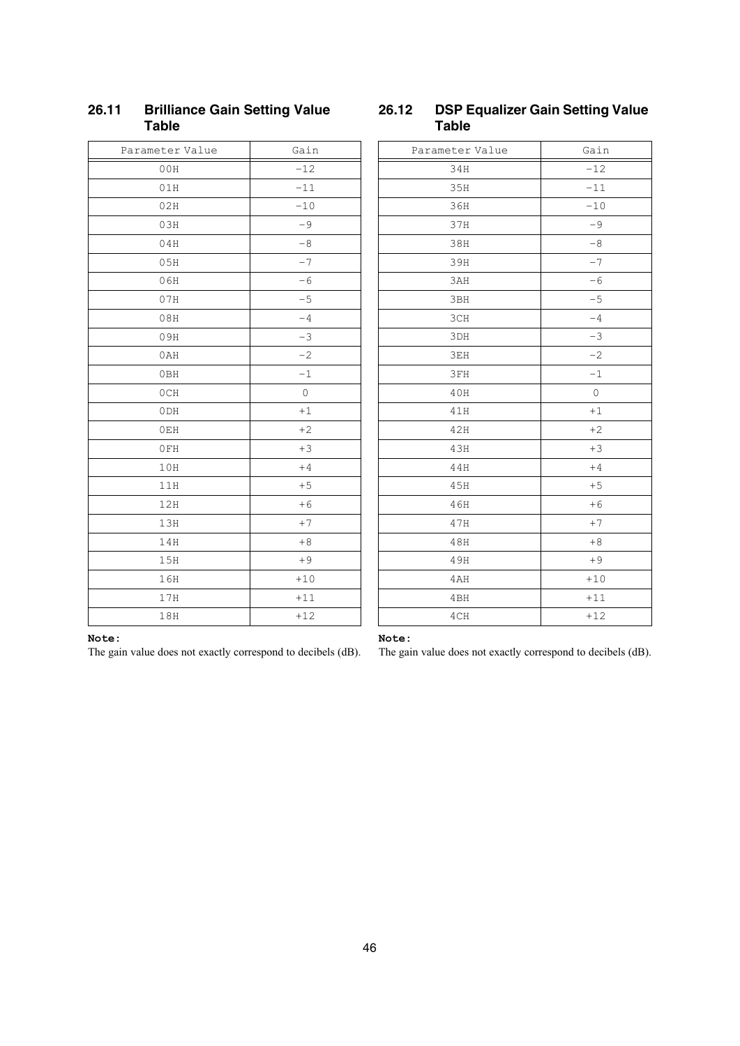| Parameter Value | Gain  |
|-----------------|-------|
| 00H             | $-12$ |
| 01H             | $-11$ |
| 02H             | $-10$ |
| 03H             | $-9$  |
| 04H             | $-8$  |
| 05H             | $-7$  |
| 06H             | $-6$  |
| 07H             | $-5$  |
| 08H             | $-4$  |
| 09H             | $-3$  |
| 0AH             | $-2$  |
| 0BH             | $-1$  |
| 0CH             | 0     |
| 0 <sub>DH</sub> | $+1$  |
| 0EH             | $+2$  |
| 0FH             | $+3$  |
| 10H             | $+4$  |
| 11H             | $+5$  |
| 12H             | $+6$  |
| 13H             | $+7$  |
| 14H             | $+8$  |
| 15H             | $+9$  |
| 16H             | $+10$ |
| 17H             | $+11$ |
| 18H             | $+12$ |

## **26.11 Brilliance Gain Setting Value Table**

## **26.12 DSP Equalizer Gain Setting Value Table**

| Parameter Value | Gain    |
|-----------------|---------|
| 34H             | $-12$   |
| 35H             | $-11$   |
| 36H             | $-10$   |
| 37H             | $-9$    |
| 38H             | $-8$    |
| 39H             | $-7$    |
| 3AH             | $-6$    |
| 3BH             | $-5$    |
| 3CH             | $-4$    |
| 3DH             | $-3$    |
| 3EH             | $-2$    |
| 3FH             | $-1$    |
| 40H             | $\circ$ |
| 41H             | $+1$    |
| 42H             | $+2$    |
| 43H             | $+3$    |
| 44H             | $+4$    |
| 45H             | $+5$    |
| 46H             | $+6$    |
| 47H             | $+7$    |
| 48H             | $+8$    |
| 49H             | $+9$    |
| 4AH             | $+10$   |
| 4BH             | $+11$   |
| 4CH             | $+12$   |

### **Note:**

The gain value does not exactly correspond to decibels (dB).

## **Note:**

The gain value does not exactly correspond to decibels (dB).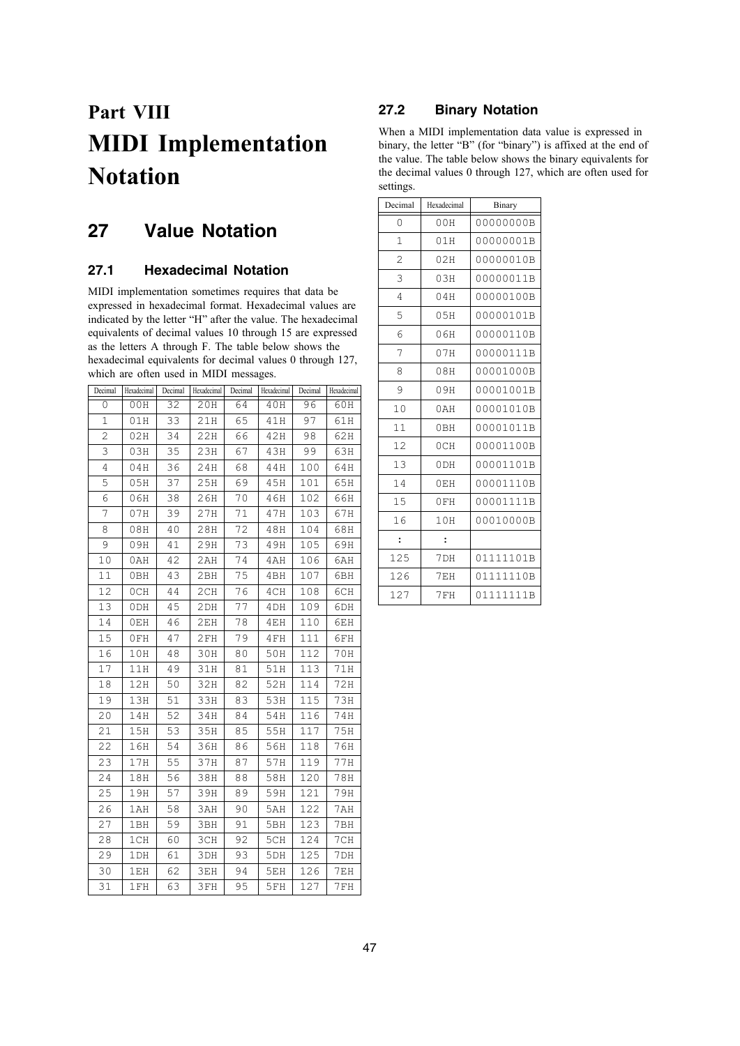# **Part VIII MIDI Implementation Notation**

## **27 Value Notation**

## **27.1 Hexadecimal Notation**

MIDI implementation sometimes requires that data be expressed in hexadecimal format. Hexadecimal values are indicated by the letter "H" after the value. The hexadecimal equivalents of decimal values 10 through 15 are expressed as the letters A through F. The table below shows the hexadecimal equivalents for decimal values 0 through 127, which are often used in MIDI messages.

| Decimal | Hexadecimal     | Decimal | Hexadecimal | Decimal | Hexadecimal     | Decimal | Hexadecimal |
|---------|-----------------|---------|-------------|---------|-----------------|---------|-------------|
| 0       | 00H             | 32      | 20H         | 64      | 40H             | 96      | 60H         |
| 1       | 01H             | 33      | 21H         | 65      | 41H             | 97      | 61H         |
| 2       | 02H             | 34      | 22H         | 66      | 42H             | 98      | 62H         |
| 3       | 03H             | 35      | 23H         | 67      | 43H             | 99      | 63H         |
| 4       | 04H             | 36      | 24H         | 68      | 44H             | 100     | 64H         |
| 5       | 05H             | 37      | 25H         | 69      | 45H             | 101     | 65H         |
| 6       | 06H             | 38      | 26H         | 70      | 46H             | 102     | 66H         |
| 7       | 07H             | 39      | 27H         | 71      | 47H             | 103     | 67H         |
| 8       | 08H             | 40      | 28H         | 72      | 48H             | 104     | 68H         |
| 9       | 09H             | 41      | 29H         | 73      | 49H             | 105     | 69H         |
| $10$    | 0AH             | 42      | 2AH         | 74      | 4 A H           | 106     | 6AH         |
| 11      | 0 <sub>BH</sub> | 43      | 2BH         | 75      | 4BH             | 107     | 6BH         |
| 12      | 0CH             | 44      | 2CH         | 76      | 4CH             | 108     | 6CH         |
| 13      | 0 DH            | 45      | 2DH         | 77      | 4 <sub>DH</sub> | 109     | 6DH         |
| 14      | 0EH             | 46      | 2EH         | 78      | 4EH             | 110     | 6EH         |
| 15      | 0FH             | 47      | 2FH         | 79      | 4FH             | 111     | 6FH         |
| 16      | 10H             | 48      | 30H         | 80      | 50H             | 112     | 70H         |
| 17      | 11H             | 49      | 31H         | 81      | 51H             | 113     | 71H         |
| 18      | 12H             | 50      | 32H         | 82      | 52H             | 114     | 72H         |
| 19      | 13H             | 51      | 33H         | 83      | 53H             | 115     | <b>73H</b>  |
| 20      | 14H             | 52      | 34H         | 84      | 54H             | 116     | 74H         |
| 21      | 15H             | 53      | 35H         | 85      | 55H             | 117     | 75H         |
| 22      | 16H             | 54      | 36H         | 86      | 56H             | 118     | 76H         |
| 23      | 17H             | 55      | 37H         | 87      | 57H             | 119     | 77H         |
| 24      | 18H             | 56      | 38H         | 88      | 58H             | 120     | 78H         |
| 25      | 19H             | 57      | 39H         | 89      | 59H             | 121     | 79H         |
| 26      | 1 A H           | 58      | ЗАН         | 90      | 5AH             | 122     | 7AH         |
| 27      | 1BH             | 59      | 3BH         | 91      | 5BH             | 123     | 7BH         |
| 28      | 1CH             | 60      | 3CH         | 92      | 5CH             | 124     | 7CH         |
| 29      | 1DH             | 61      | 3DH         | 93      | 5DH             | 125     | 7DH         |
| 30      | 1EH             | 62      | 3EH         | 94      | 5EH             | 126     | 7EH         |
| 31      | 1FH             | 63      | 3FH         | 95      | 5FH             | 127     | 7FH         |

## **27.2 Binary Notation**

When a MIDI implementation data value is expressed in binary, the letter "B" (for "binary") is affixed at the end of the value. The table below shows the binary equivalents for the decimal values 0 through 127, which are often used for settings.

| Decimal        | Hexadecimal          | Binary    |  |  |
|----------------|----------------------|-----------|--|--|
| $\Omega$       | 00H                  | 00000000B |  |  |
| 1              | 01H                  | 00000001B |  |  |
| $\overline{2}$ | 02H                  | 00000010B |  |  |
| 3              | 03H                  | 00000011B |  |  |
| 4              | 04H                  | 00000100B |  |  |
| 5              | 05H                  | 00000101B |  |  |
| 6              | 06H                  | 00000110B |  |  |
| 7              | 07H                  | 00000111B |  |  |
| 8              | 08H                  | 00001000B |  |  |
| 9              | 09H                  | 00001001B |  |  |
| 10             | 0AH                  | 00001010B |  |  |
| 11             | 0 <sub>BH</sub>      | 00001011B |  |  |
| 12             | 0CH                  | 00001100B |  |  |
| 13             | 0 <sub>DH</sub>      | 00001101B |  |  |
| 14             | 0EH                  | 00001110B |  |  |
| 15             | 0FH                  | 00001111B |  |  |
| 16             | 10H                  | 00010000B |  |  |
| $\ddot{\cdot}$ | $\ddot{\phantom{a}}$ |           |  |  |
| 125            | 7DH                  | 01111101B |  |  |
| 126            | 7EH                  | 01111110B |  |  |
| 127            | 7 F H                | 01111111B |  |  |